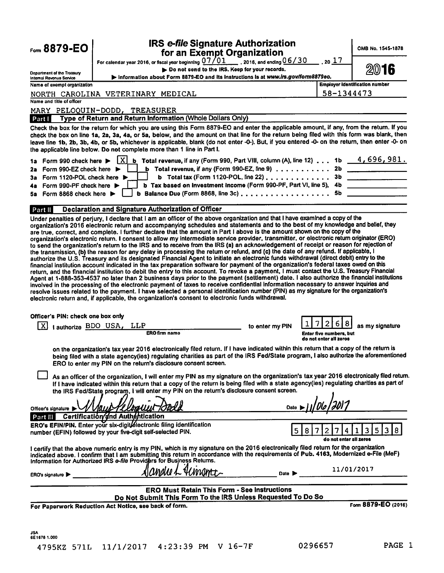| Form 8879-EO                                                                                                                                 | <b>IRS e-file Signature Authorization</b><br>for an Exempt Organization                                                                                                                                                                                                                                                                                                                                                                                                                                                                                                                                                                                                                                                                                                                                                                                                                                                                                                                                                                                                                                                                                                                                                                                                                                                                                                                 |                 |                                  | OMB No. 1545-1878                     |
|----------------------------------------------------------------------------------------------------------------------------------------------|-----------------------------------------------------------------------------------------------------------------------------------------------------------------------------------------------------------------------------------------------------------------------------------------------------------------------------------------------------------------------------------------------------------------------------------------------------------------------------------------------------------------------------------------------------------------------------------------------------------------------------------------------------------------------------------------------------------------------------------------------------------------------------------------------------------------------------------------------------------------------------------------------------------------------------------------------------------------------------------------------------------------------------------------------------------------------------------------------------------------------------------------------------------------------------------------------------------------------------------------------------------------------------------------------------------------------------------------------------------------------------------------|-----------------|----------------------------------|---------------------------------------|
|                                                                                                                                              | For calendar year 2016, or fiscal year beginning $07/01$ , 2016, and ending $06/30$                                                                                                                                                                                                                                                                                                                                                                                                                                                                                                                                                                                                                                                                                                                                                                                                                                                                                                                                                                                                                                                                                                                                                                                                                                                                                                     |                 | $, 20$ $17$                      |                                       |
| Department of the Treasury                                                                                                                   | Do not send to the IRS. Keep for your records.                                                                                                                                                                                                                                                                                                                                                                                                                                                                                                                                                                                                                                                                                                                                                                                                                                                                                                                                                                                                                                                                                                                                                                                                                                                                                                                                          |                 |                                  | 2016                                  |
| Internal Revenue Service                                                                                                                     | Information about Form 8879-EO and its instructions is at www.irs.gov/form8879eo.                                                                                                                                                                                                                                                                                                                                                                                                                                                                                                                                                                                                                                                                                                                                                                                                                                                                                                                                                                                                                                                                                                                                                                                                                                                                                                       |                 |                                  | <b>Employer identification number</b> |
| Name of exempt organization                                                                                                                  |                                                                                                                                                                                                                                                                                                                                                                                                                                                                                                                                                                                                                                                                                                                                                                                                                                                                                                                                                                                                                                                                                                                                                                                                                                                                                                                                                                                         |                 |                                  |                                       |
| Name and title of officer                                                                                                                    | NORTH CAROLINA VETERINARY MEDICAL                                                                                                                                                                                                                                                                                                                                                                                                                                                                                                                                                                                                                                                                                                                                                                                                                                                                                                                                                                                                                                                                                                                                                                                                                                                                                                                                                       |                 | 58-1344473                       |                                       |
|                                                                                                                                              |                                                                                                                                                                                                                                                                                                                                                                                                                                                                                                                                                                                                                                                                                                                                                                                                                                                                                                                                                                                                                                                                                                                                                                                                                                                                                                                                                                                         |                 |                                  |                                       |
| Part I                                                                                                                                       | MARY PELOQUIN-DODD, TREASURER<br>Type of Return and Return Information (Whole Dollars Only)                                                                                                                                                                                                                                                                                                                                                                                                                                                                                                                                                                                                                                                                                                                                                                                                                                                                                                                                                                                                                                                                                                                                                                                                                                                                                             |                 |                                  |                                       |
| Form 990 check here $\blacktriangleright$<br>1a i                                                                                            | Check the box for the return for which you are using this Form 8879-EO and enter the applicable amount, if any, from the return. If you<br>check the box on line 1a, 2a, 3a, 4a, or 5a, below, and the amount on that line for the return being filed with this form was blank, then<br>leave line 1b, 2b, 3b, 4b, or 5b, whichever is applicable, blank (do not enter -0-). But, if you entered -0- on the return, then enter -0- on<br>the applicable line below. Do not complete more than 1 line in Part I.<br><b>b</b> Total revenue, if any (Form 990, Part VIII, column (A), line 12) 1b $\frac{4,696,981.}{4}$<br>1xI                                                                                                                                                                                                                                                                                                                                                                                                                                                                                                                                                                                                                                                                                                                                                           |                 |                                  |                                       |
| Form 990-EZ check here $\blacktriangleright$<br>2а<br>Form 1120-POL check here ▶<br>3а<br>Form 990-PF check here $\blacktriangleright$<br>48 | <b>b</b> Total revenue, if any (Form 990-EZ, line 9) $\ldots \ldots \ldots$<br><b>b</b> Total tax (Form 1120-POL, line 22) $\ldots$ ,,,,,,,,,,,,,<br>b Tax based on investment income (Form 990-PF, Part VI, line 5), 4b                                                                                                                                                                                                                                                                                                                                                                                                                                                                                                                                                                                                                                                                                                                                                                                                                                                                                                                                                                                                                                                                                                                                                                |                 | 2 <sub>b</sub><br>3 <sub>b</sub> |                                       |
| Form 8868 check here $\blacktriangleright$<br>58.                                                                                            | b Balance Due (Form 8868, line 3c) $\ldots$ ,                                                                                                                                                                                                                                                                                                                                                                                                                                                                                                                                                                                                                                                                                                                                                                                                                                                                                                                                                                                                                                                                                                                                                                                                                                                                                                                                           |                 | 5b                               |                                       |
| Part II                                                                                                                                      | Declaration and Signature Authorization of Officer                                                                                                                                                                                                                                                                                                                                                                                                                                                                                                                                                                                                                                                                                                                                                                                                                                                                                                                                                                                                                                                                                                                                                                                                                                                                                                                                      |                 |                                  |                                       |
|                                                                                                                                              | organization's electronic return. I consent to allow my intermediate service provider, transmitter, or electronic return originator (ERO)<br>to send the organization's return to the IRS and to receive from the IRS (a) an acknowledgement of receipt or reason for rejection of<br>the transmission, (b) the reason for any delay in processing the return or refund, and (c) the date of any refund. If applicable, I<br>authorize the U.S. Treasury and its designated Financial Agent to initiate an electronic funds withdrawal (direct debit) entry to the<br>financial institution account indicated in the tax preparation software for payment of the organization's federal taxes owed on this<br>return, and the financial institution to debit the entry to this account. To revoke a payment, I must contact the U.S. Treasury Financial<br>Agent at 1-888-353-4537 no later than 2 business days prior to the payment (settlement) date. I also authorize the financial institutions<br>involved in the processing of the electronic payment of taxes to receive confidential information necessary to answer inquiries and<br>resolve issues related to the payment. I have selected a personal identification number (PIN) as my signature for the organization's<br>electronic return and, if applicable, the organization's consent to electronic funds withdrawal. |                 |                                  |                                       |
| Officer's PIN: check one box only                                                                                                            |                                                                                                                                                                                                                                                                                                                                                                                                                                                                                                                                                                                                                                                                                                                                                                                                                                                                                                                                                                                                                                                                                                                                                                                                                                                                                                                                                                                         |                 |                                  |                                       |
|                                                                                                                                              | I authorize BDO USA, LLP                                                                                                                                                                                                                                                                                                                                                                                                                                                                                                                                                                                                                                                                                                                                                                                                                                                                                                                                                                                                                                                                                                                                                                                                                                                                                                                                                                | to enter my PIN | 6                                | as my signature                       |
|                                                                                                                                              | <b>ERO firm namo</b>                                                                                                                                                                                                                                                                                                                                                                                                                                                                                                                                                                                                                                                                                                                                                                                                                                                                                                                                                                                                                                                                                                                                                                                                                                                                                                                                                                    |                 | <b>Enter five numbers, but</b>   |                                       |
|                                                                                                                                              | on the organization's tax year 2016 electronically filed return. If I have indicated within this return that a copy of the return is<br>being filed with a state agency(ies) regulating charities as part of the IRS Fed/State program, I also authorize the aforementioned<br>ERO to enter my PIN on the return's disclosure consent screen.<br>As an officer of the organization, I will enter my PIN as my signature on the organization's tax year 2016 electronically filed return.<br>If I have indicated within this return that a copy of the return is being filed with a state agency(ies) regulating charities as part of<br>the IRS Fed/State program, I will enter my PIN on the return's disclosure consent screen.                                                                                                                                                                                                                                                                                                                                                                                                                                                                                                                                                                                                                                                       |                 | do not enter all zeros           |                                       |
|                                                                                                                                              |                                                                                                                                                                                                                                                                                                                                                                                                                                                                                                                                                                                                                                                                                                                                                                                                                                                                                                                                                                                                                                                                                                                                                                                                                                                                                                                                                                                         |                 |                                  |                                       |
| Officer's signature DVVIOUS-Y Electron                                                                                                       |                                                                                                                                                                                                                                                                                                                                                                                                                                                                                                                                                                                                                                                                                                                                                                                                                                                                                                                                                                                                                                                                                                                                                                                                                                                                                                                                                                                         | Date            |                                  |                                       |
|                                                                                                                                              | Part III Certification and Authentication<br>ERO's EFIN/PIN. Enter your six-digit/electronic filing identification<br>number (EFIN) followed by your five-digit self-selected PIN.                                                                                                                                                                                                                                                                                                                                                                                                                                                                                                                                                                                                                                                                                                                                                                                                                                                                                                                                                                                                                                                                                                                                                                                                      | 5               | 8<br>do not enter all zeros      | 3 <br>5 <br>$\boldsymbol{8}$          |
|                                                                                                                                              | I certify that the above numeric entry is my PIN, which is my signature on the 2016 electronically filed return for the organization<br>indicated above. I confirm that I am submitting this return in accordance with the requirements of Pub. 4163, Modernized e-File (MeF)<br>Information for Authorized IRS e-file Providers for Business Returns.                                                                                                                                                                                                                                                                                                                                                                                                                                                                                                                                                                                                                                                                                                                                                                                                                                                                                                                                                                                                                                  |                 |                                  |                                       |
| ERO's signature                                                                                                                              | Slandie L Jiinamit                                                                                                                                                                                                                                                                                                                                                                                                                                                                                                                                                                                                                                                                                                                                                                                                                                                                                                                                                                                                                                                                                                                                                                                                                                                                                                                                                                      | Date <b>D</b>   |                                  | 11/01/2017                            |
|                                                                                                                                              | <b>ERO Must Retain This Form - See Instructions</b>                                                                                                                                                                                                                                                                                                                                                                                                                                                                                                                                                                                                                                                                                                                                                                                                                                                                                                                                                                                                                                                                                                                                                                                                                                                                                                                                     |                 |                                  |                                       |
|                                                                                                                                              | Do Not Submit This Form To the IRS Unless Requested To Do So                                                                                                                                                                                                                                                                                                                                                                                                                                                                                                                                                                                                                                                                                                                                                                                                                                                                                                                                                                                                                                                                                                                                                                                                                                                                                                                            |                 |                                  |                                       |
|                                                                                                                                              | For Paperwork Reduction Act Notice, see back of form.                                                                                                                                                                                                                                                                                                                                                                                                                                                                                                                                                                                                                                                                                                                                                                                                                                                                                                                                                                                                                                                                                                                                                                                                                                                                                                                                   |                 |                                  | Form 8879-EO (2016)                   |
| JSA.<br>6E1676 1.000                                                                                                                         | 4795KZ 571L 11/1/2017 4:23:39 PM V 16-7F                                                                                                                                                                                                                                                                                                                                                                                                                                                                                                                                                                                                                                                                                                                                                                                                                                                                                                                                                                                                                                                                                                                                                                                                                                                                                                                                                |                 | 0296657                          | PAGE 1                                |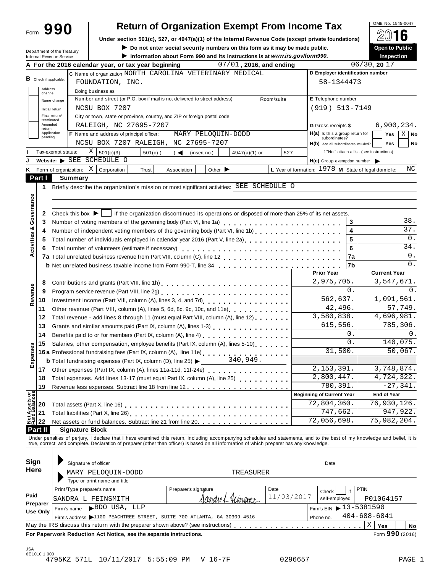## OMB No. 1545-0047 **Return of Organization Exempt From Income Tax**

|                                              | Form 990                                               |                                      |                                                                                                                                                                            |            |                      |                             | <b>Return of Organization Exempt From Income Tax</b>                        |                                                      |                                                                                   |        |                    | OMB No. 1545-0047   |                |
|----------------------------------------------|--------------------------------------------------------|--------------------------------------|----------------------------------------------------------------------------------------------------------------------------------------------------------------------------|------------|----------------------|-----------------------------|-----------------------------------------------------------------------------|------------------------------------------------------|-----------------------------------------------------------------------------------|--------|--------------------|---------------------|----------------|
|                                              |                                                        |                                      | Under section 501(c), 527, or 4947(a)(1) of the Internal Revenue Code (except private foundations)                                                                         |            |                      |                             |                                                                             |                                                      |                                                                                   |        |                    |                     |                |
|                                              |                                                        |                                      |                                                                                                                                                                            |            |                      |                             | Do not enter social security numbers on this form as it may be made public. |                                                      |                                                                                   |        |                    | Open to Public      |                |
|                                              | Department of the Treasury<br>Internal Revenue Service |                                      |                                                                                                                                                                            |            |                      |                             | Information about Form 990 and its instructions is at www.irs.gov/form990.  |                                                      |                                                                                   |        |                    | <b>Inspection</b>   |                |
|                                              |                                                        |                                      | A For the 2016 calendar year, or tax year beginning                                                                                                                        |            |                      |                             | 07/01, 2016, and ending                                                     |                                                      |                                                                                   |        | 06/30, 2017        |                     |                |
|                                              |                                                        |                                      | C Name of organization NORTH CAROLINA VETERINARY MEDICAL                                                                                                                   |            |                      |                             |                                                                             |                                                      | D Employer identification number                                                  |        |                    |                     |                |
|                                              | <b>B</b> Check if applicable:                          |                                      | FOUNDATION, INC.                                                                                                                                                           |            |                      |                             |                                                                             |                                                      | 58-1344473                                                                        |        |                    |                     |                |
|                                              | Address                                                |                                      | Doing business as                                                                                                                                                          |            |                      |                             |                                                                             |                                                      |                                                                                   |        |                    |                     |                |
| change                                       |                                                        |                                      | Number and street (or P.O. box if mail is not delivered to street address)                                                                                                 |            |                      |                             |                                                                             | Room/suite                                           | E Telephone number                                                                |        |                    |                     |                |
|                                              | Name change                                            |                                      | NCSU BOX 7207                                                                                                                                                              |            |                      |                             |                                                                             |                                                      | $(919) 513 - 7149$                                                                |        |                    |                     |                |
|                                              | Initial return<br>Final return/                        |                                      | City or town, state or province, country, and ZIP or foreign postal code                                                                                                   |            |                      |                             |                                                                             |                                                      |                                                                                   |        |                    |                     |                |
|                                              | terminated<br>Amended                                  |                                      | RALEIGH, NC 27695-7207                                                                                                                                                     |            |                      |                             |                                                                             |                                                      | G Gross receipts \$                                                               |        |                    |                     | 6,900,234.     |
| return                                       | Application                                            |                                      | F Name and address of principal officer:                                                                                                                                   |            |                      |                             | MARY PELOQUIN-DODD                                                          |                                                      | H(a) Is this a group return for                                                   |        |                    | Yes                 | $X \mid$<br>No |
|                                              | pending                                                |                                      | NCSU BOX 7207 RALEIGH, NC 27695-7207                                                                                                                                       |            |                      |                             |                                                                             |                                                      | subordinates?                                                                     |        |                    | <b>Yes</b>          | No             |
|                                              | Tax-exempt status:                                     |                                      | X<br>501(c)(3)                                                                                                                                                             | $501(c)$ ( | $\rightarrow$        |                             | 4947(a)(1) or                                                               | 527                                                  | H(b) Are all subordinates included?<br>If "No," attach a list. (see instructions) |        |                    |                     |                |
|                                              | Website: $\blacktriangleright$ SEE                     |                                      | SCHEDULE O                                                                                                                                                                 |            |                      | (insert no.)                |                                                                             |                                                      | $H(c)$ Group exemption number                                                     |        |                    |                     |                |
|                                              |                                                        | Form of organization:                | $\vert$ X $\vert$<br>Corporation<br>Trust                                                                                                                                  |            | Association          | Other $\blacktriangleright$ |                                                                             | L Year of formation: 1978 M State of legal domicile: |                                                                                   |        |                    |                     | NC             |
| Part I                                       |                                                        | <b>Summary</b>                       |                                                                                                                                                                            |            |                      |                             |                                                                             |                                                      |                                                                                   |        |                    |                     |                |
|                                              |                                                        |                                      | Briefly describe the organization's mission or most significant activities: SEE SCHEDULE O                                                                                 |            |                      |                             |                                                                             |                                                      |                                                                                   |        |                    |                     |                |
| 1                                            |                                                        |                                      |                                                                                                                                                                            |            |                      |                             |                                                                             |                                                      |                                                                                   |        |                    |                     |                |
| Activities & Governance                      |                                                        |                                      |                                                                                                                                                                            |            |                      |                             |                                                                             |                                                      |                                                                                   |        |                    |                     |                |
|                                              |                                                        |                                      |                                                                                                                                                                            |            |                      |                             |                                                                             |                                                      |                                                                                   |        |                    |                     |                |
| 2                                            |                                                        | Check this box $\blacktriangleright$ | if the organization discontinued its operations or disposed of more than 25% of its net assets.                                                                            |            |                      |                             |                                                                             |                                                      |                                                                                   |        |                    |                     | 38.            |
| 3<br>4                                       |                                                        |                                      | Number of voting members of the governing body (Part VI, line 1a)                                                                                                          |            |                      |                             |                                                                             |                                                      |                                                                                   | 3<br>4 |                    |                     | 37.            |
|                                              |                                                        |                                      |                                                                                                                                                                            |            |                      |                             |                                                                             |                                                      |                                                                                   | 5      |                    |                     | 0.             |
| 5                                            |                                                        |                                      |                                                                                                                                                                            |            |                      |                             |                                                                             |                                                      |                                                                                   | 6      |                    |                     | 34.            |
| 6                                            |                                                        |                                      | Total number of volunteers (estimate if necessary)                                                                                                                         |            |                      |                             |                                                                             |                                                      |                                                                                   |        |                    |                     | 0.             |
|                                              |                                                        |                                      |                                                                                                                                                                            |            |                      |                             |                                                                             |                                                      |                                                                                   | 7a     |                    |                     | 0.             |
|                                              |                                                        |                                      |                                                                                                                                                                            |            |                      |                             |                                                                             |                                                      | <b>Prior Year</b>                                                                 | 7b     |                    | <b>Current Year</b> |                |
| 8                                            |                                                        |                                      |                                                                                                                                                                            |            |                      |                             |                                                                             |                                                      | $\overline{2,975,705}$ .                                                          |        |                    |                     | 3,547,671.     |
| Revenue<br>9                                 |                                                        |                                      |                                                                                                                                                                            |            |                      |                             |                                                                             |                                                      |                                                                                   | 0.     |                    |                     | 0.             |
| 10                                           |                                                        |                                      | Program service revenue (Part VIII, line 2g)<br>1                                                                                                                          |            |                      |                             |                                                                             |                                                      | 562,637.                                                                          |        |                    |                     | 1,091,561.     |
| 11                                           |                                                        |                                      | Other revenue (Part VIII, column (A), lines 5, 6d, 8c, 9c, 10c, and 11e)                                                                                                   |            |                      |                             |                                                                             |                                                      | 42,496.                                                                           |        |                    |                     | 57, 749.       |
| 12                                           |                                                        |                                      | Total revenue - add lines 8 through 11 (must equal Part VIII, column (A), line 12)                                                                                         |            |                      |                             |                                                                             |                                                      | 3,580,838.                                                                        |        |                    |                     | 4,696,981.     |
| 13                                           |                                                        |                                      | Grants and similar amounts paid (Part IX, column (A), lines 1-3)                                                                                                           |            |                      |                             |                                                                             |                                                      | 615,556.                                                                          |        |                    |                     | 785,306.       |
| 14                                           |                                                        |                                      | Benefits paid to or for members (Part IX, column (A), line 4)                                                                                                              |            |                      |                             |                                                                             |                                                      |                                                                                   | 0.     |                    |                     | 0.             |
| 15<br>8g                                     |                                                        |                                      | Salaries, other compensation, employee benefits (Part IX, column (A), lines 5-10)                                                                                          |            |                      |                             |                                                                             |                                                      |                                                                                   | $0$ .  |                    |                     | 140,075.       |
|                                              |                                                        |                                      | 15 Salaries, other components, part IX, column (A), line 11e)<br>16a Professional fundraising fees (Part IX, column (A), line 11e)<br>240,949.                             |            |                      |                             |                                                                             |                                                      | 31,500.                                                                           |        |                    |                     | 50,067.        |
| Expense                                      |                                                        |                                      |                                                                                                                                                                            |            |                      |                             |                                                                             |                                                      |                                                                                   |        |                    |                     |                |
| 17                                           |                                                        |                                      |                                                                                                                                                                            |            |                      |                             |                                                                             |                                                      | 2, 153, 391.                                                                      |        |                    |                     | 3,748,874.     |
| 18                                           |                                                        |                                      | Total expenses. Add lines 13-17 (must equal Part IX, column (A), line 25)                                                                                                  |            |                      |                             |                                                                             |                                                      | 2,800,447.                                                                        |        |                    |                     | 4,724,322.     |
| 19                                           |                                                        |                                      |                                                                                                                                                                            |            |                      |                             |                                                                             |                                                      | 780,391.                                                                          |        |                    |                     | $-27,341.$     |
|                                              |                                                        |                                      |                                                                                                                                                                            |            |                      |                             |                                                                             |                                                      | <b>Beginning of Current Year</b>                                                  |        |                    | <b>End of Year</b>  |                |
| <b>Net Assets or<br/>Fund Balances</b><br>20 |                                                        |                                      |                                                                                                                                                                            |            |                      |                             |                                                                             |                                                      | 72,804,360.                                                                       |        |                    |                     | 76,930,126.    |
| 21                                           |                                                        |                                      |                                                                                                                                                                            |            |                      |                             |                                                                             |                                                      | 747,662.                                                                          |        |                    |                     | 947,922.       |
| 22                                           |                                                        |                                      | Net assets or fund balances. Subtract line 21 from line 20.                                                                                                                |            |                      |                             |                                                                             |                                                      | 72,056,698.                                                                       |        |                    |                     | 75,982,204.    |
| <b>Part II</b>                               |                                                        | <b>Signature Block</b>               |                                                                                                                                                                            |            |                      |                             |                                                                             |                                                      |                                                                                   |        |                    |                     |                |
|                                              |                                                        |                                      | Under penalties of perjury, I declare that I have examined this return, including accompanying schedules and statements, and to the best of my knowledge and belief, it is |            |                      |                             |                                                                             |                                                      |                                                                                   |        |                    |                     |                |
|                                              |                                                        |                                      | true, correct, and complete. Declaration of preparer (other than officer) is based on all information of which preparer has any knowledge.                                 |            |                      |                             |                                                                             |                                                      |                                                                                   |        |                    |                     |                |
|                                              |                                                        |                                      |                                                                                                                                                                            |            |                      |                             |                                                                             |                                                      |                                                                                   |        |                    |                     |                |
| Sign                                         |                                                        |                                      | Signature of officer                                                                                                                                                       |            |                      |                             |                                                                             |                                                      | Date                                                                              |        |                    |                     |                |
| <b>Here</b>                                  |                                                        |                                      | MARY PELOQUIN-DODD                                                                                                                                                         |            |                      |                             | TREASURER                                                                   |                                                      |                                                                                   |        |                    |                     |                |
|                                              |                                                        |                                      | Type or print name and title                                                                                                                                               |            |                      |                             |                                                                             |                                                      |                                                                                   |        |                    |                     |                |
|                                              |                                                        |                                      | Print/Type preparer's name                                                                                                                                                 |            | Preparer's signature |                             |                                                                             | Date                                                 |                                                                                   |        | <b>PTIN</b>        |                     |                |
| Paid                                         |                                                        |                                      | SANDRA L FEINSMITH                                                                                                                                                         |            |                      |                             | Jandue L'Unnem <del>e</del>                                                 | 11/03/2017                                           | Check<br>self-employed                                                            | if     |                    | P01064157           |                |
| Preparer                                     |                                                        |                                      | BDO USA, LLP                                                                                                                                                               |            |                      |                             |                                                                             |                                                      | Firm's EIN 13-5381590                                                             |        |                    |                     |                |
| <b>Use Only</b>                              |                                                        | Firm's name                          |                                                                                                                                                                            |            |                      |                             |                                                                             |                                                      |                                                                                   |        | $404 - 688 - 6841$ |                     |                |
|                                              |                                                        |                                      | Firm's address 1100 PEACHTREE STREET, SUITE 700 ATLANTA, GA 30309-4516                                                                                                     |            |                      |                             |                                                                             |                                                      | Phone no.                                                                         |        | $\frac{1}{2}$      |                     |                |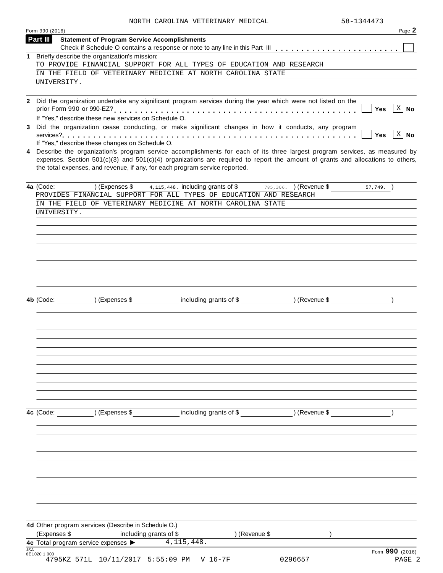|            | NORTH CAROLINA VETERINARY MEDICAL<br>Form 990 (2016)                                                                                                                                                                                                                                                                                            | 58-1344473 | Page 2                    |
|------------|-------------------------------------------------------------------------------------------------------------------------------------------------------------------------------------------------------------------------------------------------------------------------------------------------------------------------------------------------|------------|---------------------------|
|            | Part III<br><b>Statement of Program Service Accomplishments</b>                                                                                                                                                                                                                                                                                 |            |                           |
| 1          | Briefly describe the organization's mission:<br>TO PROVIDE FINANCIAL SUPPORT FOR ALL TYPES OF EDUCATION AND RESEARCH                                                                                                                                                                                                                            |            |                           |
|            | IN THE FIELD OF VETERINARY MEDICINE AT NORTH CAROLINA STATE<br>UNIVERSITY.                                                                                                                                                                                                                                                                      |            |                           |
|            | 2 Did the organization undertake any significant program services during the year which were not listed on the                                                                                                                                                                                                                                  |            | $\overline{X}$ No         |
|            | If "Yes," describe these new services on Schedule O.                                                                                                                                                                                                                                                                                            | Yes        |                           |
| 3          | Did the organization cease conducting, or make significant changes in how it conducts, any program<br>If "Yes," describe these changes on Schedule O.                                                                                                                                                                                           | Yes        | $X \mid N$ o              |
| 4          | Describe the organization's program service accomplishments for each of its three largest program services, as measured by<br>expenses. Section $501(c)(3)$ and $501(c)(4)$ organizations are required to report the amount of grants and allocations to others,<br>the total expenses, and revenue, if any, for each program service reported. |            |                           |
|            | $\overline{\phantom{a}}$ (Expenses \$<br>4a (Code:<br>4, 115, 448. including grants of \$ 785, 306. (Revenue \$<br>PROVIDES FINANCIAL SUPPORT FOR ALL TYPES OF EDUCATION AND RESEARCH<br>IN THE FIELD OF VETERINARY MEDICINE AT NORTH CAROLINA STATE<br>UNIVERSITY.                                                                             | 57,749.    |                           |
|            |                                                                                                                                                                                                                                                                                                                                                 |            |                           |
|            | including grants of \$<br>) (Expenses \$<br>) (Revenue \$<br>4b (Code:                                                                                                                                                                                                                                                                          |            |                           |
|            |                                                                                                                                                                                                                                                                                                                                                 |            |                           |
|            | including grants of \$<br>) (Expenses \$<br>) (Revenue \$<br>4c (Code:                                                                                                                                                                                                                                                                          |            |                           |
|            |                                                                                                                                                                                                                                                                                                                                                 |            |                           |
|            |                                                                                                                                                                                                                                                                                                                                                 |            |                           |
|            | 4d Other program services (Describe in Schedule O.)<br>(Expenses \$<br>) (Revenue \$<br>including grants of \$                                                                                                                                                                                                                                  |            |                           |
| <b>JSA</b> | 4, 115, 448.<br>4e Total program service expenses ><br>6E1020 1.000<br>4795KZ 571L 10/11/2017 5:55:09 PM<br>0296657<br>$V$ 16-7F                                                                                                                                                                                                                |            | Form 990 (2016)<br>PAGE 2 |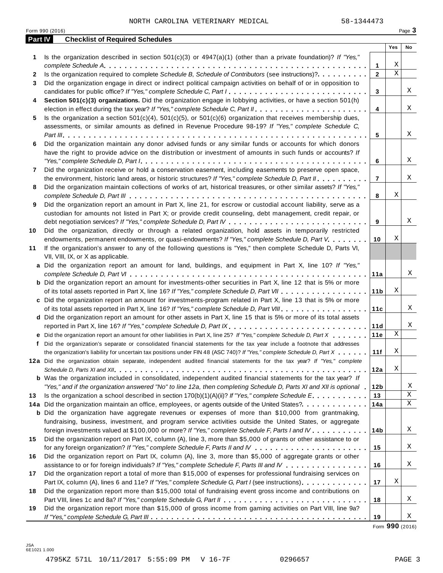|         | Form 990 (2016)                                                                                                                                                                                                                                                                                                                                                                               |                     |             | Page 3      |
|---------|-----------------------------------------------------------------------------------------------------------------------------------------------------------------------------------------------------------------------------------------------------------------------------------------------------------------------------------------------------------------------------------------------|---------------------|-------------|-------------|
| Part IV | <b>Checklist of Required Schedules</b>                                                                                                                                                                                                                                                                                                                                                        |                     |             |             |
|         |                                                                                                                                                                                                                                                                                                                                                                                               |                     | Yes         | No          |
| 1.      | Is the organization described in section $501(c)(3)$ or $4947(a)(1)$ (other than a private foundation)? If "Yes,"                                                                                                                                                                                                                                                                             |                     | Χ           |             |
|         | Is the organization required to complete Schedule B, Schedule of Contributors (see instructions)?.                                                                                                                                                                                                                                                                                            | 1<br>$\overline{2}$ | $\mathbf X$ |             |
| 2<br>3  | Did the organization engage in direct or indirect political campaign activities on behalf of or in opposition to                                                                                                                                                                                                                                                                              |                     |             |             |
|         | candidates for public office? If "Yes," complete Schedule C, Part I.                                                                                                                                                                                                                                                                                                                          | 3                   |             | Χ           |
| 4       | Section 501(c)(3) organizations. Did the organization engage in lobbying activities, or have a section 501(h)                                                                                                                                                                                                                                                                                 |                     |             |             |
|         |                                                                                                                                                                                                                                                                                                                                                                                               | $\overline{4}$      |             | Χ           |
| 5       | Is the organization a section $501(c)(4)$ , $501(c)(5)$ , or $501(c)(6)$ organization that receives membership dues,                                                                                                                                                                                                                                                                          |                     |             |             |
|         | assessments, or similar amounts as defined in Revenue Procedure 98-19? If "Yes," complete Schedule C,                                                                                                                                                                                                                                                                                         |                     |             |             |
|         |                                                                                                                                                                                                                                                                                                                                                                                               | 5                   |             | Χ           |
| 6       | Did the organization maintain any donor advised funds or any similar funds or accounts for which donors                                                                                                                                                                                                                                                                                       |                     |             |             |
|         | have the right to provide advice on the distribution or investment of amounts in such funds or accounts? If                                                                                                                                                                                                                                                                                   |                     |             |             |
|         | "Yes," complete Schedule D, Part $l_1, \ldots, l_k, \ldots, l_k, \ldots, l_k, \ldots, l_k, \ldots, l_k, \ldots, l_k, \ldots, l_k, \ldots, l_k, \ldots, l_k, \ldots, l_k, \ldots, l_k, \ldots, l_k, \ldots, l_k, \ldots, l_k, \ldots, l_k, \ldots, l_k, \ldots, l_k, \ldots, l_k, \ldots, l_k, \ldots, l_k, \ldots, l_k, \ldots, l_k, \ldots, l_k, \ldots, l_k, \ldots, l_k, \ldots, l_k, \ld$ | 6                   |             | Χ           |
| 7       | Did the organization receive or hold a conservation easement, including easements to preserve open space,                                                                                                                                                                                                                                                                                     |                     |             |             |
|         | the environment, historic land areas, or historic structures? If "Yes," complete Schedule D, Part II.                                                                                                                                                                                                                                                                                         | $\overline{7}$      |             | Χ           |
| 8       | Did the organization maintain collections of works of art, historical treasures, or other similar assets? If "Yes,"                                                                                                                                                                                                                                                                           |                     |             |             |
|         |                                                                                                                                                                                                                                                                                                                                                                                               | 8                   | Χ           |             |
| 9       | Did the organization report an amount in Part X, line 21, for escrow or custodial account liability, serve as a                                                                                                                                                                                                                                                                               |                     |             |             |
|         | custodian for amounts not listed in Part X; or provide credit counseling, debt management, credit repair, or                                                                                                                                                                                                                                                                                  |                     |             |             |
|         |                                                                                                                                                                                                                                                                                                                                                                                               | 9                   |             | Χ           |
| 10      | Did the organization, directly or through a related organization, hold assets in temporarily restricted                                                                                                                                                                                                                                                                                       |                     |             |             |
|         | endowments, permanent endowments, or quasi-endowments? If "Yes," complete Schedule D, Part V.                                                                                                                                                                                                                                                                                                 | 10                  | Χ           |             |
| 11      | If the organization's answer to any of the following questions is "Yes," then complete Schedule D, Parts VI,                                                                                                                                                                                                                                                                                  |                     |             |             |
|         | VII, VIII, IX, or X as applicable.                                                                                                                                                                                                                                                                                                                                                            |                     |             |             |
|         | a Did the organization report an amount for land, buildings, and equipment in Part X, line 10? If "Yes,"                                                                                                                                                                                                                                                                                      |                     |             |             |
|         |                                                                                                                                                                                                                                                                                                                                                                                               | 11a                 |             | Χ           |
|         | <b>b</b> Did the organization report an amount for investments-other securities in Part X, line 12 that is 5% or more                                                                                                                                                                                                                                                                         |                     |             |             |
|         |                                                                                                                                                                                                                                                                                                                                                                                               | 11 <sub>b</sub>     | Χ           |             |
|         | c Did the organization report an amount for investments-program related in Part X, line 13 that is 5% or more                                                                                                                                                                                                                                                                                 |                     |             |             |
|         |                                                                                                                                                                                                                                                                                                                                                                                               | 11c                 |             | Χ           |
|         | d Did the organization report an amount for other assets in Part X, line 15 that is 5% or more of its total assets                                                                                                                                                                                                                                                                            |                     |             |             |
|         | reported in Part X, line 16? If "Yes," complete Schedule D, Part IX.                                                                                                                                                                                                                                                                                                                          | 11d                 |             | Χ           |
|         | e Did the organization report an amount for other liabilities in Part X, line 25? If "Yes," complete Schedule D, Part X                                                                                                                                                                                                                                                                       | 11e                 | Χ           |             |
|         | f Did the organization's separate or consolidated financial statements for the tax year include a footnote that addresses                                                                                                                                                                                                                                                                     |                     |             |             |
|         | the organization's liability for uncertain tax positions under FIN 48 (ASC 740)? If "Yes," complete Schedule D, Part X                                                                                                                                                                                                                                                                        | 11f                 | Χ           |             |
|         | 12a Did the organization obtain separate, independent audited financial statements for the tax year? If "Yes," complete                                                                                                                                                                                                                                                                       |                     |             |             |
|         |                                                                                                                                                                                                                                                                                                                                                                                               | 12a                 | Χ           |             |
|         | <b>b</b> Was the organization included in consolidated, independent audited financial statements for the tax year? If                                                                                                                                                                                                                                                                         |                     |             |             |
|         | "Yes," and if the organization answered "No" to line 12a, then completing Schedule D, Parts XI and XII is optional .                                                                                                                                                                                                                                                                          | 12b                 |             | Χ           |
| 13      | Is the organization a school described in section 170(b)(1)(A)(ii)? If "Yes," complete Schedule E.                                                                                                                                                                                                                                                                                            | 13                  |             | $\mathbf X$ |
|         | 14a Did the organization maintain an office, employees, or agents outside of the United States?.                                                                                                                                                                                                                                                                                              | 14a                 |             | X           |
|         | <b>b</b> Did the organization have aggregate revenues or expenses of more than \$10,000 from grantmaking,                                                                                                                                                                                                                                                                                     |                     |             |             |
|         | fundraising, business, investment, and program service activities outside the United States, or aggregate                                                                                                                                                                                                                                                                                     |                     |             |             |
|         | foreign investments valued at \$100,000 or more? If "Yes," complete Schedule F, Parts I and IV                                                                                                                                                                                                                                                                                                | 14 <sub>b</sub>     |             | Χ           |
| 15      | Did the organization report on Part IX, column (A), line 3, more than \$5,000 of grants or other assistance to or                                                                                                                                                                                                                                                                             |                     |             |             |
|         |                                                                                                                                                                                                                                                                                                                                                                                               | 15                  |             | Χ           |
| 16      | Did the organization report on Part IX, column (A), line 3, more than \$5,000 of aggregate grants or other                                                                                                                                                                                                                                                                                    |                     |             |             |
|         | assistance to or for foreign individuals? If "Yes," complete Schedule F, Parts III and IV                                                                                                                                                                                                                                                                                                     | 16                  |             | Χ           |
| 17      | Did the organization report a total of more than \$15,000 of expenses for professional fundraising services on                                                                                                                                                                                                                                                                                |                     |             |             |
|         | Part IX, column (A), lines 6 and 11e? If "Yes," complete Schedule G, Part I (see instructions)                                                                                                                                                                                                                                                                                                | 17                  | Χ           |             |
| 18      | Did the organization report more than \$15,000 total of fundraising event gross income and contributions on                                                                                                                                                                                                                                                                                   |                     |             |             |
|         |                                                                                                                                                                                                                                                                                                                                                                                               | 18                  |             | Χ           |
| 19      | Did the organization report more than \$15,000 of gross income from gaming activities on Part VIII, line 9a?                                                                                                                                                                                                                                                                                  |                     |             |             |
|         |                                                                                                                                                                                                                                                                                                                                                                                               | 19                  |             | Χ           |

Form **990** (2016)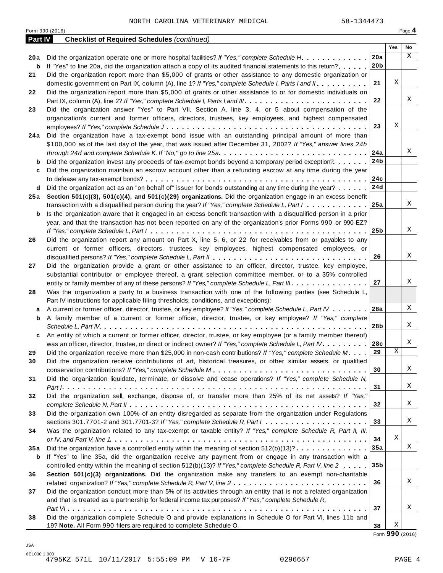Form <sup>990</sup> (2016) Page **4**

| <b>Part IV</b> | <b>Checklist of Required Schedules (continued)</b>                                                                                                                                                            |                 |     |             |
|----------------|---------------------------------------------------------------------------------------------------------------------------------------------------------------------------------------------------------------|-----------------|-----|-------------|
|                |                                                                                                                                                                                                               |                 | Yes | No          |
| 20a            | Did the organization operate one or more hospital facilities? If "Yes," complete Schedule H.                                                                                                                  | 20a             |     | $\mathbf X$ |
| b              | If "Yes" to line 20a, did the organization attach a copy of its audited financial statements to this return?                                                                                                  | 20 <sub>b</sub> |     |             |
| 21             | Did the organization report more than \$5,000 of grants or other assistance to any domestic organization or                                                                                                   |                 |     |             |
|                | domestic government on Part IX, column (A), line 1? If "Yes," complete Schedule I, Parts I and II.                                                                                                            | 21              | Χ   |             |
| 22             | Did the organization report more than \$5,000 of grants or other assistance to or for domestic individuals on                                                                                                 |                 |     |             |
|                |                                                                                                                                                                                                               | 22              |     | X           |
| 23             | Did the organization answer "Yes" to Part VII, Section A, line 3, 4, or 5 about compensation of the                                                                                                           |                 |     |             |
|                | organization's current and former officers, directors, trustees, key employees, and highest compensated                                                                                                       |                 |     |             |
|                |                                                                                                                                                                                                               | 23              | Χ   |             |
| 24 a           | Did the organization have a tax-exempt bond issue with an outstanding principal amount of more than                                                                                                           |                 |     |             |
|                | \$100,000 as of the last day of the year, that was issued after December 31, 2002? If "Yes," answer lines 24b                                                                                                 |                 |     | Χ           |
|                |                                                                                                                                                                                                               | 24a             |     |             |
| b              | Did the organization invest any proceeds of tax-exempt bonds beyond a temporary period exception?                                                                                                             | 24b             |     |             |
| c              | Did the organization maintain an escrow account other than a refunding escrow at any time during the year                                                                                                     |                 |     |             |
|                |                                                                                                                                                                                                               | 24c<br>24d      |     |             |
| d              | Did the organization act as an "on behalf of" issuer for bonds outstanding at any time during the year?                                                                                                       |                 |     |             |
| 25 a           | Section 501(c)(3), 501(c)(4), and 501(c)(29) organizations. Did the organization engage in an excess benefit<br>transaction with a disqualified person during the year? If "Yes," complete Schedule L, Part I | 25a             |     | X           |
|                | Is the organization aware that it engaged in an excess benefit transaction with a disqualified person in a prior                                                                                              |                 |     |             |
| b              | year, and that the transaction has not been reported on any of the organization's prior Forms 990 or 990-EZ?                                                                                                  |                 |     |             |
|                |                                                                                                                                                                                                               | 25 <sub>b</sub> |     | X           |
| 26             | Did the organization report any amount on Part X, line 5, 6, or 22 for receivables from or payables to any                                                                                                    |                 |     |             |
|                | current or former officers, directors, trustees, key employees, highest compensated employees, or                                                                                                             |                 |     |             |
|                |                                                                                                                                                                                                               | 26              |     | Χ           |
| 27             | Did the organization provide a grant or other assistance to an officer, director, trustee, key employee,                                                                                                      |                 |     |             |
|                | substantial contributor or employee thereof, a grant selection committee member, or to a 35% controlled                                                                                                       |                 |     |             |
|                | entity or family member of any of these persons? If "Yes," complete Schedule L, Part III.                                                                                                                     | 27              |     | Χ           |
| 28             | Was the organization a party to a business transaction with one of the following parties (see Schedule L,                                                                                                     |                 |     |             |
|                | Part IV instructions for applicable filing thresholds, conditions, and exceptions):                                                                                                                           |                 |     |             |
| a              | A current or former officer, director, trustee, or key employee? If "Yes," complete Schedule L, Part IV                                                                                                       | 28a             |     | Χ           |
| b              | A family member of a current or former officer, director, trustee, or key employee? If "Yes," complete                                                                                                        |                 |     |             |
|                |                                                                                                                                                                                                               | 28b             |     | Χ           |
| c              | An entity of which a current or former officer, director, trustee, or key employee (or a family member thereof)                                                                                               |                 |     |             |
|                | was an officer, director, trustee, or direct or indirect owner? If "Yes," complete Schedule L, Part IV.                                                                                                       | 28c             |     | Χ           |
| 29             | Did the organization receive more than \$25,000 in non-cash contributions? If "Yes," complete Schedule M.                                                                                                     | 29              | Χ   |             |
| 30             | Did the organization receive contributions of art, historical treasures, or other similar assets, or qualified                                                                                                |                 |     |             |
|                |                                                                                                                                                                                                               | 30              |     | Χ           |
| 31             | Did the organization liquidate, terminate, or dissolve and cease operations? If "Yes," complete Schedule N,                                                                                                   |                 |     |             |
|                |                                                                                                                                                                                                               | 31              |     | X           |
| 32             | Did the organization sell, exchange, dispose of, or transfer more than 25% of its net assets? If "Yes,"                                                                                                       |                 |     |             |
|                |                                                                                                                                                                                                               | 32              |     | Χ           |
| 33             | Did the organization own 100% of an entity disregarded as separate from the organization under Regulations                                                                                                    |                 |     |             |
|                | sections 301.7701-2 and 301.7701-3? If "Yes," complete Schedule R, Part $l_1, \ldots, l_l, \ldots, l_l, \ldots, l_l, \ldots, l_l$                                                                             | 33              |     | Χ           |
| 34             | Was the organization related to any tax-exempt or taxable entity? If "Yes," complete Schedule R, Part II, III,                                                                                                |                 |     |             |
|                |                                                                                                                                                                                                               | 34              | Χ   |             |
| 35a            | Did the organization have a controlled entity within the meaning of section $512(b)(13)? \ldots \ldots \ldots \ldots$                                                                                         | 35a             |     | $\mathbf X$ |
| b              | If "Yes" to line 35a, did the organization receive any payment from or engage in any transaction with a                                                                                                       |                 |     |             |
|                | controlled entity within the meaning of section 512(b)(13)? If "Yes," complete Schedule R, Part V, line 2                                                                                                     | 35 <sub>b</sub> |     |             |
| 36             | Section 501(c)(3) organizations. Did the organization make any transfers to an exempt non-charitable                                                                                                          |                 |     |             |
|                |                                                                                                                                                                                                               | 36              |     | X           |
| 37             | Did the organization conduct more than 5% of its activities through an entity that is not a related organization                                                                                              |                 |     |             |
|                | and that is treated as a partnership for federal income tax purposes? If "Yes," complete Schedule R,                                                                                                          |                 |     |             |
|                |                                                                                                                                                                                                               | 37              |     | Χ           |
| 38             | Did the organization complete Schedule O and provide explanations in Schedule O for Part VI, lines 11b and                                                                                                    |                 | X   |             |
|                | 19? Note. All Form 990 filers are required to complete Schedule O.                                                                                                                                            | 38              |     |             |

Form **990** (2016)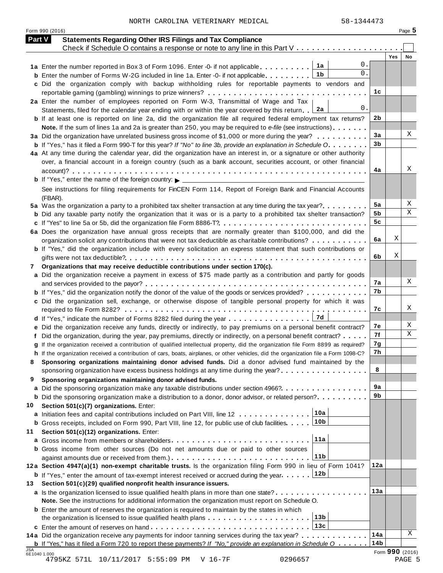Form <sup>990</sup> (2016) Page **5**

| <b>Part V</b> | <b>Statements Regarding Other IRS Filings and Tax Compliance</b>                                                                                                                          |                 |                 |    |
|---------------|-------------------------------------------------------------------------------------------------------------------------------------------------------------------------------------------|-----------------|-----------------|----|
|               | Check if Schedule O contains a response or note to any line in this Part V                                                                                                                |                 | Yes             | No |
|               | 0.<br>1a<br>1a Enter the number reported in Box 3 of Form 1096. Enter -0- if not applicable                                                                                               |                 |                 |    |
|               | 0.<br>1b<br><b>b</b> Enter the number of Forms W-2G included in line 1a. Enter -0- if not applicable                                                                                      |                 |                 |    |
|               | c Did the organization comply with backup withholding rules for reportable payments to vendors and                                                                                        |                 |                 |    |
|               |                                                                                                                                                                                           | 1c              |                 |    |
|               | 2a Enter the number of employees reported on Form W-3, Transmittal of Wage and Tax                                                                                                        |                 |                 |    |
|               | 0.<br>2a<br>Statements, filed for the calendar year ending with or within the year covered by this return                                                                                 |                 |                 |    |
|               | <b>b</b> If at least one is reported on line 2a, did the organization file all required federal employment tax returns?                                                                   | 2b              |                 |    |
|               | Note. If the sum of lines 1a and 2a is greater than 250, you may be required to e-file (see instructions)                                                                                 |                 |                 |    |
|               | 3a Did the organization have unrelated business gross income of \$1,000 or more during the year?                                                                                          | 3a              |                 | X  |
|               | <b>b</b> If "Yes," has it filed a Form 990-T for this year? If "No" to line 3b, provide an explanation in Schedule O.                                                                     | 3 <sub>b</sub>  |                 |    |
|               | 4a At any time during the calendar year, did the organization have an interest in, or a signature or other authority                                                                      |                 |                 |    |
|               | over, a financial account in a foreign country (such as a bank account, securities account, or other financial                                                                            |                 |                 |    |
|               |                                                                                                                                                                                           | 4a              |                 | X  |
|               | <b>b</b> If "Yes," enter the name of the foreign country: $\triangleright$ _____________________                                                                                          |                 |                 |    |
|               | See instructions for filing requirements for FinCEN Form 114, Report of Foreign Bank and Financial Accounts                                                                               |                 |                 |    |
|               | (FBAR).                                                                                                                                                                                   |                 |                 |    |
|               | 5a Was the organization a party to a prohibited tax shelter transaction at any time during the tax year?                                                                                  | 5a              |                 | Χ  |
|               | <b>b</b> Did any taxable party notify the organization that it was or is a party to a prohibited tax shelter transaction?                                                                 | 5b              |                 | Χ  |
|               |                                                                                                                                                                                           | 5c              |                 |    |
|               | 6a Does the organization have annual gross receipts that are normally greater than \$100,000, and did the                                                                                 |                 |                 |    |
|               | organization solicit any contributions that were not tax deductible as charitable contributions?                                                                                          | 6a              | Χ               |    |
|               | <b>b</b> If "Yes," did the organization include with every solicitation an express statement that such contributions or                                                                   |                 |                 |    |
|               |                                                                                                                                                                                           | 6b              | Χ               |    |
| 7             | Organizations that may receive deductible contributions under section 170(c).                                                                                                             |                 |                 |    |
|               | a Did the organization receive a payment in excess of \$75 made partly as a contribution and partly for goods                                                                             |                 |                 |    |
|               |                                                                                                                                                                                           | 7а              |                 | X  |
|               | <b>b</b> If "Yes," did the organization notify the donor of the value of the goods or services provided?                                                                                  | 7b              |                 |    |
|               | c Did the organization sell, exchange, or otherwise dispose of tangible personal property for which it was                                                                                |                 |                 |    |
|               |                                                                                                                                                                                           | 7c              |                 | X  |
|               | 7d<br>d If "Yes," indicate the number of Forms 8282 filed during the year                                                                                                                 |                 |                 |    |
|               | e Did the organization receive any funds, directly or indirectly, to pay premiums on a personal benefit contract?                                                                         | 7е              |                 | X  |
|               | f Did the organization, during the year, pay premiums, directly or indirectly, on a personal benefit contract?                                                                            | 7f              |                 | X  |
|               | g If the organization received a contribution of qualified intellectual property, did the organization file Form 8899 as required?                                                        | 7g              |                 |    |
|               | h If the organization received a contribution of cars, boats, airplanes, or other vehicles, did the organization file a Form 1098-C?                                                      | 7h              |                 |    |
|               | Sponsoring organizations maintaining donor advised funds. Did a donor advised fund maintained by the                                                                                      |                 |                 |    |
|               | sponsoring organization have excess business holdings at any time during the year?                                                                                                        | 8               |                 |    |
| 9             | Sponsoring organizations maintaining donor advised funds.                                                                                                                                 |                 |                 |    |
|               | a Did the sponsoring organization make any taxable distributions under section 4966?                                                                                                      | 9a              |                 |    |
|               | <b>b</b> Did the sponsoring organization make a distribution to a donor, donor advisor, or related person?                                                                                | 9b              |                 |    |
| 10            | Section 501(c)(7) organizations. Enter:                                                                                                                                                   |                 |                 |    |
|               | 10a                                                                                                                                                                                       |                 |                 |    |
|               | a Initiation fees and capital contributions included on Part VIII, line 12<br>10b<br><b>b</b> Gross receipts, included on Form 990, Part VIII, line 12, for public use of club facilities |                 |                 |    |
|               |                                                                                                                                                                                           |                 |                 |    |
| 11            | Section 501(c)(12) organizations. Enter:<br>11a                                                                                                                                           |                 |                 |    |
|               |                                                                                                                                                                                           |                 |                 |    |
|               | <b>b</b> Gross income from other sources (Do not net amounts due or paid to other sources<br>11 <sub>b</sub>                                                                              |                 |                 |    |
|               | 12a Section 4947(a)(1) non-exempt charitable trusts. Is the organization filing Form 990 in lieu of Form 1041?                                                                            | 12a             |                 |    |
|               | 12b                                                                                                                                                                                       |                 |                 |    |
|               | <b>b</b> If "Yes," enter the amount of tax-exempt interest received or accrued during the year                                                                                            |                 |                 |    |
| 13            | Section 501(c)(29) qualified nonprofit health insurance issuers.                                                                                                                          | 13a             |                 |    |
|               | a Is the organization licensed to issue qualified health plans in more than one state?                                                                                                    |                 |                 |    |
|               | Note. See the instructions for additional information the organization must report on Schedule O.                                                                                         |                 |                 |    |
|               | <b>b</b> Enter the amount of reserves the organization is required to maintain by the states in which                                                                                     |                 |                 |    |
|               | 13 <sub>b</sub>                                                                                                                                                                           |                 |                 |    |
|               | 13c                                                                                                                                                                                       |                 |                 |    |
|               | 14a Did the organization receive any payments for indoor tanning services during the tax year?                                                                                            | 14a             |                 | Χ  |
| <b>JSA</b>    | <b>b</b> If "Yes," has it filed a Form 720 to report these payments? If "No," provide an explanation in Schedule $0$                                                                      | 14 <sub>b</sub> |                 |    |
|               | 6E1040 1.000                                                                                                                                                                              |                 | Form 990 (2016) |    |

4795KZ 571L 10/11/2017 5:55:09 PM V 16-7F 0296657 PAGE 5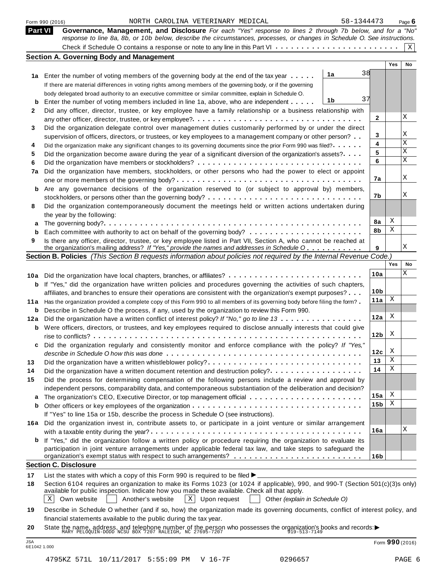|             | 58-1344473<br>NORTH CAROLINA VETERINARY MEDICAL<br>Form 990 (2016)                                                              |                 |     | Page $6$ |
|-------------|---------------------------------------------------------------------------------------------------------------------------------|-----------------|-----|----------|
|             | <b>Part VI</b><br>Governance, Management, and Disclosure For each "Yes" response to lines 2 through 7b below, and for a "No"    |                 |     |          |
|             | response to line 8a, 8b, or 10b below, describe the circumstances, processes, or changes in Schedule O. See instructions.       |                 |     | Χ        |
|             | <b>Section A. Governing Body and Management</b>                                                                                 |                 |     |          |
|             |                                                                                                                                 |                 | Yes | No       |
|             | 38<br>1a<br>1a Enter the number of voting members of the governing body at the end of the tax year                              |                 |     |          |
|             | If there are material differences in voting rights among members of the governing body, or if the governing                     |                 |     |          |
|             | body delegated broad authority to an executive committee or similar committee, explain in Schedule O.                           |                 |     |          |
| b           | 37<br>1b<br>Enter the number of voting members included in line 1a, above, who are independent                                  |                 |     |          |
| 2           | Did any officer, director, trustee, or key employee have a family relationship or a business relationship with                  |                 |     |          |
|             |                                                                                                                                 | 2               |     | X        |
| 3           | Did the organization delegate control over management duties customarily performed by or under the direct                       |                 |     |          |
|             | supervision of officers, directors, or trustees, or key employees to a management company or other person?                      | 3               |     | Χ        |
| 4           | Did the organization make any significant changes to its governing documents since the prior Form 990 was filed?                | 4               |     | X        |
| 5           | Did the organization become aware during the year of a significant diversion of the organization's assets?                      | 5               |     | X        |
| 6           |                                                                                                                                 | 6               |     | X        |
| 7a          | Did the organization have members, stockholders, or other persons who had the power to elect or appoint                         |                 |     |          |
|             |                                                                                                                                 | 7a              |     | X        |
| b           | Are any governance decisions of the organization reserved to (or subject to approval by) members,                               |                 |     |          |
|             |                                                                                                                                 | 7b              |     | Χ        |
| 8           | Did the organization contemporaneously document the meetings held or written actions undertaken during                          |                 |     |          |
|             | the year by the following:                                                                                                      |                 |     |          |
| a           |                                                                                                                                 | 8a              | Χ   |          |
| b           |                                                                                                                                 | 8b              | Χ   |          |
| 9           | Is there any officer, director, trustee, or key employee listed in Part VII, Section A, who cannot be reached at                |                 |     |          |
|             | the organization's mailing address? If "Yes," provide the names and addresses in Schedule O                                     | 9               |     | Χ        |
|             | Section B. Policies (This Section B requests information about policies not required by the Internal Revenue Code.)             |                 | Yes | No       |
|             |                                                                                                                                 |                 |     | Χ        |
|             | 10a Did the organization have local chapters, branches, or affiliates?                                                          | 10a             |     |          |
| b           | If "Yes," did the organization have written policies and procedures governing the activities of such chapters,                  |                 |     |          |
|             | affiliates, and branches to ensure their operations are consistent with the organization's exempt purposes?                     | 10 <sub>b</sub> | Χ   |          |
| 11 a        | Has the organization provided a complete copy of this Form 990 to all members of its governing body before filing the form?     | 11a             |     |          |
| b           | Describe in Schedule O the process, if any, used by the organization to review this Form 990.                                   | 12a             | Χ   |          |
| 12a         | Did the organization have a written conflict of interest policy? If "No," go to line 13                                         |                 |     |          |
| b           | Were officers, directors, or trustees, and key employees required to disclose annually interests that could give                | 12 <sub>b</sub> | X   |          |
|             | Did the organization regularly and consistently monitor and enforce compliance with the policy? If "Yes,"                       |                 |     |          |
|             |                                                                                                                                 | 12c             | X   |          |
| 13          | Did the organization have a written whistleblower policy?                                                                       | 13              | Χ   |          |
| 14          | Did the organization have a written document retention and destruction policy?                                                  | 14              | Χ   |          |
| 15          | Did the process for determining compensation of the following persons include a review and approval by                          |                 |     |          |
|             | independent persons, comparability data, and contemporaneous substantiation of the deliberation and decision?                   |                 |     |          |
| а           | The organization's CEO, Executive Director, or top management official                                                          | 15a             | Χ   |          |
| $\mathbf b$ |                                                                                                                                 | 15 <sub>b</sub> | Χ   |          |
|             | If "Yes" to line 15a or 15b, describe the process in Schedule O (see instructions).                                             |                 |     |          |
|             | 16a Did the organization invest in, contribute assets to, or participate in a joint venture or similar arrangement              |                 |     |          |
|             |                                                                                                                                 | 16a             |     | Χ        |
| b           | If "Yes," did the organization follow a written policy or procedure requiring the organization to evaluate its                  |                 |     |          |
|             | participation in joint venture arrangements under applicable federal tax law, and take steps to safeguard the                   |                 |     |          |
|             |                                                                                                                                 | 16b             |     |          |
|             | <b>Section C. Disclosure</b>                                                                                                    |                 |     |          |
| 17          | List the states with which a copy of this Form 990 is required to be filed $\blacktriangleright$ .                              |                 |     |          |
| 18          | Section 6104 requires an organization to make its Forms 1023 (or 1024 if applicable), 990, and 990-T (Section 501(c)(3)s only)  |                 |     |          |
|             | available for public inspection. Indicate how you made these available. Check all that apply.                                   |                 |     |          |
|             | $X$ Upon request<br>Own website<br>$X \mid$<br>Another's website<br>Other (explain in Schedule O)                               |                 |     |          |
| 19          | Describe in Schedule O whether (and if so, how) the organization made its governing documents, conflict of interest policy, and |                 |     |          |
|             | financial statements available to the public during the tax year.                                                               |                 |     |          |
|             |                                                                                                                                 |                 |     |          |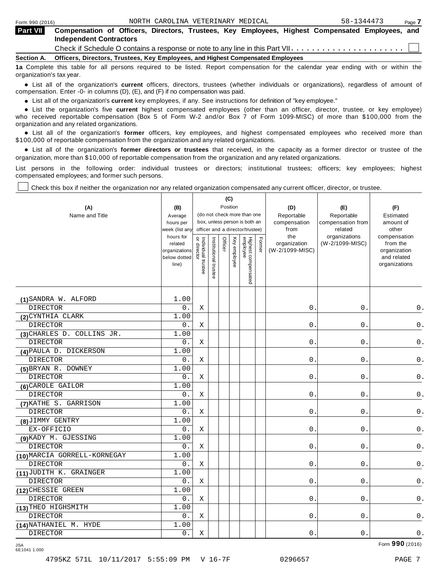| <b>Part VII</b> | Compensation of Officers, Directors, Trustees, Key Employees, Highest Compensated Employees, and<br><b>Independent Contractors</b> |
|-----------------|------------------------------------------------------------------------------------------------------------------------------------|
|                 |                                                                                                                                    |
| Section A.      | Officers, Directors, Trustees, Key Employees, and Highest Compensated Employees                                                    |

**1a** Complete this table for all persons required to be listed. Report compensation for the calendar year ending with or within the organization's tax year.

anization's lax year.<br>● List all of the organization's **current** officers, directors, trustees (whether individuals or organizations), regardless of amount of<br>nnensation Enter -0- in columns (D) (E) and (E) if no compensa compensation. Enter -0- in columns (D), (E), and (F) if no compensation was paid.

• List all of the organization's **current** key employees, if any. See instructions for definition of "key employee."<br>● List the experientials five expect highest expressed explores (other than an efficer director of

**Example in the organization's current** key employees, if any. See instructions for definition of key employee.<br>• List the organization's five **current** highest compensated employees (other than an officer, director, trust who received reportable compensation (Box 5 of Form W-2 and/or Box 7 of Form 1099-MISC) of more than \$100,000 from the

organization and any related organizations.<br>• List all of the organization's **former** officers, key employees, and highest compensated employees who received more than<br>\$1.00.000 of reportable componention from the erganiza \$100,000 of reportable compensation from the organization and any related organizations.

% List all of the organization's **former directors or trustees** that received, in the capacity as a former director or trustee of the organization, more than \$10,000 of reportable compensation from the organization and any related organizations.

List persons in the following order: individual trustees or directors; institutional trustees; officers; key employees; highest compensated employees; and former such persons.

Check this box if neither the organization nor any related organization compensated any current officer, director, or trustee.

| (A)<br>Name and Title        | (B)<br>Average<br>hours per<br>week (list any<br>hours for<br>related<br>organizations<br>below dotted<br>line) | Individual trustee<br>or director | Institutional trustee | (C)<br>Position<br>Officer | Key employee | (do not check more than one<br>box, unless person is both an<br>officer and a director/trustee)<br>Highest compensated<br>employee | Fomer | (D)<br>Reportable<br>compensation<br>from<br>the<br>organization<br>(W-2/1099-MISC) | (E)<br>Reportable<br>compensation from<br>related<br>organizations<br>(W-2/1099-MISC) | (F)<br>Estimated<br>amount of<br>other<br>compensation<br>from the<br>organization<br>and related<br>organizations |
|------------------------------|-----------------------------------------------------------------------------------------------------------------|-----------------------------------|-----------------------|----------------------------|--------------|------------------------------------------------------------------------------------------------------------------------------------|-------|-------------------------------------------------------------------------------------|---------------------------------------------------------------------------------------|--------------------------------------------------------------------------------------------------------------------|
| (1) SANDRA W. ALFORD         | 1.00                                                                                                            |                                   |                       |                            |              |                                                                                                                                    |       |                                                                                     |                                                                                       |                                                                                                                    |
| <b>DIRECTOR</b>              | 0.                                                                                                              | X                                 |                       |                            |              |                                                                                                                                    |       | 0.                                                                                  | $0$ .                                                                                 | 0.                                                                                                                 |
| (2) CYNTHIA CLARK            | 1.00                                                                                                            |                                   |                       |                            |              |                                                                                                                                    |       |                                                                                     |                                                                                       |                                                                                                                    |
| <b>DIRECTOR</b>              | 0.                                                                                                              | Χ                                 |                       |                            |              |                                                                                                                                    |       | $0$ .                                                                               | $0$ .                                                                                 | $\mathsf 0$ .                                                                                                      |
| (3) CHARLES D. COLLINS JR.   | 1.00                                                                                                            |                                   |                       |                            |              |                                                                                                                                    |       |                                                                                     |                                                                                       |                                                                                                                    |
| <b>DIRECTOR</b>              | 0.                                                                                                              | X                                 |                       |                            |              |                                                                                                                                    |       | 0.                                                                                  | $0$ .                                                                                 | $0$ .                                                                                                              |
| (4) PAULA D. DICKERSON       | 1.00                                                                                                            |                                   |                       |                            |              |                                                                                                                                    |       |                                                                                     |                                                                                       |                                                                                                                    |
| <b>DIRECTOR</b>              | 0.                                                                                                              | Χ                                 |                       |                            |              |                                                                                                                                    |       | 0.                                                                                  | $0$ .                                                                                 | $\mathsf 0$ .                                                                                                      |
| (5) BRYAN R. DOWNEY          | 1.00                                                                                                            |                                   |                       |                            |              |                                                                                                                                    |       |                                                                                     |                                                                                       |                                                                                                                    |
| <b>DIRECTOR</b>              | 0.                                                                                                              | X                                 |                       |                            |              |                                                                                                                                    |       | $0$ .                                                                               | $0$ .                                                                                 | $\mathsf 0$ .                                                                                                      |
| (6) CAROLE GAILOR            | 1.00                                                                                                            |                                   |                       |                            |              |                                                                                                                                    |       |                                                                                     |                                                                                       |                                                                                                                    |
| <b>DIRECTOR</b>              | 0.                                                                                                              | Χ                                 |                       |                            |              |                                                                                                                                    |       | 0.                                                                                  | $0$ .                                                                                 | 0.                                                                                                                 |
| (7) KATHE S. GARRISON        | 1.00                                                                                                            |                                   |                       |                            |              |                                                                                                                                    |       |                                                                                     |                                                                                       |                                                                                                                    |
| <b>DIRECTOR</b>              | 0.                                                                                                              | Χ                                 |                       |                            |              |                                                                                                                                    |       | 0.                                                                                  | 0.                                                                                    | $0$ .                                                                                                              |
| (8) JIMMY GENTRY             | 1.00                                                                                                            |                                   |                       |                            |              |                                                                                                                                    |       |                                                                                     |                                                                                       |                                                                                                                    |
| EX-OFFICIO                   | 0.                                                                                                              | X                                 |                       |                            |              |                                                                                                                                    |       | 0.                                                                                  | $0$ .                                                                                 | $0$ .                                                                                                              |
| (9) KADY M. GJESSING         | 1.00                                                                                                            |                                   |                       |                            |              |                                                                                                                                    |       |                                                                                     |                                                                                       |                                                                                                                    |
| <b>DIRECTOR</b>              | 0.                                                                                                              | X                                 |                       |                            |              |                                                                                                                                    |       | 0.                                                                                  | $0$ .                                                                                 | $0$ .                                                                                                              |
| (10) MARCIA GORRELL-KORNEGAY | 1.00                                                                                                            |                                   |                       |                            |              |                                                                                                                                    |       |                                                                                     |                                                                                       |                                                                                                                    |
| DIRECTOR                     | 0.                                                                                                              | X                                 |                       |                            |              |                                                                                                                                    |       | 0.                                                                                  | 0.                                                                                    | $0$ .                                                                                                              |
| (11) JUDITH K. GRAINGER      | 1.00                                                                                                            |                                   |                       |                            |              |                                                                                                                                    |       |                                                                                     |                                                                                       |                                                                                                                    |
| DIRECTOR                     | 0.                                                                                                              | Χ                                 |                       |                            |              |                                                                                                                                    |       | 0.                                                                                  | 0.                                                                                    | $0$ .                                                                                                              |
| (12) CHESSIE GREEN           | 1.00                                                                                                            |                                   |                       |                            |              |                                                                                                                                    |       |                                                                                     |                                                                                       |                                                                                                                    |
| <b>DIRECTOR</b>              | 0.                                                                                                              | X                                 |                       |                            |              |                                                                                                                                    |       | 0.                                                                                  | 0.                                                                                    | 0.                                                                                                                 |
| (13) THEO HIGHSMITH          | 1.00                                                                                                            |                                   |                       |                            |              |                                                                                                                                    |       |                                                                                     |                                                                                       |                                                                                                                    |
| <b>DIRECTOR</b>              | 0.                                                                                                              | X                                 |                       |                            |              |                                                                                                                                    |       | $0$ .                                                                               | $0$ .                                                                                 | $\mathsf 0$ .                                                                                                      |
| (14) NATHANIEL M. HYDE       | 1.00                                                                                                            |                                   |                       |                            |              |                                                                                                                                    |       |                                                                                     |                                                                                       |                                                                                                                    |
| <b>DIRECTOR</b>              | $0$ .                                                                                                           | Χ                                 |                       |                            |              |                                                                                                                                    |       | $0$ .                                                                               | $0$ .                                                                                 | $0$ .                                                                                                              |

Form **990** (2016) JSA 6E1041 1.000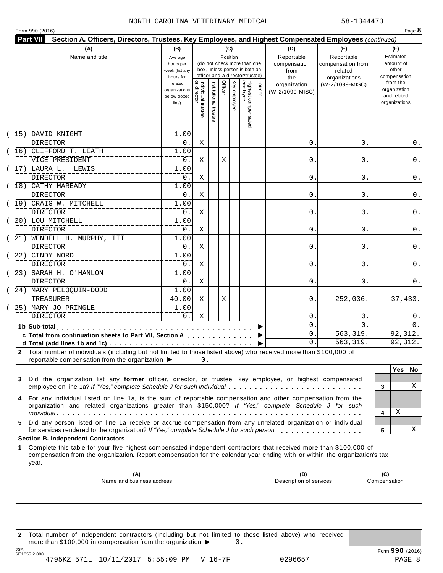|    | Section A. Officers, Directors, Trustees, Key Employees, and Highest Compensated Employees (continued)<br>(A)                                                                                                                                    | (B)                                                            |                                     |                       | (C)                                                                                                            |          |                                                                                                 | (D)                                | (E)                                                                      |     | (F)                             |     |
|----|--------------------------------------------------------------------------------------------------------------------------------------------------------------------------------------------------------------------------------------------------|----------------------------------------------------------------|-------------------------------------|-----------------------|----------------------------------------------------------------------------------------------------------------|----------|-------------------------------------------------------------------------------------------------|------------------------------------|--------------------------------------------------------------------------|-----|---------------------------------|-----|
|    | Name and title                                                                                                                                                                                                                                   | Average<br>hours per<br>week (list any                         |                                     |                       |                                                                                                                | Position | (do not check more than one<br>box, unless person is both an<br>officer and a director/trustee) | Reportable<br>compensation<br>from | Reportable<br>compensation from<br>related                               |     | Estimated<br>amount of<br>other |     |
|    |                                                                                                                                                                                                                                                  | hours for<br>related<br>organizations<br>below dotted<br>line) | Individual trustee<br>  or director | Institutional trustee | the<br>Highest compensated<br>employee<br>Officer<br>Key employee<br>Former<br>organization<br>(W-2/1099-MISC) |          | organizations<br>(W-2/1099-MISC)                                                                |                                    | compensation<br>from the<br>organization<br>and related<br>organizations |     |                                 |     |
|    | 15) DAVID KNIGHT<br><b>DIRECTOR</b>                                                                                                                                                                                                              | 1.00<br>0.                                                     | Χ                                   |                       |                                                                                                                |          |                                                                                                 | 0.                                 | 0                                                                        |     |                                 | 0.  |
|    | (16) CLIFFORD T. LEATH                                                                                                                                                                                                                           | 1.00                                                           |                                     |                       |                                                                                                                |          |                                                                                                 |                                    |                                                                          |     |                                 |     |
|    | VICE PRESIDENT                                                                                                                                                                                                                                   | 0.                                                             | Χ                                   |                       | Χ                                                                                                              |          |                                                                                                 | 0.                                 | 0                                                                        |     |                                 | 0.  |
|    | 17) LAURA L. LEWIS                                                                                                                                                                                                                               | 1.00                                                           |                                     |                       |                                                                                                                |          |                                                                                                 |                                    |                                                                          |     |                                 |     |
|    | DIRECTOR                                                                                                                                                                                                                                         | 0.                                                             | Χ                                   |                       |                                                                                                                |          |                                                                                                 | 0.                                 | 0                                                                        |     |                                 | 0.  |
|    | 18) CATHY MAREADY                                                                                                                                                                                                                                | 1.00                                                           |                                     |                       |                                                                                                                |          |                                                                                                 |                                    |                                                                          |     |                                 |     |
|    | DIRECTOR                                                                                                                                                                                                                                         | 0.                                                             | Χ                                   |                       |                                                                                                                |          |                                                                                                 | 0.                                 | 0                                                                        |     |                                 | 0.  |
|    | (19) CRAIG W. MITCHELL                                                                                                                                                                                                                           | 1.00                                                           |                                     |                       |                                                                                                                |          |                                                                                                 |                                    |                                                                          |     |                                 |     |
|    | DIRECTOR                                                                                                                                                                                                                                         | 0.                                                             | Χ                                   |                       |                                                                                                                |          |                                                                                                 | 0.                                 | 0                                                                        |     |                                 | 0.  |
|    | 20) LOU MITCHELL                                                                                                                                                                                                                                 | 1.00                                                           |                                     |                       |                                                                                                                |          |                                                                                                 |                                    |                                                                          |     |                                 |     |
|    |                                                                                                                                                                                                                                                  |                                                                |                                     |                       |                                                                                                                |          |                                                                                                 |                                    |                                                                          |     |                                 |     |
|    | <b>DIRECTOR</b>                                                                                                                                                                                                                                  | 0.                                                             | Χ                                   |                       |                                                                                                                |          |                                                                                                 | 0.                                 | 0                                                                        |     |                                 | 0.  |
|    | 21) WENDELL H. MURPHY, III                                                                                                                                                                                                                       | 1.00                                                           |                                     |                       |                                                                                                                |          |                                                                                                 |                                    |                                                                          |     |                                 |     |
|    | <b>DIRECTOR</b>                                                                                                                                                                                                                                  | 0.                                                             | Χ                                   |                       |                                                                                                                |          |                                                                                                 | 0.                                 | 0                                                                        |     |                                 | 0.  |
|    | 22) CINDY NORD                                                                                                                                                                                                                                   | 1.00                                                           |                                     |                       |                                                                                                                |          |                                                                                                 |                                    |                                                                          |     |                                 |     |
|    | <b>DIRECTOR</b>                                                                                                                                                                                                                                  | 0.                                                             | Χ                                   |                       |                                                                                                                |          |                                                                                                 | 0.                                 | 0                                                                        |     |                                 | 0.  |
|    | 23) SARAH H. O'HANLON                                                                                                                                                                                                                            | 1.00                                                           |                                     |                       |                                                                                                                |          |                                                                                                 |                                    |                                                                          |     |                                 |     |
|    | DIRECTOR                                                                                                                                                                                                                                         | 0.                                                             | Χ                                   |                       |                                                                                                                |          |                                                                                                 | 0.                                 | 0                                                                        |     |                                 | 0.  |
|    | (24) MARY PELOQUIN-DODD                                                                                                                                                                                                                          | 1.00                                                           |                                     |                       |                                                                                                                |          |                                                                                                 |                                    |                                                                          |     |                                 |     |
|    | TREASURER                                                                                                                                                                                                                                        | 40.00                                                          | Χ                                   |                       | Χ                                                                                                              |          |                                                                                                 | 0.                                 | 252,036.                                                                 |     | 37,433.                         |     |
|    | 25) MARY JO PRINGLE                                                                                                                                                                                                                              | 1.00                                                           |                                     |                       |                                                                                                                |          |                                                                                                 |                                    |                                                                          |     |                                 |     |
|    | <b>DIRECTOR</b>                                                                                                                                                                                                                                  | 0.                                                             | Χ                                   |                       |                                                                                                                |          |                                                                                                 | 0.                                 | 0                                                                        |     |                                 | 0.  |
|    | 1b Sub-total<br>.                                                                                                                                                                                                                                |                                                                |                                     |                       |                                                                                                                |          |                                                                                                 | 0.                                 | 0                                                                        |     |                                 | 0.  |
|    | c Total from continuation sheets to Part VII, Section A                                                                                                                                                                                          |                                                                |                                     |                       |                                                                                                                |          |                                                                                                 | 0.                                 | 563,319.                                                                 |     | 92,312.                         |     |
|    |                                                                                                                                                                                                                                                  |                                                                |                                     |                       |                                                                                                                |          |                                                                                                 | 0.                                 | 563,319.                                                                 |     | 92,312.                         |     |
|    | 2 Total number of individuals (including but not limited to those listed above) who received more than \$100,000 of<br>reportable compensation from the organization $\blacktriangleright$                                                       |                                                                | 0.                                  |                       |                                                                                                                |          |                                                                                                 |                                    |                                                                          |     |                                 |     |
|    |                                                                                                                                                                                                                                                  |                                                                |                                     |                       |                                                                                                                |          |                                                                                                 |                                    |                                                                          |     | <b>Yes</b>                      | No. |
| 3  | Did the organization list any former officer, director, or trustee, key employee, or highest compensated                                                                                                                                         |                                                                |                                     |                       |                                                                                                                |          |                                                                                                 |                                    |                                                                          |     |                                 |     |
|    | employee on line 1a? If "Yes," complete Schedule J for such individual                                                                                                                                                                           |                                                                |                                     |                       |                                                                                                                |          |                                                                                                 |                                    |                                                                          | 3   |                                 | X   |
|    |                                                                                                                                                                                                                                                  |                                                                |                                     |                       |                                                                                                                |          |                                                                                                 |                                    |                                                                          |     |                                 |     |
| 4  | For any individual listed on line 1a, is the sum of reportable compensation and other compensation from the<br>organization and related organizations greater than \$150,000? If "Yes," complete Schedule J for such                             |                                                                |                                     |                       |                                                                                                                |          |                                                                                                 |                                    |                                                                          |     | х                               |     |
|    |                                                                                                                                                                                                                                                  |                                                                |                                     |                       |                                                                                                                |          |                                                                                                 |                                    |                                                                          | 4   |                                 |     |
| 5. | Did any person listed on line 1a receive or accrue compensation from any unrelated organization or individual<br>for services rendered to the organization? If "Yes," complete Schedule J for such person                                        |                                                                |                                     |                       |                                                                                                                |          |                                                                                                 |                                    |                                                                          | 5   |                                 | Χ   |
|    | <b>Section B. Independent Contractors</b>                                                                                                                                                                                                        |                                                                |                                     |                       |                                                                                                                |          |                                                                                                 |                                    |                                                                          |     |                                 |     |
|    | Complete this table for your five highest compensated independent contractors that received more than \$100,000 of<br>compensation from the organization. Report compensation for the calendar year ending with or within the organization's tax |                                                                |                                     |                       |                                                                                                                |          |                                                                                                 |                                    |                                                                          |     |                                 |     |
|    | year.                                                                                                                                                                                                                                            |                                                                |                                     |                       |                                                                                                                |          |                                                                                                 |                                    |                                                                          |     |                                 |     |
| 1  | (A)                                                                                                                                                                                                                                              |                                                                |                                     |                       |                                                                                                                |          |                                                                                                 | (B)                                |                                                                          | (C) |                                 |     |

**2** Total number of independent contractors (including but not limited to those listed above) who received more than \$100,000 in compensation from the organization  $\triangleright$  0.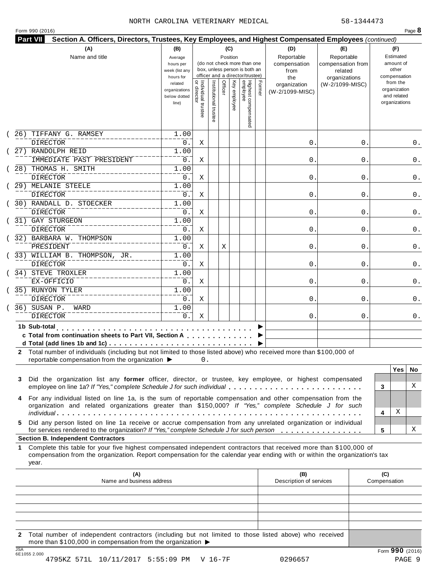| Form 990 (2016) |  |  |  |
|-----------------|--|--|--|
|-----------------|--|--|--|

| (A)<br>Name and title                                                                                                                                                                                                                                                                                        | (B)<br>(C)<br>Position<br>Average<br>(do not check more than one<br>hours per<br>box, unless person is both an<br>week (list any<br>officer and a director/trustee)<br>hours for |                                     |                       |         |              |                                 |        | (D)<br>Reportable<br>compensation<br>from<br>the | (E)<br>Reportable<br>compensation from<br>related<br>organizations | (F)<br>Estimated<br>amount of<br>other<br>compensation   |                   |
|--------------------------------------------------------------------------------------------------------------------------------------------------------------------------------------------------------------------------------------------------------------------------------------------------------------|----------------------------------------------------------------------------------------------------------------------------------------------------------------------------------|-------------------------------------|-----------------------|---------|--------------|---------------------------------|--------|--------------------------------------------------|--------------------------------------------------------------------|----------------------------------------------------------|-------------------|
|                                                                                                                                                                                                                                                                                                              | related<br>organizations<br>below dotted<br>line)                                                                                                                                | Individual trustee<br>  or director | Institutional trustee | Officer | Key employee | Highest compensated<br>employee | Former | organization<br>(W-2/1099-MISC)                  | (W-2/1099-MISC)                                                    | from the<br>organization<br>and related<br>organizations |                   |
| TIFFANY G. RAMSEY<br>26)<br>DIRECTOR                                                                                                                                                                                                                                                                         | 1.00<br>0.                                                                                                                                                                       | Χ                                   |                       |         |              |                                 |        | 0.                                               | 0                                                                  |                                                          | 0.                |
| 27) RANDOLPH REID<br>IMMEDIATE PAST PRESIDENT                                                                                                                                                                                                                                                                | 1.00<br>0.                                                                                                                                                                       | Χ                                   |                       |         |              |                                 |        | 0.                                               | 0                                                                  |                                                          | 0.                |
| 28) THOMAS H. SMITH<br><b>DIRECTOR</b>                                                                                                                                                                                                                                                                       | 1.00<br>0.                                                                                                                                                                       | Χ                                   |                       |         |              |                                 |        | 0.                                               | 0                                                                  |                                                          | 0.                |
| 29) MELANIE STEELE<br>DIRECTOR                                                                                                                                                                                                                                                                               | 1.00<br>0.                                                                                                                                                                       | Χ                                   |                       |         |              |                                 |        | 0.                                               | 0                                                                  |                                                          | 0.                |
| 30) RANDALL D. STOECKER<br>DIRECTOR                                                                                                                                                                                                                                                                          | 1.00<br>0.                                                                                                                                                                       | Χ                                   |                       |         |              |                                 |        | 0.                                               | 0                                                                  |                                                          | 0.                |
| 31) GAY STURGEON<br><b>DIRECTOR</b>                                                                                                                                                                                                                                                                          | 1.00<br>0.                                                                                                                                                                       | Χ                                   |                       |         |              |                                 |        | 0.                                               | 0                                                                  |                                                          | 0.                |
| 32) BARBARA W. THOMPSON<br>PRESIDENT                                                                                                                                                                                                                                                                         | 1.00<br>0.                                                                                                                                                                       | Χ                                   |                       | Χ       |              |                                 |        | 0.                                               | 0                                                                  |                                                          | 0.                |
| 33) WILLIAM B. THOMPSON, JR.<br>DIRECTOR                                                                                                                                                                                                                                                                     | 1.00<br>0.                                                                                                                                                                       | Χ                                   |                       |         |              |                                 |        | 0.                                               | 0                                                                  |                                                          | 0.                |
| 34) STEVE TROXLER<br>EX-OFFICIO                                                                                                                                                                                                                                                                              | 1.00<br>0.                                                                                                                                                                       | Χ                                   |                       |         |              |                                 |        | 0.                                               | 0                                                                  |                                                          | 0.                |
| 35) RUNYON TYLER<br><b>DIRECTOR</b>                                                                                                                                                                                                                                                                          | 1.00<br>0.                                                                                                                                                                       | Χ                                   |                       |         |              |                                 |        | 0.                                               | 0                                                                  |                                                          | 0.                |
| 36) SUSAN P.<br>WARD<br><b>DIRECTOR</b>                                                                                                                                                                                                                                                                      | 1.00<br>0.                                                                                                                                                                       | Χ                                   |                       |         |              |                                 |        | 0.                                               | 0                                                                  |                                                          | 0.                |
| 1b Sub-total<br>c Total from continuation sheets to Part VII, Section A<br>2 Total number of individuals (including but not limited to those listed above) who received more than \$100,000 of<br>reportable compensation from the organization ▶                                                            |                                                                                                                                                                                  | 0.                                  |                       |         |              |                                 |        |                                                  |                                                                    |                                                          | <b>Yes</b><br>No. |
| Did the organization list any former officer, director, or trustee, key employee, or highest compensated<br>3<br>employee on line 1a? If "Yes," complete Schedule J for such individual<br>For any individual listed on line 1a, is the sum of reportable compensation and other compensation from the<br>4  |                                                                                                                                                                                  |                                     |                       |         |              |                                 |        |                                                  |                                                                    | 3                                                        | X                 |
| organization and related organizations greater than \$150,000? If "Yes," complete Schedule J for such                                                                                                                                                                                                        |                                                                                                                                                                                  |                                     |                       |         |              |                                 |        |                                                  |                                                                    | Χ<br>4                                                   |                   |
| Did any person listed on line 1a receive or accrue compensation from any unrelated organization or individual<br>5.<br>for services rendered to the organization? If "Yes," complete Schedule J for such person                                                                                              |                                                                                                                                                                                  |                                     |                       |         |              |                                 |        |                                                  |                                                                    | 5                                                        | х                 |
| <b>Section B. Independent Contractors</b><br>Complete this table for your five highest compensated independent contractors that received more than \$100,000 of<br>1.<br>compensation from the organization. Report compensation for the calendar year ending with or within the organization's tax<br>year. |                                                                                                                                                                                  |                                     |                       |         |              |                                 |        |                                                  |                                                                    |                                                          |                   |
| (A)<br>Name and business address                                                                                                                                                                                                                                                                             |                                                                                                                                                                                  |                                     |                       |         |              |                                 |        | (B)<br>Description of services                   |                                                                    | (C)<br>Compensation                                      |                   |
| Total number of independent contractors (including but not limited to those listed above) who received<br>$\mathbf{2}$                                                                                                                                                                                       |                                                                                                                                                                                  |                                     |                       |         |              |                                 |        |                                                  |                                                                    |                                                          |                   |

JSA Form **990** (2016) 6E1055 2.000 4795KZ 571L 10/11/2017 5:55:09 PM V 16-7F 0296657 PAGE 9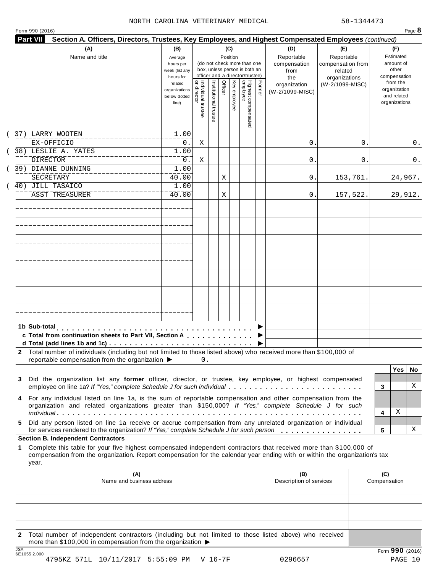| Form 990 (2016) | Page $\delta$ |
|-----------------|---------------|
|-----------------|---------------|

| (A)<br>Name and title                                                                                                                                                                                                                                                    | (B)<br>Average<br>hours per<br>week (list any                  |                                |                     | (C)<br>Position         | (do not check more than one<br>box, unless person is both an       |        | (D)<br>Reportable<br>compensation<br>from | (E)<br>Reportable<br>compensation from<br>related |                     | (F)<br>Estimated<br>amount of<br>other                                   |         |
|--------------------------------------------------------------------------------------------------------------------------------------------------------------------------------------------------------------------------------------------------------------------------|----------------------------------------------------------------|--------------------------------|---------------------|-------------------------|--------------------------------------------------------------------|--------|-------------------------------------------|---------------------------------------------------|---------------------|--------------------------------------------------------------------------|---------|
|                                                                                                                                                                                                                                                                          | hours for<br>related<br>organizations<br>below dotted<br>line) | Individual trustee<br>director | Institutional trust | Officer<br>Key employee | officer and a director/trustee)<br>Highest compensated<br>employee | Former | the<br>organization<br>(W-2/1099-MISC)    | organizations<br>(W-2/1099-MISC)                  |                     | compensation<br>from the<br>organization<br>and related<br>organizations |         |
| 37) LARRY WOOTEN<br>EX-OFFICIO                                                                                                                                                                                                                                           | 1.00<br>0.                                                     | Χ                              |                     |                         |                                                                    |        | 0                                         | 0.                                                |                     |                                                                          | 0.      |
| 38) LESLIE A. YATES<br><b>DIRECTOR</b>                                                                                                                                                                                                                                   | 1.00<br>0.                                                     | Χ                              |                     |                         |                                                                    |        | $\mathsf{O}$ .                            | 0.                                                |                     |                                                                          | 0.      |
| 39) DIANNE DUNNING<br>SECRETARY                                                                                                                                                                                                                                          | 1.00<br>40.00                                                  |                                |                     | Χ                       |                                                                    |        | Ο.                                        | 153,761.                                          |                     | 24,967.                                                                  |         |
| 40) JILL TASAICO<br><b>ASST TREASURER</b>                                                                                                                                                                                                                                | 1.00<br>40.00                                                  |                                |                     | Χ                       |                                                                    |        | 0.                                        | 157,522.                                          |                     | 29,912.                                                                  |         |
|                                                                                                                                                                                                                                                                          |                                                                |                                |                     |                         |                                                                    |        |                                           |                                                   |                     |                                                                          |         |
|                                                                                                                                                                                                                                                                          |                                                                |                                |                     |                         |                                                                    |        |                                           |                                                   |                     |                                                                          |         |
|                                                                                                                                                                                                                                                                          |                                                                |                                |                     |                         |                                                                    |        |                                           |                                                   |                     |                                                                          |         |
|                                                                                                                                                                                                                                                                          |                                                                |                                |                     |                         |                                                                    |        |                                           |                                                   |                     |                                                                          |         |
|                                                                                                                                                                                                                                                                          |                                                                |                                |                     |                         |                                                                    |        |                                           |                                                   |                     |                                                                          |         |
| 1b Sub-total<br>c Total from continuation sheets to Part VII, Section A<br>2 Total number of individuals (including but not limited to those listed above) who received more than \$100,000 of<br>reportable compensation from the organization $\blacktriangleright$ 0. |                                                                |                                |                     |                         |                                                                    |        |                                           |                                                   |                     |                                                                          |         |
| Did the organization list any former officer, director, or trustee, key employee, or highest compensated<br>3<br>employee on line 1a? If "Yes," complete Schedule J for such individual                                                                                  |                                                                |                                |                     |                         |                                                                    |        |                                           |                                                   | 3                   | Yes                                                                      | No<br>Χ |
| For any individual listed on line 1a, is the sum of reportable compensation and other compensation from the<br>organization and related organizations greater than \$150,000? If "Yes," complete Schedule J for such                                                     |                                                                |                                |                     |                         |                                                                    |        |                                           |                                                   | 4                   | Χ                                                                        |         |
| Did any person listed on line 1a receive or accrue compensation from any unrelated organization or individual<br>5.<br>for services rendered to the organization? If "Yes," complete Schedule J for such person<br><b>Section B. Independent Contractors</b>             |                                                                |                                |                     |                         |                                                                    |        |                                           |                                                   | 5                   |                                                                          | Χ       |
| Complete this table for your five highest compensated independent contractors that received more than \$100,000 of<br>1<br>compensation from the organization. Report compensation for the calendar year ending with or within the organization's tax<br>year.           |                                                                |                                |                     |                         |                                                                    |        |                                           |                                                   |                     |                                                                          |         |
| (A)<br>Name and business address                                                                                                                                                                                                                                         |                                                                |                                |                     |                         |                                                                    |        | (B)<br>Description of services            |                                                   | (C)<br>Compensation |                                                                          |         |
|                                                                                                                                                                                                                                                                          |                                                                |                                |                     |                         |                                                                    |        |                                           |                                                   |                     |                                                                          |         |
| 2 Total number of independent contractors (including but not limited to those listed above) who received<br>more than \$100,000 in compensation from the organization ▶                                                                                                  |                                                                |                                |                     |                         |                                                                    |        |                                           |                                                   |                     |                                                                          |         |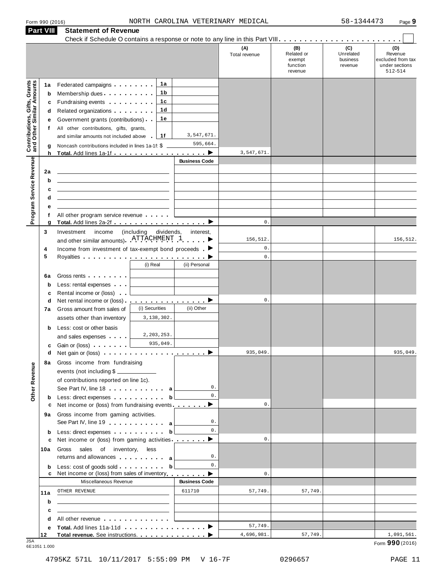| Form 990 (2016 |  |  |
|----------------|--|--|

|                                                                  | <b>Part VIII</b>                      | <b>Statement of Revenue</b>                                                                                                                                                                                                                                                                                                                                                                                                                                                                                                      |                                   |                        |                                              |                                                    |                                         |                                                                  |
|------------------------------------------------------------------|---------------------------------------|----------------------------------------------------------------------------------------------------------------------------------------------------------------------------------------------------------------------------------------------------------------------------------------------------------------------------------------------------------------------------------------------------------------------------------------------------------------------------------------------------------------------------------|-----------------------------------|------------------------|----------------------------------------------|----------------------------------------------------|-----------------------------------------|------------------------------------------------------------------|
|                                                                  |                                       |                                                                                                                                                                                                                                                                                                                                                                                                                                                                                                                                  |                                   |                        | (A)<br>Total revenue                         | (B)<br>Related or<br>exempt<br>function<br>revenue | (C)<br>Unrelated<br>business<br>revenue | (D)<br>Revenue<br>excluded from tax<br>under sections<br>512-514 |
| <b>Contributions, Gifts, Grants</b><br>and Other Similar Amounts | 1а<br>b<br>c<br>d<br>е<br>f<br>g<br>h | Federated campaigns <b>Federated</b><br>Membership dues<br>Fundraising events <b>Fundraising</b><br>Related organizations <b>contains</b> and <b>Related</b> organizations <b>and</b> a set of the set of the set of the set of the set of the set of the set of the set of the set of the set of the set of the set of the set of the set of the<br>Government grants (contributions)<br>All other contributions, gifts, grants,<br>and similar amounts not included above<br>Noncash contributions included in lines 1a-1f: \$ | 1a<br>1 b<br>1c<br>1d<br>1е<br>1f | 3,547,671.<br>595,664. | 3,547,671                                    |                                                    |                                         |                                                                  |
| Program Service Revenue                                          | 2a<br>b<br>c<br>d<br>е                | the control of the control of the control of the control of the control of the control of                                                                                                                                                                                                                                                                                                                                                                                                                                        |                                   | <b>Business Code</b>   |                                              |                                                    |                                         |                                                                  |
|                                                                  | f<br>g                                | All other program service revenue<br>Total. Add lines 2a-2f ▶                                                                                                                                                                                                                                                                                                                                                                                                                                                                    |                                   |                        | $\mathsf{0}$ .                               |                                                    |                                         |                                                                  |
|                                                                  | 3<br>4<br>5                           | Investment<br>income<br>and other similar amounts). ATTACHMENT 1<br>Income from investment of tax-exempt bond proceeds $\blacksquare$                                                                                                                                                                                                                                                                                                                                                                                            | (including<br>dividends,          | interest,              | 156,512.<br>$\mathsf{0}$ .<br>$\mathbf{0}$ . |                                                    |                                         | 156,512.                                                         |
|                                                                  | 6a<br>b<br>c                          | Gross rents <b>contains a state of the state of the state of the state of the state of the state of the state of the state of the state of the state of the state of the state of the state of the state of the state of the sta</b><br>Less: rental expenses<br>Rental income or (loss)                                                                                                                                                                                                                                         | (i) Real                          | (ii) Personal          |                                              |                                                    |                                         |                                                                  |
|                                                                  | d<br>7a                               | Net rental income or (loss) $\ldots$ , $\ldots$ , $\ldots$ , $\blacktriangleright$<br>Gross amount from sales of<br>assets other than inventory                                                                                                                                                                                                                                                                                                                                                                                  | (i) Securities<br>3,138,302.      | (ii) Other             | 0.                                           |                                                    |                                         |                                                                  |
|                                                                  | b<br>c<br>d                           | Less: cost or other basis<br>and sales expenses<br>Gain or (loss)                                                                                                                                                                                                                                                                                                                                                                                                                                                                | 2, 203, 253.<br>935,049.          |                        | 935,049.                                     |                                                    |                                         | 935,049.                                                         |
| Revenue<br>Other                                                 | 8а                                    | Gross income from fundraising<br>events (not including \$<br>of contributions reported on line 1c).<br>See Part IV, line 18 and the state of the state of the state of the state of the state of the state of the state of the state of the state of the state of the state of the state of the state of the state of the state of th                                                                                                                                                                                            |                                   | 0.                     |                                              |                                                    |                                         |                                                                  |
|                                                                  | b<br>c                                | Less: direct expenses<br>Net income or (loss) from fundraising events.                                                                                                                                                                                                                                                                                                                                                                                                                                                           | b                                 | 0.<br>▶                | 0.                                           |                                                    |                                         |                                                                  |
|                                                                  | 9а                                    | Gross income from gaming activities.<br>See Part IV, line 19 a                                                                                                                                                                                                                                                                                                                                                                                                                                                                   |                                   | 0.                     |                                              |                                                    |                                         |                                                                  |
|                                                                  | b<br>c                                | Less: direct expenses<br>Net income or (loss) from gaming activities ________                                                                                                                                                                                                                                                                                                                                                                                                                                                    | b                                 | 0.                     | 0.                                           |                                                    |                                         |                                                                  |
|                                                                  | 10a                                   | Gross sales of inventory,<br>returns and allowances and allowances                                                                                                                                                                                                                                                                                                                                                                                                                                                               | less                              | 0.                     |                                              |                                                    |                                         |                                                                  |
|                                                                  | b<br>c                                | Less: cost of goods sold<br>Net income or (loss) from sales of inventory                                                                                                                                                                                                                                                                                                                                                                                                                                                         | b                                 | 0.<br>▶                | $\mathsf{0}$ .                               |                                                    |                                         |                                                                  |
|                                                                  |                                       | Miscellaneous Revenue                                                                                                                                                                                                                                                                                                                                                                                                                                                                                                            |                                   | <b>Business Code</b>   |                                              |                                                    |                                         |                                                                  |
|                                                                  | 11a<br>b                              | OTHER REVENUE<br>the control of the control of the control of the control of the control of the control of                                                                                                                                                                                                                                                                                                                                                                                                                       |                                   | 611710                 | 57,749.                                      | 57,749.                                            |                                         |                                                                  |
|                                                                  | c                                     | the contract of the contract of the contract of the contract of the                                                                                                                                                                                                                                                                                                                                                                                                                                                              |                                   |                        |                                              |                                                    |                                         |                                                                  |
|                                                                  | d<br>е                                | All other revenue entitled to the state of the state of the state of the state of the state of the state of the                                                                                                                                                                                                                                                                                                                                                                                                                  |                                   |                        | 57,749.                                      |                                                    |                                         |                                                                  |
| ISA                                                              | 12                                    |                                                                                                                                                                                                                                                                                                                                                                                                                                                                                                                                  |                                   |                        | 4,696,981.                                   | 57,749.                                            |                                         | 1,091,561.                                                       |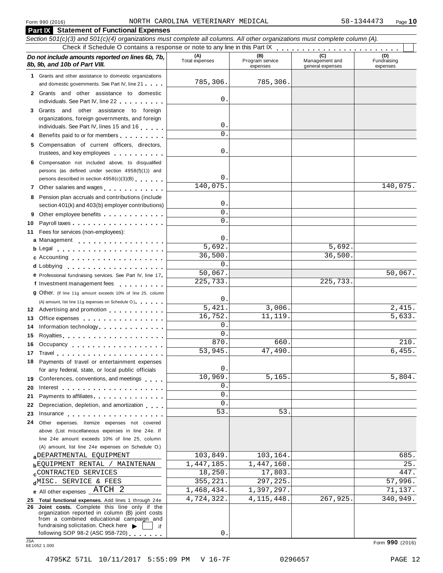|            | <b>Part IX</b> Statement of Functional Expenses                                                                                                                                                                                                                                                       |                       |                                    |                                    |                                |
|------------|-------------------------------------------------------------------------------------------------------------------------------------------------------------------------------------------------------------------------------------------------------------------------------------------------------|-----------------------|------------------------------------|------------------------------------|--------------------------------|
|            | Section 501(c)(3) and 501(c)(4) organizations must complete all columns. All other organizations must complete column (A).                                                                                                                                                                            |                       |                                    |                                    |                                |
|            |                                                                                                                                                                                                                                                                                                       |                       |                                    |                                    |                                |
|            | Do not include amounts reported on lines 6b, 7b,<br>8b, 9b, and 10b of Part VIII.                                                                                                                                                                                                                     | (A)<br>Total expenses | (B)<br>Program service<br>expenses | Management and<br>general expenses | (D)<br>Fundraising<br>expenses |
|            | 1 Grants and other assistance to domestic organizations                                                                                                                                                                                                                                               |                       |                                    |                                    |                                |
|            | and domestic governments. See Part IV, line 21                                                                                                                                                                                                                                                        | 785,306.              | 785,306.                           |                                    |                                |
|            | 2 Grants and other assistance to domestic                                                                                                                                                                                                                                                             | 0                     |                                    |                                    |                                |
|            | individuals. See Part IV, line 22                                                                                                                                                                                                                                                                     |                       |                                    |                                    |                                |
|            | 3 Grants and other assistance to foreign<br>organizations, foreign governments, and foreign                                                                                                                                                                                                           |                       |                                    |                                    |                                |
|            | individuals. See Part IV, lines 15 and 16                                                                                                                                                                                                                                                             | $0$ .                 |                                    |                                    |                                |
|            | 4 Benefits paid to or for members                                                                                                                                                                                                                                                                     | $\Omega$              |                                    |                                    |                                |
|            | 5 Compensation of current officers, directors,                                                                                                                                                                                                                                                        |                       |                                    |                                    |                                |
|            | trustees, and key employees                                                                                                                                                                                                                                                                           | 0                     |                                    |                                    |                                |
|            | 6 Compensation not included above, to disqualified                                                                                                                                                                                                                                                    |                       |                                    |                                    |                                |
|            | persons (as defined under section 4958(f)(1)) and                                                                                                                                                                                                                                                     |                       |                                    |                                    |                                |
|            | persons described in section 4958(c)(3)(B)                                                                                                                                                                                                                                                            | $\mathbf 0$           |                                    |                                    |                                |
|            | 7 Other salaries and wages                                                                                                                                                                                                                                                                            | 140,075.              |                                    |                                    | 140,075.                       |
|            | 8 Pension plan accruals and contributions (include                                                                                                                                                                                                                                                    |                       |                                    |                                    |                                |
|            | section 401(k) and 403(b) employer contributions)                                                                                                                                                                                                                                                     | $0$ .<br>$\mathbf 0$  |                                    |                                    |                                |
|            | Other employee benefits                                                                                                                                                                                                                                                                               | $\Omega$              |                                    |                                    |                                |
| 10         |                                                                                                                                                                                                                                                                                                       |                       |                                    |                                    |                                |
|            | 11 Fees for services (non-employees):                                                                                                                                                                                                                                                                 | 0.                    |                                    |                                    |                                |
|            | a Management                                                                                                                                                                                                                                                                                          | 5,692.                |                                    | 5,692.                             |                                |
|            | b Legal entering the service of the service of the service of the service of the service of the service of the<br>c Accounting experience and a material contract of the set of the set of the set of the set of the set of the s                                                                     | 36,500.               |                                    | 36,500.                            |                                |
|            |                                                                                                                                                                                                                                                                                                       | 0.                    |                                    |                                    |                                |
|            | <b>e</b> Professional fundraising services. See Part IV, line 17                                                                                                                                                                                                                                      | 50,067.               |                                    |                                    | 50,067.                        |
|            | f Investment management fees                                                                                                                                                                                                                                                                          | 225,733.              |                                    | 225,733.                           |                                |
|            | <b>g</b> Other. (If line 11g amount exceeds 10% of line 25, column                                                                                                                                                                                                                                    |                       |                                    |                                    |                                |
|            | (A) amount, list line 11g expenses on Schedule O.) expenses                                                                                                                                                                                                                                           | 0                     |                                    |                                    |                                |
|            | 12 Advertising and promotion                                                                                                                                                                                                                                                                          | 5,421.                | 3,006.                             |                                    | 2,415.                         |
| 13         | Office expenses                                                                                                                                                                                                                                                                                       | 16,752.               | 11, 119.                           |                                    | 5,633.                         |
| 14         | Information technology                                                                                                                                                                                                                                                                                | $0$ .                 |                                    |                                    |                                |
| 15         |                                                                                                                                                                                                                                                                                                       | $\mathbf 0$ .         |                                    |                                    |                                |
|            | 16 Occupancy                                                                                                                                                                                                                                                                                          | 870.                  | 660.                               |                                    | 210.                           |
|            | 17 Travel                                                                                                                                                                                                                                                                                             | 53,945.               | 47,490.                            |                                    | 6,455.                         |
|            | 18 Payments of travel or entertainment expenses                                                                                                                                                                                                                                                       | $0$ .                 |                                    |                                    |                                |
|            | for any federal, state, or local public officials                                                                                                                                                                                                                                                     | 10,969.               | 5,165.                             |                                    | 5,804.                         |
|            | 19 Conferences, conventions, and meetings                                                                                                                                                                                                                                                             | 0                     |                                    |                                    |                                |
| 20<br>21.  | Interest $\ldots$ , $\ldots$ , $\ldots$ , $\ldots$ , $\ldots$<br>Payments to affiliates <b>container and the set of the set of the set of the set of the set of the set of the set of the set of the set of the set of the set of the set of the set of the set of the set of the set of the set </b> | 0                     |                                    |                                    |                                |
| 22         | Depreciation, depletion, and amortization                                                                                                                                                                                                                                                             | 0                     |                                    |                                    |                                |
| 23         | Insurance                                                                                                                                                                                                                                                                                             | 53.                   | 53.                                |                                    |                                |
| 24         | Other expenses. Itemize expenses not covered                                                                                                                                                                                                                                                          |                       |                                    |                                    |                                |
|            | above (List miscellaneous expenses in line 24e. If                                                                                                                                                                                                                                                    |                       |                                    |                                    |                                |
|            | line 24e amount exceeds 10% of line 25, column                                                                                                                                                                                                                                                        |                       |                                    |                                    |                                |
|            | (A) amount, list line 24e expenses on Schedule O.)                                                                                                                                                                                                                                                    |                       |                                    |                                    |                                |
|            | a DEPARTMENTAL EQUIPMENT                                                                                                                                                                                                                                                                              | 103,849.              | 103,164.                           |                                    | 685.                           |
|            | <b>b</b> EQUIPMENT RENTAL / MAINTENAN                                                                                                                                                                                                                                                                 | 1,447,185.            | 1,447,160.                         |                                    | 25.                            |
|            | <b>cCONTRACTED SERVICES</b>                                                                                                                                                                                                                                                                           | 18,250.               | 17,803.                            |                                    | 447.                           |
|            | dMISC. SERVICE & FEES                                                                                                                                                                                                                                                                                 | 355,221.              | 297,225                            |                                    | 57,996.                        |
|            | e All other expenses _ATCH 2                                                                                                                                                                                                                                                                          | 1,468,434.            | 1,397,297.                         |                                    | 71,137.                        |
|            | 25 Total functional expenses. Add lines 1 through 24e<br>26 Joint costs. Complete this line only if the                                                                                                                                                                                               | 4,724,322.            | 4, 115, 448.                       | 267,925.                           | 340,949.                       |
|            | organization reported in column (B) joint costs                                                                                                                                                                                                                                                       |                       |                                    |                                    |                                |
|            | from a combined educational campaign and                                                                                                                                                                                                                                                              |                       |                                    |                                    |                                |
|            | fundraising solicitation. Check here $\blacktriangleright$<br>if.<br>following SOP 98-2 (ASC 958-720)                                                                                                                                                                                                 | 0                     |                                    |                                    |                                |
| <b>JSA</b> |                                                                                                                                                                                                                                                                                                       |                       |                                    |                                    | Form 990 (2016)                |
|            | 6E1052 1.000                                                                                                                                                                                                                                                                                          |                       |                                    |                                    |                                |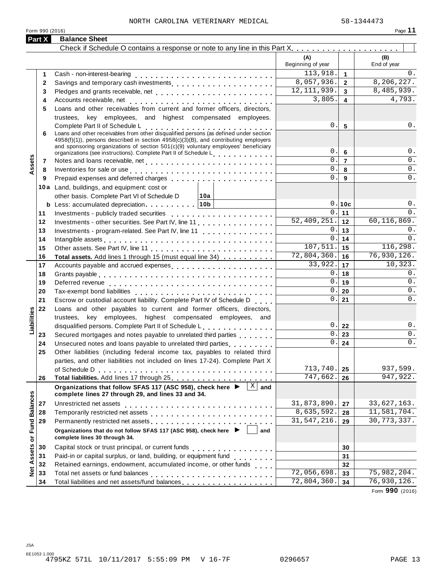| Part X                  | <b>Balance Sheet</b>                                                                                                                                                                                                             |                             |                |                    |
|-------------------------|----------------------------------------------------------------------------------------------------------------------------------------------------------------------------------------------------------------------------------|-----------------------------|----------------|--------------------|
|                         |                                                                                                                                                                                                                                  |                             |                |                    |
|                         |                                                                                                                                                                                                                                  | (A)<br>Beginning of year    |                | (B)<br>End of year |
| 1                       |                                                                                                                                                                                                                                  | 113,918.                    | $\mathbf{1}$   | $0$ .              |
| 2                       |                                                                                                                                                                                                                                  | 8,057,936.                  | $\overline{2}$ | 8,206,227.         |
| 3                       |                                                                                                                                                                                                                                  | 12, 111, 939.               | $\overline{3}$ | 8,485,939.         |
| 4                       |                                                                                                                                                                                                                                  | 3,805.                      | 4              | 4,793.             |
| 5                       | Loans and other receivables from current and former officers, directors,                                                                                                                                                         |                             |                |                    |
|                         | trustees, key employees, and highest compensated employees.                                                                                                                                                                      |                             |                |                    |
|                         | Complete Part II of Schedule L<br>Loans and other receivables from other disqualified persons (as defined under section                                                                                                          | 0.                          | $5\phantom{1}$ | 0.                 |
| 6                       |                                                                                                                                                                                                                                  |                             |                |                    |
|                         | 4958(f)(1)), persons described in section 4958(c)(3)(B), and contributing employers<br>and sponsoring organizations of section 501(c)(9) voluntary employees' beneficiary                                                        |                             |                |                    |
|                         | organizations (see instructions). Complete Part II of Schedule L                                                                                                                                                                 | 0.                          | 6              | 0.                 |
| ssets<br>7              |                                                                                                                                                                                                                                  | 0.                          | $\overline{7}$ | 0.                 |
| 8                       | Inventories for sale or use enterpreteration of the contract of the contract of the contract of the contract of                                                                                                                  | 0.                          | 8              | 0.                 |
| 9                       | Prepaid expenses and deferred charges                                                                                                                                                                                            | $\Omega$ .                  | 9              | 0.                 |
|                         | 10a Land, buildings, and equipment: cost or                                                                                                                                                                                      |                             |                |                    |
|                         | other basis. Complete Part VI of Schedule D<br>∣10a                                                                                                                                                                              |                             |                |                    |
|                         |                                                                                                                                                                                                                                  |                             | 0.10c          | 0.                 |
| 11                      |                                                                                                                                                                                                                                  | 0.                          | 11             | 0.                 |
| 12                      | Investments - other securities. See Part IV, line 11.                                                                                                                                                                            | $\overline{52,409}$ , 251.  | 12             | 60, 116, 869.      |
| 13                      | Investments - program-related. See Part IV, line 11                                                                                                                                                                              | 0.                          | 13             | 0.                 |
| 14                      | Intangible assets experience in the contract of the contract of the contract of the contract of the contract of the contract of the contract of the contract of the contract of the contract of the contract of the contract o   | $\mathbf 0$ .               | 14             | 0.                 |
| 15                      |                                                                                                                                                                                                                                  | 107,511.                    | 15             | 116,298.           |
| 16                      | Total assets. Add lines 1 through 15 (must equal line 34)                                                                                                                                                                        | 72,804,360.                 | 16             | 76,930,126.        |
| 17                      |                                                                                                                                                                                                                                  | 33,922.                     | 17             | 10,323.            |
| 18                      |                                                                                                                                                                                                                                  | 0.                          | 18             | 0.                 |
| 19                      |                                                                                                                                                                                                                                  | 0.                          | 19             | $0$ .              |
| 20                      |                                                                                                                                                                                                                                  | 0.                          | 20             | $0$ .              |
| 21                      | Escrow or custodial account liability. Complete Part IV of Schedule D                                                                                                                                                            | 0.                          | 21             | 0.                 |
| 22                      | Loans and other payables to current and former officers, directors,                                                                                                                                                              |                             |                |                    |
|                         | trustees, key employees, highest compensated employees, and                                                                                                                                                                      |                             |                |                    |
| Liabilities             | disqualified persons. Complete Part II of Schedule L.                                                                                                                                                                            | 0.1                         | 22             | 0.                 |
| 23                      | Secured mortgages and notes payable to unrelated third parties                                                                                                                                                                   | $\mathbf 0$ .               | 23             | 0.                 |
| 24                      | Unsecured notes and loans payable to unrelated third parties                                                                                                                                                                     | 0.                          | 24             | 0.                 |
| 25                      | Other liabilities (including federal income tax, payables to related third                                                                                                                                                       |                             |                |                    |
|                         | parties, and other liabilities not included on lines 17-24). Complete Part X                                                                                                                                                     |                             |                |                    |
|                         |                                                                                                                                                                                                                                  | 713,740.                    | 25             | 937,599.           |
| 26                      |                                                                                                                                                                                                                                  | 747,662.                    | 26             | 947,922.           |
|                         | $\mathbf X$<br>Organizations that follow SFAS 117 (ASC 958), check here ▶<br>and<br>complete lines 27 through 29, and lines 33 and 34.                                                                                           |                             |                |                    |
| 27                      |                                                                                                                                                                                                                                  | 31,873,890.                 | 27             | 33,627,163.        |
| 28                      |                                                                                                                                                                                                                                  | 8,635,592.                  | 28             | 11,581,704.        |
| 29                      | Permanently restricted net assets<br>included in the case of the contract of the contract of the sets in the case of the case of the contract of the contract of the contract of the contract of the contract of the contract of | 31,547,216.                 | 29             | 30, 773, 337.      |
| Assets or Fund Balances | Organizations that do not follow SFAS 117 (ASC 958), check here ▶<br>and<br>complete lines 30 through 34.                                                                                                                        |                             |                |                    |
| 30                      |                                                                                                                                                                                                                                  |                             | 30             |                    |
| 31                      | Paid-in or capital surplus, or land, building, or equipment fund<br>                                                                                                                                                             |                             | 31             |                    |
| 32                      | Retained earnings, endowment, accumulated income, or other funds                                                                                                                                                                 |                             | 32             |                    |
| Net<br>33               |                                                                                                                                                                                                                                  | 72,056,698.                 | 33             | 75,982,204.        |
| 34                      | Total liabilities and net assets/fund balances [1] [1] [1] Total liabilities and net assets/fund balances                                                                                                                        | $\overline{72}$ , 804, 360. | 34             | 76,930,126.        |

Form **990** (2016)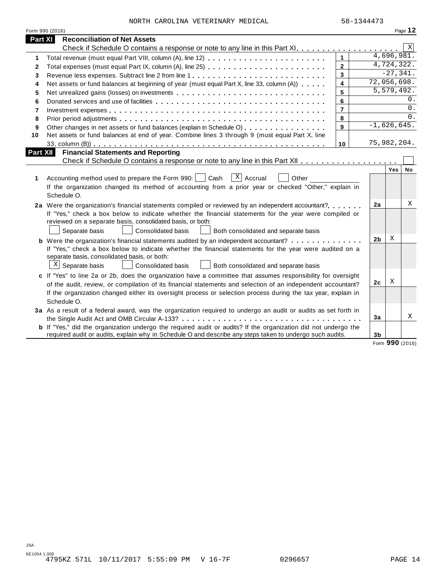|              | Form 990 (2016)                                                                                                                                                                                                                                                                                                                                                                                                                                                  |                |    |                      |                          | Page 12     |  |  |
|--------------|------------------------------------------------------------------------------------------------------------------------------------------------------------------------------------------------------------------------------------------------------------------------------------------------------------------------------------------------------------------------------------------------------------------------------------------------------------------|----------------|----|----------------------|--------------------------|-------------|--|--|
| Part XI      | <b>Reconciliation of Net Assets</b>                                                                                                                                                                                                                                                                                                                                                                                                                              |                |    |                      |                          |             |  |  |
|              |                                                                                                                                                                                                                                                                                                                                                                                                                                                                  |                |    |                      |                          | $\mathbf X$ |  |  |
| 1.           |                                                                                                                                                                                                                                                                                                                                                                                                                                                                  | $\mathbf{1}$   |    |                      | $\overline{4,696,981}$ . |             |  |  |
| $\mathbf{2}$ |                                                                                                                                                                                                                                                                                                                                                                                                                                                                  | $\overline{2}$ |    |                      | 4,724,322.               |             |  |  |
| 3            | Revenue less expenses. Subtract line 2 from line 1                                                                                                                                                                                                                                                                                                                                                                                                               | 3              |    |                      | $-27,341.$               |             |  |  |
| 4            | Net assets or fund balances at beginning of year (must equal Part X, line 33, column (A))                                                                                                                                                                                                                                                                                                                                                                        | 4              |    | 72,056,698.          |                          |             |  |  |
| 5            | Net unrealized gains (losses) on investments                                                                                                                                                                                                                                                                                                                                                                                                                     | 5              |    |                      | 5,579,492.               |             |  |  |
| 6            |                                                                                                                                                                                                                                                                                                                                                                                                                                                                  | 6              | 0. |                      |                          |             |  |  |
| 7            |                                                                                                                                                                                                                                                                                                                                                                                                                                                                  | $\overline{7}$ | 0. |                      |                          |             |  |  |
| 8            |                                                                                                                                                                                                                                                                                                                                                                                                                                                                  | 8              |    |                      |                          | 0.          |  |  |
| 9            | Other changes in net assets or fund balances (explain in Schedule O)                                                                                                                                                                                                                                                                                                                                                                                             | 9              |    | $-1,626,645.$        |                          |             |  |  |
| 10           | Net assets or fund balances at end of year. Combine lines 3 through 9 (must equal Part X, line                                                                                                                                                                                                                                                                                                                                                                   |                |    |                      |                          |             |  |  |
|              |                                                                                                                                                                                                                                                                                                                                                                                                                                                                  | 10             |    | 75,982,204.          |                          |             |  |  |
| Part XII     | <b>Financial Statements and Reporting</b>                                                                                                                                                                                                                                                                                                                                                                                                                        |                |    |                      |                          |             |  |  |
|              |                                                                                                                                                                                                                                                                                                                                                                                                                                                                  |                |    |                      |                          |             |  |  |
| 1            | $\overline{X}$ Accrual<br>Accounting method used to prepare the Form 990:<br>Cash<br>Other<br>If the organization changed its method of accounting from a prior year or checked "Other," explain in<br>Schedule O.                                                                                                                                                                                                                                               |                |    |                      | Yes                      | No          |  |  |
|              | 2a Were the organization's financial statements compiled or reviewed by an independent accountant?<br>If "Yes," check a box below to indicate whether the financial statements for the year were compiled or<br>reviewed on a separate basis, consolidated basis, or both:<br>Separate basis<br><b>Consolidated basis</b><br>Both consolidated and separate basis<br><b>b</b> Were the organization's financial statements audited by an independent accountant? |                |    | 2a<br>2 <sub>b</sub> | X                        | Χ           |  |  |
|              | If "Yes," check a box below to indicate whether the financial statements for the year were audited on a<br>separate basis, consolidated basis, or both:<br>$X$ Separate basis<br>Consolidated basis<br>Both consolidated and separate basis                                                                                                                                                                                                                      |                |    |                      |                          |             |  |  |
|              | c If "Yes" to line 2a or 2b, does the organization have a committee that assumes responsibility for oversight<br>of the audit, review, or compilation of its financial statements and selection of an independent accountant?<br>If the organization changed either its oversight process or selection process during the tax year, explain in<br>Schedule O.                                                                                                    |                |    | 2 <sub>c</sub>       | Χ                        |             |  |  |
|              | 3a As a result of a federal award, was the organization required to undergo an audit or audits as set forth in                                                                                                                                                                                                                                                                                                                                                   |                |    | 3a                   |                          | X           |  |  |
|              | <b>b</b> If "Yes," did the organization undergo the required audit or audits? If the organization did not undergo the<br>required audit or audits, explain why in Schedule O and describe any steps taken to undergo such audits.                                                                                                                                                                                                                                |                |    | 3b                   |                          |             |  |  |

Form **990** (2016)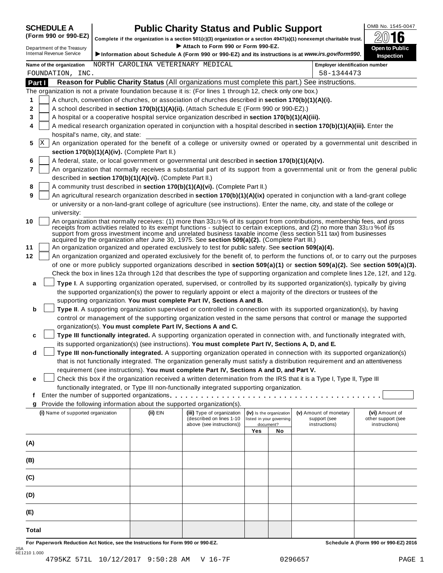# **SCHEDULE A Public Charity Status and Public Support**<br>(Form 990 or 990-EZ) complete if the organization is a section 501(c)(3) organization or a section 4947(a)(1) popexempt charitable trust **20016**

(Form 990 or 990-EZ) complete if the organization is a section 501(c)(3) organization or a section 4947(a)(1) nonexempt charitable trust. 2016 <sup>D</sup> I **Attach to Form <sup>990</sup> or Form 990-EZ.** epartment of the Treasury **Open to Public**

| Department of the Treasury<br><b>Internal Revenue Service</b> |                                                                                                                                                                                                                                                                                                                                                                                                                                                                                                 |                                                                                                                                                                                                                                                                 | ▶ Attach to Form 990 or Form 990-EZ.                                                                      |     |                                                      | Information about Schedule A (Form 990 or 990-EZ) and its instructions is at www.irs.gov/form990.                                | <b>Open to Public</b><br><b>Inspection</b>                                                                                   |  |  |  |  |  |
|---------------------------------------------------------------|-------------------------------------------------------------------------------------------------------------------------------------------------------------------------------------------------------------------------------------------------------------------------------------------------------------------------------------------------------------------------------------------------------------------------------------------------------------------------------------------------|-----------------------------------------------------------------------------------------------------------------------------------------------------------------------------------------------------------------------------------------------------------------|-----------------------------------------------------------------------------------------------------------|-----|------------------------------------------------------|----------------------------------------------------------------------------------------------------------------------------------|------------------------------------------------------------------------------------------------------------------------------|--|--|--|--|--|
| Name of the organization                                      |                                                                                                                                                                                                                                                                                                                                                                                                                                                                                                 | NORTH CAROLINA VETERINARY MEDICAL                                                                                                                                                                                                                               |                                                                                                           |     |                                                      | <b>Employer identification number</b>                                                                                            |                                                                                                                              |  |  |  |  |  |
| FOUNDATION, INC.                                              |                                                                                                                                                                                                                                                                                                                                                                                                                                                                                                 |                                                                                                                                                                                                                                                                 |                                                                                                           |     |                                                      | 58-1344473                                                                                                                       |                                                                                                                              |  |  |  |  |  |
| Part I                                                        |                                                                                                                                                                                                                                                                                                                                                                                                                                                                                                 |                                                                                                                                                                                                                                                                 |                                                                                                           |     |                                                      | Reason for Public Charity Status (All organizations must complete this part.) See instructions.                                  |                                                                                                                              |  |  |  |  |  |
|                                                               |                                                                                                                                                                                                                                                                                                                                                                                                                                                                                                 |                                                                                                                                                                                                                                                                 | The organization is not a private foundation because it is: (For lines 1 through 12, check only one box.) |     |                                                      |                                                                                                                                  |                                                                                                                              |  |  |  |  |  |
| 1                                                             |                                                                                                                                                                                                                                                                                                                                                                                                                                                                                                 |                                                                                                                                                                                                                                                                 | A church, convention of churches, or association of churches described in section 170(b)(1)(A)(i).        |     |                                                      |                                                                                                                                  |                                                                                                                              |  |  |  |  |  |
| 2                                                             |                                                                                                                                                                                                                                                                                                                                                                                                                                                                                                 |                                                                                                                                                                                                                                                                 | A school described in section 170(b)(1)(A)(ii). (Attach Schedule E (Form 990 or 990-EZ).)                 |     |                                                      |                                                                                                                                  |                                                                                                                              |  |  |  |  |  |
| 3                                                             |                                                                                                                                                                                                                                                                                                                                                                                                                                                                                                 |                                                                                                                                                                                                                                                                 | A hospital or a cooperative hospital service organization described in section 170(b)(1)(A)(iii).         |     |                                                      |                                                                                                                                  |                                                                                                                              |  |  |  |  |  |
| 4                                                             |                                                                                                                                                                                                                                                                                                                                                                                                                                                                                                 |                                                                                                                                                                                                                                                                 |                                                                                                           |     |                                                      | A medical research organization operated in conjunction with a hospital described in section 170(b)(1)(A)(iii). Enter the        |                                                                                                                              |  |  |  |  |  |
|                                                               | hospital's name, city, and state:                                                                                                                                                                                                                                                                                                                                                                                                                                                               |                                                                                                                                                                                                                                                                 |                                                                                                           |     |                                                      |                                                                                                                                  |                                                                                                                              |  |  |  |  |  |
| Χ<br>5                                                        |                                                                                                                                                                                                                                                                                                                                                                                                                                                                                                 |                                                                                                                                                                                                                                                                 |                                                                                                           |     |                                                      |                                                                                                                                  | An organization operated for the benefit of a college or university owned or operated by a governmental unit described in    |  |  |  |  |  |
|                                                               | section 170(b)(1)(A)(iv). (Complete Part II.)                                                                                                                                                                                                                                                                                                                                                                                                                                                   |                                                                                                                                                                                                                                                                 |                                                                                                           |     |                                                      |                                                                                                                                  |                                                                                                                              |  |  |  |  |  |
| 6<br>$\overline{7}$                                           |                                                                                                                                                                                                                                                                                                                                                                                                                                                                                                 |                                                                                                                                                                                                                                                                 | A federal, state, or local government or governmental unit described in section 170(b)(1)(A)(v).          |     |                                                      |                                                                                                                                  |                                                                                                                              |  |  |  |  |  |
|                                                               |                                                                                                                                                                                                                                                                                                                                                                                                                                                                                                 |                                                                                                                                                                                                                                                                 |                                                                                                           |     |                                                      |                                                                                                                                  | An organization that normally receives a substantial part of its support from a governmental unit or from the general public |  |  |  |  |  |
|                                                               | described in section 170(b)(1)(A)(vi). (Complete Part II.)                                                                                                                                                                                                                                                                                                                                                                                                                                      |                                                                                                                                                                                                                                                                 |                                                                                                           |     |                                                      |                                                                                                                                  |                                                                                                                              |  |  |  |  |  |
| 8<br>9                                                        |                                                                                                                                                                                                                                                                                                                                                                                                                                                                                                 |                                                                                                                                                                                                                                                                 | A community trust described in section 170(b)(1)(A)(vi). (Complete Part II.)                              |     |                                                      |                                                                                                                                  |                                                                                                                              |  |  |  |  |  |
|                                                               |                                                                                                                                                                                                                                                                                                                                                                                                                                                                                                 | An agricultural research organization described in section 170(b)(1)(A)(ix) operated in conjunction with a land-grant college<br>or university or a non-land-grant college of agriculture (see instructions). Enter the name, city, and state of the college or |                                                                                                           |     |                                                      |                                                                                                                                  |                                                                                                                              |  |  |  |  |  |
|                                                               |                                                                                                                                                                                                                                                                                                                                                                                                                                                                                                 |                                                                                                                                                                                                                                                                 |                                                                                                           |     |                                                      |                                                                                                                                  |                                                                                                                              |  |  |  |  |  |
| 10                                                            | university:<br>An organization that normally receives: (1) more than 331/3% of its support from contributions, membership fees, and gross<br>receipts from activities related to its exempt functions - subject to certain exceptions, and (2) no more than 331/3% of its<br>support from gross investment income and unrelated business taxable income (less section 511 tax) from businesses<br>acquired by the organization after June 30, 1975. See section 509(a)(2). (Complete Part III.) |                                                                                                                                                                                                                                                                 |                                                                                                           |     |                                                      |                                                                                                                                  |                                                                                                                              |  |  |  |  |  |
| 11                                                            |                                                                                                                                                                                                                                                                                                                                                                                                                                                                                                 |                                                                                                                                                                                                                                                                 | An organization organized and operated exclusively to test for public safety. See section 509(a)(4).      |     |                                                      |                                                                                                                                  |                                                                                                                              |  |  |  |  |  |
| 12                                                            |                                                                                                                                                                                                                                                                                                                                                                                                                                                                                                 |                                                                                                                                                                                                                                                                 |                                                                                                           |     |                                                      | An organization organized and operated exclusively for the benefit of, to perform the functions of, or to carry out the purposes |                                                                                                                              |  |  |  |  |  |
|                                                               |                                                                                                                                                                                                                                                                                                                                                                                                                                                                                                 |                                                                                                                                                                                                                                                                 |                                                                                                           |     |                                                      | of one or more publicly supported organizations described in section 509(a)(1) or section 509(a)(2). See section 509(a)(3).      |                                                                                                                              |  |  |  |  |  |
|                                                               |                                                                                                                                                                                                                                                                                                                                                                                                                                                                                                 |                                                                                                                                                                                                                                                                 |                                                                                                           |     |                                                      | Check the box in lines 12a through 12d that describes the type of supporting organization and complete lines 12e, 12f, and 12g.  |                                                                                                                              |  |  |  |  |  |
| a                                                             |                                                                                                                                                                                                                                                                                                                                                                                                                                                                                                 |                                                                                                                                                                                                                                                                 |                                                                                                           |     |                                                      | Type I. A supporting organization operated, supervised, or controlled by its supported organization(s), typically by giving      |                                                                                                                              |  |  |  |  |  |
|                                                               |                                                                                                                                                                                                                                                                                                                                                                                                                                                                                                 |                                                                                                                                                                                                                                                                 |                                                                                                           |     |                                                      | the supported organization(s) the power to regularly appoint or elect a majority of the directors or trustees of the             |                                                                                                                              |  |  |  |  |  |
|                                                               |                                                                                                                                                                                                                                                                                                                                                                                                                                                                                                 |                                                                                                                                                                                                                                                                 | supporting organization. You must complete Part IV, Sections A and B.                                     |     |                                                      |                                                                                                                                  |                                                                                                                              |  |  |  |  |  |
| b                                                             |                                                                                                                                                                                                                                                                                                                                                                                                                                                                                                 |                                                                                                                                                                                                                                                                 |                                                                                                           |     |                                                      | Type II. A supporting organization supervised or controlled in connection with its supported organization(s), by having          |                                                                                                                              |  |  |  |  |  |
|                                                               |                                                                                                                                                                                                                                                                                                                                                                                                                                                                                                 |                                                                                                                                                                                                                                                                 |                                                                                                           |     |                                                      | control or management of the supporting organization vested in the same persons that control or manage the supported             |                                                                                                                              |  |  |  |  |  |
|                                                               | organization(s). You must complete Part IV, Sections A and C.                                                                                                                                                                                                                                                                                                                                                                                                                                   |                                                                                                                                                                                                                                                                 |                                                                                                           |     |                                                      |                                                                                                                                  |                                                                                                                              |  |  |  |  |  |
| c                                                             |                                                                                                                                                                                                                                                                                                                                                                                                                                                                                                 |                                                                                                                                                                                                                                                                 |                                                                                                           |     |                                                      | Type III functionally integrated. A supporting organization operated in connection with, and functionally integrated with,       |                                                                                                                              |  |  |  |  |  |
|                                                               |                                                                                                                                                                                                                                                                                                                                                                                                                                                                                                 |                                                                                                                                                                                                                                                                 | its supported organization(s) (see instructions). You must complete Part IV, Sections A, D, and E.        |     |                                                      |                                                                                                                                  |                                                                                                                              |  |  |  |  |  |
| d                                                             |                                                                                                                                                                                                                                                                                                                                                                                                                                                                                                 |                                                                                                                                                                                                                                                                 |                                                                                                           |     |                                                      | Type III non-functionally integrated. A supporting organization operated in connection with its supported organization(s)        |                                                                                                                              |  |  |  |  |  |
|                                                               |                                                                                                                                                                                                                                                                                                                                                                                                                                                                                                 |                                                                                                                                                                                                                                                                 |                                                                                                           |     |                                                      | that is not functionally integrated. The organization generally must satisfy a distribution requirement and an attentiveness     |                                                                                                                              |  |  |  |  |  |
|                                                               |                                                                                                                                                                                                                                                                                                                                                                                                                                                                                                 |                                                                                                                                                                                                                                                                 | requirement (see instructions). You must complete Part IV, Sections A and D, and Part V.                  |     |                                                      |                                                                                                                                  |                                                                                                                              |  |  |  |  |  |
| е                                                             |                                                                                                                                                                                                                                                                                                                                                                                                                                                                                                 |                                                                                                                                                                                                                                                                 |                                                                                                           |     |                                                      | Check this box if the organization received a written determination from the IRS that it is a Type I, Type II, Type III          |                                                                                                                              |  |  |  |  |  |
|                                                               |                                                                                                                                                                                                                                                                                                                                                                                                                                                                                                 |                                                                                                                                                                                                                                                                 | functionally integrated, or Type III non-functionally integrated supporting organization.                 |     |                                                      |                                                                                                                                  |                                                                                                                              |  |  |  |  |  |
| t.                                                            |                                                                                                                                                                                                                                                                                                                                                                                                                                                                                                 |                                                                                                                                                                                                                                                                 | Enter the number of supported organizations.                                                              |     |                                                      |                                                                                                                                  |                                                                                                                              |  |  |  |  |  |
| g                                                             | Provide the following information about the supported organization(s).                                                                                                                                                                                                                                                                                                                                                                                                                          |                                                                                                                                                                                                                                                                 |                                                                                                           |     |                                                      |                                                                                                                                  |                                                                                                                              |  |  |  |  |  |
|                                                               | (i) Name of supported organization                                                                                                                                                                                                                                                                                                                                                                                                                                                              | (ii) EIN                                                                                                                                                                                                                                                        | (iii) Type of organization<br>(described on lines 1-10                                                    |     | (iv) Is the organization<br>listed in your governing | (v) Amount of monetary<br>support (see                                                                                           | (vi) Amount of<br>other support (see                                                                                         |  |  |  |  |  |
|                                                               |                                                                                                                                                                                                                                                                                                                                                                                                                                                                                                 |                                                                                                                                                                                                                                                                 | above (see instructions))                                                                                 |     | document?                                            | instructions)                                                                                                                    | instructions)                                                                                                                |  |  |  |  |  |
|                                                               |                                                                                                                                                                                                                                                                                                                                                                                                                                                                                                 |                                                                                                                                                                                                                                                                 |                                                                                                           | Yes | No                                                   |                                                                                                                                  |                                                                                                                              |  |  |  |  |  |
| (A)                                                           |                                                                                                                                                                                                                                                                                                                                                                                                                                                                                                 |                                                                                                                                                                                                                                                                 |                                                                                                           |     |                                                      |                                                                                                                                  |                                                                                                                              |  |  |  |  |  |
|                                                               |                                                                                                                                                                                                                                                                                                                                                                                                                                                                                                 |                                                                                                                                                                                                                                                                 |                                                                                                           |     |                                                      |                                                                                                                                  |                                                                                                                              |  |  |  |  |  |
| (B)                                                           |                                                                                                                                                                                                                                                                                                                                                                                                                                                                                                 |                                                                                                                                                                                                                                                                 |                                                                                                           |     |                                                      |                                                                                                                                  |                                                                                                                              |  |  |  |  |  |
| (C)                                                           |                                                                                                                                                                                                                                                                                                                                                                                                                                                                                                 |                                                                                                                                                                                                                                                                 |                                                                                                           |     |                                                      |                                                                                                                                  |                                                                                                                              |  |  |  |  |  |
| (D)                                                           |                                                                                                                                                                                                                                                                                                                                                                                                                                                                                                 |                                                                                                                                                                                                                                                                 |                                                                                                           |     |                                                      |                                                                                                                                  |                                                                                                                              |  |  |  |  |  |
|                                                               |                                                                                                                                                                                                                                                                                                                                                                                                                                                                                                 |                                                                                                                                                                                                                                                                 |                                                                                                           |     |                                                      |                                                                                                                                  |                                                                                                                              |  |  |  |  |  |
| (E)                                                           |                                                                                                                                                                                                                                                                                                                                                                                                                                                                                                 |                                                                                                                                                                                                                                                                 |                                                                                                           |     |                                                      |                                                                                                                                  |                                                                                                                              |  |  |  |  |  |
| Total                                                         |                                                                                                                                                                                                                                                                                                                                                                                                                                                                                                 |                                                                                                                                                                                                                                                                 |                                                                                                           |     |                                                      |                                                                                                                                  |                                                                                                                              |  |  |  |  |  |
|                                                               | For Paperwork Reduction Act Notice, see the Instructions for Form 990 or 990-EZ.                                                                                                                                                                                                                                                                                                                                                                                                                |                                                                                                                                                                                                                                                                 |                                                                                                           |     |                                                      |                                                                                                                                  | Schedule A (Form 990 or 990-EZ) 2016                                                                                         |  |  |  |  |  |

JSA 6E1210 1.000 4795KZ 571L 10/12/2017 9:50:28 AM V 16-7F 0296657 PAGE 1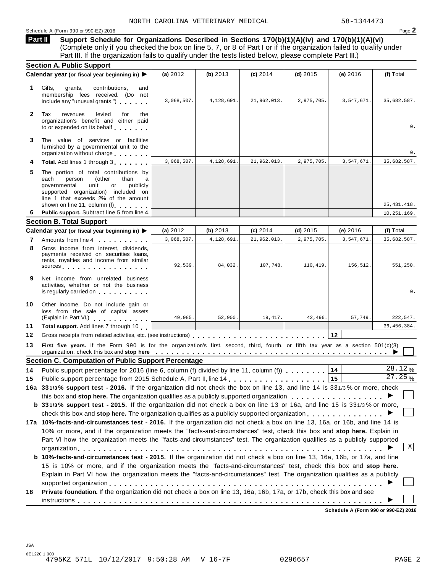Schedule A (Form 990 or 990-EZ) 2016 **Page 2** 

**Support Schedule for Organizations Described in Sections 170(b)(1)(A)(iv) and 170(b)(1)(A)(vi)** (Complete only if you checked the box on line 5, 7, or 8 of Part I or if the organization failed to qualify under Part III. If the organization fails to qualify under the tests listed below, please complete Part III.) **Part II**

|              | <b>Section A. Public Support</b>                                                                                                                                                                                                                                                                                                                                     |            |            |             |            |            |               |
|--------------|----------------------------------------------------------------------------------------------------------------------------------------------------------------------------------------------------------------------------------------------------------------------------------------------------------------------------------------------------------------------|------------|------------|-------------|------------|------------|---------------|
|              | Calendar year (or fiscal year beginning in) ▶                                                                                                                                                                                                                                                                                                                        | (a) 2012   | (b) 2013   | $(c)$ 2014  | (d) $2015$ | (e) $2016$ | (f) Total     |
| 1            | Gifts,<br>contributions,<br>grants,<br>and<br>membership fees received. (Do not<br>include any "unusual grants.")                                                                                                                                                                                                                                                    | 3,068,507. | 4,128,691. | 21,962,013. | 2,975,705. | 3,547,671. | 35,682,587.   |
| $\mathbf{2}$ | Tax<br>levied<br>revenues<br>for<br>the<br>organization's benefit and either paid<br>to or expended on its behalf                                                                                                                                                                                                                                                    |            |            |             |            |            | 0.            |
| 3            | The value of services or facilities<br>furnished by a governmental unit to the<br>organization without charge                                                                                                                                                                                                                                                        |            |            |             |            |            | 0.            |
| 4            | Total. Add lines 1 through 3                                                                                                                                                                                                                                                                                                                                         | 3,068,507. | 4,128,691. | 21,962,013. | 2,975,705. | 3,547,671. | 35,682,587.   |
| 5            | The portion of total contributions by<br>each<br>person<br>(other<br>than<br>a<br>unit<br>publicly<br>governmental<br>or<br>supported organization) included on<br>line 1 that exceeds 2% of the amount<br>shown on line 11, column (f)                                                                                                                              |            |            |             |            |            | 25, 431, 418. |
| 6            | Public support. Subtract line 5 from line 4.                                                                                                                                                                                                                                                                                                                         |            |            |             |            |            | 10, 251, 169. |
|              | <b>Section B. Total Support</b>                                                                                                                                                                                                                                                                                                                                      |            |            |             |            |            |               |
|              | Calendar year (or fiscal year beginning in) ▶                                                                                                                                                                                                                                                                                                                        | (a) $2012$ | (b) $2013$ | (c) 2014    | $(d)$ 2015 | (e) 2016   | (f) Total     |
| 7            | Amounts from line 4                                                                                                                                                                                                                                                                                                                                                  | 3,068,507. | 4,128,691. | 21,962,013. | 2,975,705. | 3,547,671  | 35,682,587.   |
| 8            | Gross income from interest, dividends,<br>payments received on securities loans,<br>rents, royalties and income from similar<br>sources and the sources and the set of the sources                                                                                                                                                                                   | 92,539.    | 84,032.    | 107,748.    | 110,419.   | 156,512.   | 551.250.      |
| 9            | Net income from unrelated business<br>activities, whether or not the business<br>is regularly carried on <b>the contract of the contract of the contract of the contract of the contract of the contract of the contract of the contract of the contract of the contract of the contract of the contract of the c</b>                                                |            |            |             |            |            | 0.            |
| 10           | Other income. Do not include gain or<br>loss from the sale of capital assets<br>(Explain in Part VI.) explained a set of the set of the set of the set of the set of the set of the set of the set of the set of the set of the set of the set of the set of the set of the set of the set of the set of the s                                                       | 49,985.    | 52,900.    | 19,417.     | 42,496.    | 57,749.    | 222,547.      |
| 11           | Total support. Add lines 7 through 10                                                                                                                                                                                                                                                                                                                                |            |            |             |            |            | 36, 456, 384. |
| 12           |                                                                                                                                                                                                                                                                                                                                                                      |            |            |             |            | 12         |               |
| 13           | First five years. If the Form 990 is for the organization's first, second, third, fourth, or fifth tax year as a section 501(c)(3)<br>organization, check this box and stop here entitled by the state of the state of the state of the state of the state of the state of the state of the state of the state of the state of the state of the state of the state o |            |            |             |            |            |               |
|              | <b>Section C. Computation of Public Support Percentage</b>                                                                                                                                                                                                                                                                                                           |            |            |             |            |            |               |
| 14           | Public support percentage for 2016 (line 6, column (f) divided by line 11, column (f) $\ldots$ ,,,,,                                                                                                                                                                                                                                                                 |            |            |             |            | 14         | 28.12%        |
| 15           |                                                                                                                                                                                                                                                                                                                                                                      |            |            |             |            | 15         | 27.25%        |
|              | 16a 331/3% support test - 2016. If the organization did not check the box on line 13, and line 14 is 331/3% or more, check                                                                                                                                                                                                                                           |            |            |             |            |            |               |
|              | this box and stop here. The organization qualifies as a publicly supported organization                                                                                                                                                                                                                                                                              |            |            |             |            |            |               |
|              | b 331/3% support test - 2015. If the organization did not check a box on line 13 or 16a, and line 15 is 331/3% or more,                                                                                                                                                                                                                                              |            |            |             |            |            |               |
|              | check this box and stop here. The organization qualifies as a publicly supported organization $\ldots$ ,                                                                                                                                                                                                                                                             |            |            |             |            |            |               |
|              | 17a 10%-facts-and-circumstances test - 2016. If the organization did not check a box on line 13, 16a, or 16b, and line 14 is                                                                                                                                                                                                                                         |            |            |             |            |            |               |
|              | 10% or more, and if the organization meets the "facts-and-circumstances" test, check this box and stop here. Explain in                                                                                                                                                                                                                                              |            |            |             |            |            |               |
|              | Part VI how the organization meets the "facts-and-circumstances" test. The organization qualifies as a publicly supported                                                                                                                                                                                                                                            |            |            |             |            |            |               |
|              | b 10%-facts-and-circumstances test - 2015. If the organization did not check a box on line 13, 16a, 16b, or 17a, and line<br>15 is 10% or more, and if the organization meets the "facts-and-circumstances" test, check this box and stop here.                                                                                                                      |            |            |             |            |            | X             |
| 18           | Explain in Part VI how the organization meets the "facts-and-circumstances" test. The organization qualifies as a publicly<br>Private foundation. If the organization did not check a box on line 13, 16a, 16b, 17a, or 17b, check this box and see                                                                                                                  |            |            |             |            |            |               |
|              |                                                                                                                                                                                                                                                                                                                                                                      |            |            |             |            |            |               |
|              |                                                                                                                                                                                                                                                                                                                                                                      |            |            |             |            |            |               |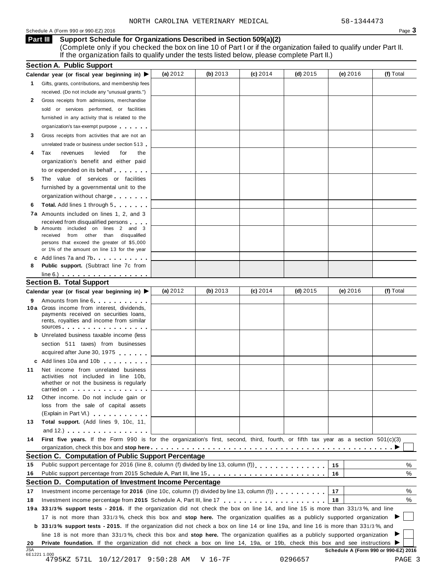### Schedule A (Form 990 or 990-EZ) 2016 Page 3

### **Support Schedule for Organizations Described in Section 509(a)(2) Part III**

(Complete only if you checked the box on line 10 of Part I or if the organization failed to qualify under Part II. If the organization fails to qualify under the tests listed below, please complete Part II.)

|                            | <b>Section A. Public Support</b>                                                                                                                                                                                               |            |          |            |            |                                      |             |
|----------------------------|--------------------------------------------------------------------------------------------------------------------------------------------------------------------------------------------------------------------------------|------------|----------|------------|------------|--------------------------------------|-------------|
|                            | Calendar year (or fiscal year beginning in) $\blacktriangleright$                                                                                                                                                              | (a) $2012$ | (b) 2013 | $(c)$ 2014 | $(d)$ 2015 | (e) 2016                             | (f) Total   |
| 1.                         | Gifts, grants, contributions, and membership fees                                                                                                                                                                              |            |          |            |            |                                      |             |
|                            | received. (Do not include any "unusual grants.")                                                                                                                                                                               |            |          |            |            |                                      |             |
| 2                          | Gross receipts from admissions, merchandise                                                                                                                                                                                    |            |          |            |            |                                      |             |
|                            | sold or services performed, or facilities                                                                                                                                                                                      |            |          |            |            |                                      |             |
|                            | furnished in any activity that is related to the                                                                                                                                                                               |            |          |            |            |                                      |             |
|                            | organization's tax-exempt purpose                                                                                                                                                                                              |            |          |            |            |                                      |             |
| 3                          | Gross receipts from activities that are not an                                                                                                                                                                                 |            |          |            |            |                                      |             |
|                            | unrelated trade or business under section 513                                                                                                                                                                                  |            |          |            |            |                                      |             |
| 4                          | Tax<br>revenues<br>levied<br>for<br>the                                                                                                                                                                                        |            |          |            |            |                                      |             |
|                            | organization's benefit and either paid                                                                                                                                                                                         |            |          |            |            |                                      |             |
|                            | to or expended on its behalf                                                                                                                                                                                                   |            |          |            |            |                                      |             |
| 5                          | The value of services or facilities                                                                                                                                                                                            |            |          |            |            |                                      |             |
|                            | furnished by a governmental unit to the                                                                                                                                                                                        |            |          |            |            |                                      |             |
|                            | organization without charge                                                                                                                                                                                                    |            |          |            |            |                                      |             |
| 6                          | <b>Total.</b> Add lines 1 through 5                                                                                                                                                                                            |            |          |            |            |                                      |             |
|                            | <b>7a</b> Amounts included on lines 1, 2, and 3                                                                                                                                                                                |            |          |            |            |                                      |             |
|                            | received from disqualified persons                                                                                                                                                                                             |            |          |            |            |                                      |             |
|                            | Amounts included on lines 2 and 3                                                                                                                                                                                              |            |          |            |            |                                      |             |
|                            | from other than disqualified<br>received                                                                                                                                                                                       |            |          |            |            |                                      |             |
|                            | persons that exceed the greater of \$5,000                                                                                                                                                                                     |            |          |            |            |                                      |             |
|                            | or 1% of the amount on line 13 for the year                                                                                                                                                                                    |            |          |            |            |                                      |             |
|                            | c Add lines 7a and 7b                                                                                                                                                                                                          |            |          |            |            |                                      |             |
| 8                          | <b>Public support.</b> (Subtract line 7c from                                                                                                                                                                                  |            |          |            |            |                                      |             |
|                            | $line 6.)$                                                                                                                                                                                                                     |            |          |            |            |                                      |             |
|                            | <b>Section B. Total Support</b>                                                                                                                                                                                                |            |          |            |            |                                      |             |
|                            | Calendar year (or fiscal year beginning in) ▶                                                                                                                                                                                  | (a) $2012$ | (b) 2013 | $(c)$ 2014 | (d) $2015$ | (e) 2016                             | (f) Total   |
| 9                          | Amounts from line 6. The state of the state of the state of the state of the state of the state of the state of the state of the state of the state of the state of the state of the state of the state of the state of the st |            |          |            |            |                                      |             |
|                            | 10 a Gross income from interest, dividends,<br>payments received on securities loans,                                                                                                                                          |            |          |            |            |                                      |             |
|                            | rents, royalties and income from similar                                                                                                                                                                                       |            |          |            |            |                                      |             |
|                            | sources and the set of the set of the set of the set of the set of the set of the set of the set of the set of the set of the set of the set of the set of the set of the set of the set of the set of the set of the set of t |            |          |            |            |                                      |             |
|                            | <b>b</b> Unrelated business taxable income (less                                                                                                                                                                               |            |          |            |            |                                      |             |
|                            | section 511 taxes) from businesses                                                                                                                                                                                             |            |          |            |            |                                      |             |
|                            | acquired after June 30, 1975                                                                                                                                                                                                   |            |          |            |            |                                      |             |
|                            | c Add lines 10a and 10b                                                                                                                                                                                                        |            |          |            |            |                                      |             |
| 11                         | Net income from unrelated business                                                                                                                                                                                             |            |          |            |            |                                      |             |
|                            | activities not included in line 10b,                                                                                                                                                                                           |            |          |            |            |                                      |             |
|                            | whether or not the business is regularly<br>carried on experience and the carried on                                                                                                                                           |            |          |            |            |                                      |             |
| 12                         | Other income. Do not include gain or                                                                                                                                                                                           |            |          |            |            |                                      |             |
|                            | loss from the sale of capital assets                                                                                                                                                                                           |            |          |            |            |                                      |             |
|                            | (Explain in Part VI.) <b>All Accords</b>                                                                                                                                                                                       |            |          |            |            |                                      |             |
| 13                         | Total support. (Add lines 9, 10c, 11,                                                                                                                                                                                          |            |          |            |            |                                      |             |
|                            | and $12.$ $\ldots$ $\ldots$ $\ldots$ $\ldots$                                                                                                                                                                                  |            |          |            |            |                                      |             |
|                            | First five years. If the Form 990 is for the organization's first, second, third, fourth, or fifth tax year as a section 501(c)(3)                                                                                             |            |          |            |            |                                      |             |
|                            |                                                                                                                                                                                                                                |            |          |            |            |                                      |             |
|                            |                                                                                                                                                                                                                                |            |          |            |            |                                      |             |
|                            |                                                                                                                                                                                                                                |            |          |            |            |                                      |             |
|                            | Section C. Computation of Public Support Percentage                                                                                                                                                                            |            |          |            |            |                                      |             |
|                            | Public support percentage for 2016 (line 8, column (f) divided by line 13, column (f)                                                                                                                                          |            |          |            |            | 15                                   | %           |
|                            | Public support percentage from 2015 Schedule A, Part III, line 15.                                                                                                                                                             |            |          |            |            | 16                                   |             |
|                            | Section D. Computation of Investment Income Percentage                                                                                                                                                                         |            |          |            |            |                                      |             |
|                            | Investment income percentage for 2016 (line 10c, column (f) divided by line 13, column (f) $\ldots$ ,,,,,,,,                                                                                                                   |            |          |            |            | 17                                   |             |
|                            |                                                                                                                                                                                                                                |            |          |            |            | 18                                   |             |
|                            | 19a 331/3% support tests - 2016. If the organization did not check the box on line 14, and line 15 is more than 331/3%, and line                                                                                               |            |          |            |            |                                      |             |
|                            | 17 is not more than 331/3%, check this box and stop here. The organization qualifies as a publicly supported organization                                                                                                      |            |          |            |            |                                      |             |
| 14<br>15<br>16<br>17<br>18 | <b>b</b> 331/3% support tests - 2015. If the organization did not check a box on line 14 or line 19a, and line 16 is more than 331/3%, and                                                                                     |            |          |            |            |                                      |             |
|                            | line 18 is not more than 331/3%, check this box and stop here. The organization qualifies as a publicly supported organization                                                                                                 |            |          |            |            |                                      |             |
| 20<br><b>JSA</b>           | Private foundation. If the organization did not check a box on line 14, 19a, or 19b, check this box and see instructions                                                                                                       |            |          |            |            | Schedule A (Form 990 or 990-EZ) 2016 | %<br>%<br>% |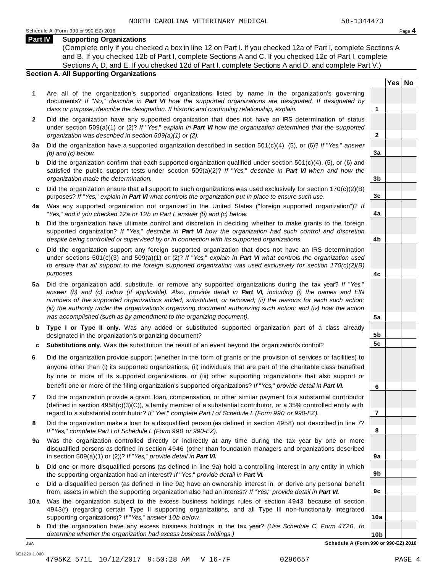### **Part IV Supporting Organizations**

(Complete only if you checked a box in line 12 on Part I. If you checked 12a of Part I, complete Sections A and B. If you checked 12b of Part I, complete Sections A and C. If you checked 12c of Part I, complete Sections A, D, and E. If you checked 12d of Part I, complete Sections A and D, and complete Part V.)

### **Section A. All Supporting Organizations**

- **1** Are all of the organization's supported organizations listed by name in the organization's governing documents? *If* "*No,*" *describe in Part VI how the supported organizations are designated. If designated by class or purpose, describe the designation. If historic and continuing relationship, explain.* **1**
- **2** Did the organization have any supported organization that does not have an IRS determination of status under section 509(a)(1) or (2)? *If*"*Yes,*" *explain in Part VI how the organization determined that the supported organization was described in section 509(a)(1) or (2).*
- **3 a** Did the organization have a supported organization described in section 501(c)(4), (5), or (6)? *If* "*Yes,*" *answer (b) and (c) below.*
- **b** Did the organization confirm that each supported organization qualified under section 501(c)(4), (5), or (6) and | satisfied the public support tests under section 509(a)(2)? *If* "*Yes,*" *describe in Part VI when and how the organization made the determination.*
- **c** Did the organization ensure that all support to such organizations was used exclusively for section 170(c)(2)(B) purposes? *If*"*Yes,*" *explain in Part VI what controls the organization put in place to ensure such use.*
- **4 a** Was any supported organization not organized in the United States ("foreign supported organization")? *If* "*Yes,*" *and if you checked 12a or 12b in Part I, answer (b) and (c) below.*
- **b** Did the organization have ultimate control and discretion in deciding whether to make grants to the foreign | supported organization? *If* "*Yes,*" *describe in Part VI how the organization had such control and discretion despite being controlled or supervised by or in connection with its supported organizations.*
- **c** Did the organization support any foreign supported organization that does not have an IRS determination | under sections 501(c)(3) and 509(a)(1) or (2)? *If* "*Yes,*" *explain in Part VI what controls the organization used to ensure that all support to the foreign supported organization was used exclusively for section 170(c)(2)(B) purposes.*
- **5 a** Did the organization add, substitute, or remove any supported organizations during the tax year? *If* "*Yes,*" answer (b) and (c) below (if applicable). Also, provide detail in Part VI, including (i) the names and EIN *numbers of the supported organizations added, substituted, or removed; (ii) the reasons for each such action;* (iii) the authority under the organization's organizing document authorizing such action; and (iv) how the action *was accomplished (such as by amendment to the organizing document).*
- **b** Type I or Type II only. Was any added or substituted supported organization part of a class already | designated in the organization's organizing document?
- **c Substitutions only.** Was the substitution the result of an event beyond the organization's control?
- **6** Did the organization provide support (whether in the form of grants or the provision of services or facilities) to anyone other than (i) its supported organizations, (ii) individuals that are part of the charitable class benefited by one or more of its supported organizations, or (iii) other supporting organizations that also support or benefit one or more of the filing organization's supported organizations? *If*"*Yes,*" *provide detail in Part VI.*
- **7** Did the organization provide a grant, loan, compensation, or other similar payment to a substantial contributor (defined in section 4958(c)(3)(C)), a family member of a substantial contributor, or a 35% controlled entity with regard to a substantial contributor? *If*"*Yes,*" *complete Part I of Schedule L (Form 990 or 990-EZ).*
- **8** Did the organization make a loan to a disqualified person (as defined in section 4958) not described in line 7? *If* "*Yes,*" *complete Part I of Schedule L (Form 990 or 990-EZ).*
- **a** Was the organization controlled directly or indirectly at any time during the tax year by one or more | **9** disqualified persons as defined in section 4946 (other than foundation managers and organizations described in section 509(a)(1) or (2))? *If*"*Yes,*" *provide detail in Part VI.*
- **b** Did one or more disqualified persons (as defined in line 9a) hold a controlling interest in any entity in which | the supporting organization had an interest? *If*"*Yes,*" *provide detail in Part VI.*
- **c** Did a disqualified person (as defined in line 9a) have an ownership interest in, or derive any personal benefit from, assets in which the supporting organization also had an interest? *If*"*Yes,*" *provide detail in Part VI.*
- **10a** Was the organization subject to the excess business holdings rules of section 4943 because of section | 4943(f) (regarding certain Type II supporting organizations, and all Type III non-functionally integrated supporting organizations)? *If*"*Yes,*" *answer 10b below.*
	- **b** Did the organization have any excess business holdings in the tax year? *(Use Schedule C, Form 4720, to determine whether the organization had excess business holdings.)*

**Yes No**

**2**

**3a**

**3b**

**3c**

**4a**

**4b**

**4c**

**5a**

**5b 5c**

**6**

**7**

**8**

**9a**

**9b**

**9c**

**10a**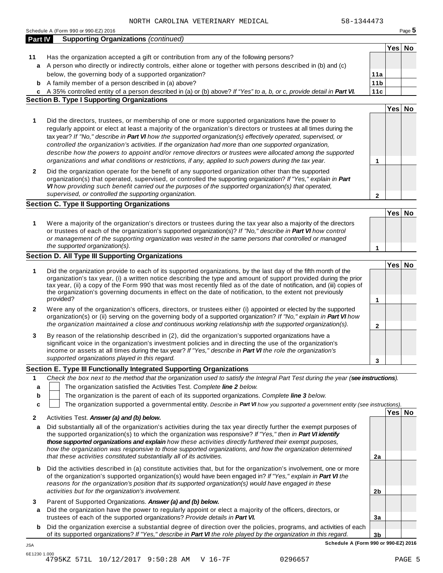|                | 58-1344473<br>NORTH CAROLINA VETERINARY MEDICAL                                                                                                                                                                                                                                                                                                                                                                                                                                                                                     |                 |        |        |
|----------------|-------------------------------------------------------------------------------------------------------------------------------------------------------------------------------------------------------------------------------------------------------------------------------------------------------------------------------------------------------------------------------------------------------------------------------------------------------------------------------------------------------------------------------------|-----------------|--------|--------|
|                | Schedule A (Form 990 or 990-EZ) 2016                                                                                                                                                                                                                                                                                                                                                                                                                                                                                                |                 |        | Page 5 |
| <b>Part IV</b> | <b>Supporting Organizations (continued)</b>                                                                                                                                                                                                                                                                                                                                                                                                                                                                                         |                 |        |        |
|                |                                                                                                                                                                                                                                                                                                                                                                                                                                                                                                                                     |                 | Yes No |        |
| 11<br>a        | Has the organization accepted a gift or contribution from any of the following persons?<br>A person who directly or indirectly controls, either alone or together with persons described in (b) and (c)                                                                                                                                                                                                                                                                                                                             |                 |        |        |
|                | below, the governing body of a supported organization?                                                                                                                                                                                                                                                                                                                                                                                                                                                                              | 11a             |        |        |
| b              | A family member of a person described in (a) above?                                                                                                                                                                                                                                                                                                                                                                                                                                                                                 | 11 <sub>b</sub> |        |        |
|                | c A 35% controlled entity of a person described in (a) or (b) above? If "Yes" to a, b, or c, provide detail in Part VI.                                                                                                                                                                                                                                                                                                                                                                                                             | 11c             |        |        |
|                | <b>Section B. Type I Supporting Organizations</b>                                                                                                                                                                                                                                                                                                                                                                                                                                                                                   |                 |        |        |
|                |                                                                                                                                                                                                                                                                                                                                                                                                                                                                                                                                     |                 | Yes No |        |
| 1              | Did the directors, trustees, or membership of one or more supported organizations have the power to<br>regularly appoint or elect at least a majority of the organization's directors or trustees at all times during the<br>tax year? If "No," describe in Part VI how the supported organization(s) effectively operated, supervised, or<br>controlled the organization's activities. If the organization had more than one supported organization,                                                                               |                 |        |        |
|                | describe how the powers to appoint and/or remove directors or trustees were allocated among the supported<br>organizations and what conditions or restrictions, if any, applied to such powers during the tax year.                                                                                                                                                                                                                                                                                                                 | 1               |        |        |
| 2              | Did the organization operate for the benefit of any supported organization other than the supported<br>organization(s) that operated, supervised, or controlled the supporting organization? If "Yes," explain in Part<br>VI how providing such benefit carried out the purposes of the supported organization(s) that operated,<br>supervised, or controlled the supporting organization.                                                                                                                                          | $\mathbf{2}$    |        |        |
|                | <b>Section C. Type II Supporting Organizations</b>                                                                                                                                                                                                                                                                                                                                                                                                                                                                                  |                 |        |        |
|                |                                                                                                                                                                                                                                                                                                                                                                                                                                                                                                                                     |                 | Yes No |        |
| 1              | Were a majority of the organization's directors or trustees during the tax year also a majority of the directors<br>or trustees of each of the organization's supported organization(s)? If "No," describe in Part VI how control<br>or management of the supporting organization was vested in the same persons that controlled or managed                                                                                                                                                                                         |                 |        |        |
|                | the supported organization(s).                                                                                                                                                                                                                                                                                                                                                                                                                                                                                                      | 1               |        |        |
|                | Section D. All Type III Supporting Organizations                                                                                                                                                                                                                                                                                                                                                                                                                                                                                    |                 |        |        |
| 1              | Did the organization provide to each of its supported organizations, by the last day of the fifth month of the<br>organization's tax year, (i) a written notice describing the type and amount of support provided during the prior<br>tax year, (ii) a copy of the Form 990 that was most recently filed as of the date of notification, and (iii) copies of<br>the organization's governing documents in effect on the date of notification, to the extent not previously<br>provided?                                            | 1               | Yes No |        |
| 2              | Were any of the organization's officers, directors, or trustees either (i) appointed or elected by the supported<br>organization(s) or (ii) serving on the governing body of a supported organization? If "No," explain in Part VI how<br>the organization maintained a close and continuous working relationship with the supported organization(s).                                                                                                                                                                               | $\mathbf{2}$    |        |        |
| 3              | By reason of the relationship described in (2), did the organization's supported organizations have a<br>significant voice in the organization's investment policies and in directing the use of the organization's<br>income or assets at all times during the tax year? If "Yes," describe in Part VI the role the organization's<br>supported organizations played in this regard.                                                                                                                                               |                 |        |        |
|                |                                                                                                                                                                                                                                                                                                                                                                                                                                                                                                                                     | 3               |        |        |
| 1              | Section E. Type III Functionally Integrated Supporting Organizations<br>Check the box next to the method that the organization used to satisfy the Integral Part Test during the year (see instructions).                                                                                                                                                                                                                                                                                                                           |                 |        |        |
| a              | The organization satisfied the Activities Test. Complete line 2 below.                                                                                                                                                                                                                                                                                                                                                                                                                                                              |                 |        |        |
| b              | The organization is the parent of each of its supported organizations. Complete line 3 below.                                                                                                                                                                                                                                                                                                                                                                                                                                       |                 |        |        |
| C              | The organization supported a governmental entity. Describe in Part VI how you supported a government entity (see instructions).                                                                                                                                                                                                                                                                                                                                                                                                     |                 |        |        |
|                | Activities Test. Answer (a) and (b) below.                                                                                                                                                                                                                                                                                                                                                                                                                                                                                          |                 | Yes No |        |
| 2<br>a         | Did substantially all of the organization's activities during the tax year directly further the exempt purposes of<br>the supported organization(s) to which the organization was responsive? If "Yes," then in Part VI identify<br>those supported organizations and explain how these activities directly furthered their exempt purposes,<br>how the organization was responsive to those supported organizations, and how the organization determined<br>that these activities constituted substantially all of its activities. | 2a              |        |        |
| b              | Did the activities described in (a) constitute activities that, but for the organization's involvement, one or more<br>of the organization's supported organization(s) would have been engaged in? If "Yes," explain in Part VI the<br>reasons for the organization's position that its supported organization(s) would have engaged in these<br>activities but for the organization's involvement.                                                                                                                                 | 2 <sub>b</sub>  |        |        |
| 3<br>а         | Parent of Supported Organizations. Answer (a) and (b) below.<br>Did the organization have the power to regularly appoint or elect a majority of the officers, directors, or<br>trustees of each of the supported organizations? Provide details in Part VI.                                                                                                                                                                                                                                                                         | 3a              |        |        |
| b              | Did the organization exercise a substantial degree of direction over the policies, programs, and activities of each                                                                                                                                                                                                                                                                                                                                                                                                                 |                 |        |        |
|                | of its supported organizations? If "Yes," describe in Part VI the role played by the organization in this regard.                                                                                                                                                                                                                                                                                                                                                                                                                   | 3 <sub>b</sub>  |        |        |

**Schedule A (Form 990 or 990-EZ) 2016**

JSA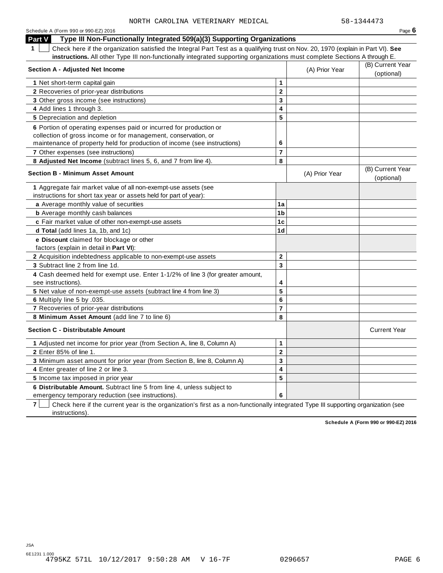| Schedule A (Form 990 or 990-EZ) 2016                                                                                                            |                |                | Page $6$                       |
|-------------------------------------------------------------------------------------------------------------------------------------------------|----------------|----------------|--------------------------------|
| Type III Non-Functionally Integrated 509(a)(3) Supporting Organizations<br>Part V                                                               |                |                |                                |
| $\mathbf 1$<br>Check here if the organization satisfied the Integral Part Test as a qualifying trust on Nov. 20, 1970 (explain in Part VI). See |                |                |                                |
| instructions. All other Type III non-functionally integrated supporting organizations must complete Sections A through E.                       |                |                |                                |
| <b>Section A - Adjusted Net Income</b>                                                                                                          |                | (A) Prior Year | (B) Current Year               |
|                                                                                                                                                 |                |                | (optional)                     |
| 1 Net short-term capital gain                                                                                                                   | 1              |                |                                |
| 2 Recoveries of prior-year distributions                                                                                                        | $\mathbf{2}$   |                |                                |
| 3 Other gross income (see instructions)                                                                                                         | 3              |                |                                |
| 4 Add lines 1 through 3.                                                                                                                        | 4              |                |                                |
| <b>5</b> Depreciation and depletion                                                                                                             | 5              |                |                                |
| 6 Portion of operating expenses paid or incurred for production or                                                                              |                |                |                                |
| collection of gross income or for management, conservation, or                                                                                  |                |                |                                |
| maintenance of property held for production of income (see instructions)                                                                        | 6              |                |                                |
| 7 Other expenses (see instructions)                                                                                                             | $\overline{7}$ |                |                                |
| 8 Adjusted Net Income (subtract lines 5, 6, and 7 from line 4).                                                                                 | 8              |                |                                |
| <b>Section B - Minimum Asset Amount</b>                                                                                                         |                | (A) Prior Year | (B) Current Year<br>(optional) |
| 1 Aggregate fair market value of all non-exempt-use assets (see                                                                                 |                |                |                                |
| instructions for short tax year or assets held for part of year):                                                                               |                |                |                                |
| a Average monthly value of securities                                                                                                           | 1a             |                |                                |
| <b>b</b> Average monthly cash balances                                                                                                          | 1 <sub>b</sub> |                |                                |
| c Fair market value of other non-exempt-use assets                                                                                              | 1c             |                |                                |
| d Total (add lines 1a, 1b, and 1c)                                                                                                              | 1 <sub>d</sub> |                |                                |
| e Discount claimed for blockage or other                                                                                                        |                |                |                                |
| factors (explain in detail in Part VI):                                                                                                         |                |                |                                |
| <b>2</b> Acquisition indebtedness applicable to non-exempt-use assets                                                                           | $\mathbf{2}$   |                |                                |
| 3 Subtract line 2 from line 1d.                                                                                                                 | 3              |                |                                |
| 4 Cash deemed held for exempt use. Enter 1-1/2% of line 3 (for greater amount,<br>see instructions).                                            | 4              |                |                                |
| 5 Net value of non-exempt-use assets (subtract line 4 from line 3)                                                                              | 5              |                |                                |
| 6 Multiply line 5 by .035.                                                                                                                      | 6              |                |                                |
| 7 Recoveries of prior-year distributions                                                                                                        | $\overline{7}$ |                |                                |
| 8 Minimum Asset Amount (add line 7 to line 6)                                                                                                   | 8              |                |                                |
| <b>Section C - Distributable Amount</b>                                                                                                         |                |                | <b>Current Year</b>            |
| 1 Adjusted net income for prior year (from Section A, line 8, Column A)                                                                         | 1              |                |                                |
| 2 Enter 85% of line 1.                                                                                                                          | $\mathbf{2}$   |                |                                |
| 3 Minimum asset amount for prior year (from Section B, line 8, Column A)                                                                        | 3              |                |                                |
| 4 Enter greater of line 2 or line 3.                                                                                                            | 4              |                |                                |
| 5 Income tax imposed in prior year                                                                                                              | 5              |                |                                |
| 6 Distributable Amount. Subtract line 5 from line 4, unless subject to                                                                          |                |                |                                |
| emergency temporary reduction (see instructions).                                                                                               | 6              |                |                                |

**7** Check here if the current year is the organization's first as a non-functionally integrated Type III supporting organization (see instructions).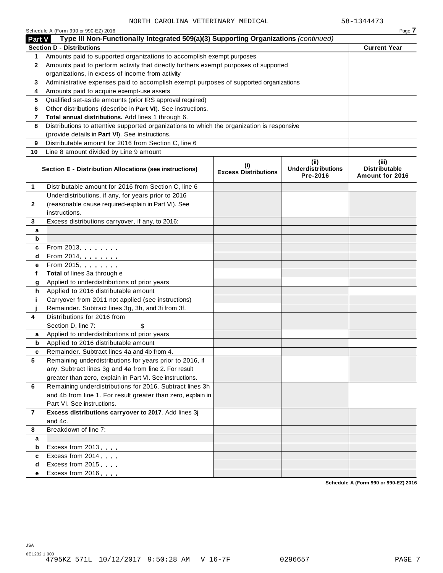|              | Schedule A (Form 990 or 990-EZ) 2016                                                       |                                    |                                               | Page 7                                           |
|--------------|--------------------------------------------------------------------------------------------|------------------------------------|-----------------------------------------------|--------------------------------------------------|
| Part V       | Type III Non-Functionally Integrated 509(a)(3) Supporting Organizations (continued)        |                                    |                                               |                                                  |
|              | <b>Section D - Distributions</b>                                                           |                                    |                                               | <b>Current Year</b>                              |
| 1            | Amounts paid to supported organizations to accomplish exempt purposes                      |                                    |                                               |                                                  |
| $\mathbf{2}$ | Amounts paid to perform activity that directly furthers exempt purposes of supported       |                                    |                                               |                                                  |
|              | organizations, in excess of income from activity                                           |                                    |                                               |                                                  |
| 3            | Administrative expenses paid to accomplish exempt purposes of supported organizations      |                                    |                                               |                                                  |
| 4            | Amounts paid to acquire exempt-use assets                                                  |                                    |                                               |                                                  |
| 5            | Qualified set-aside amounts (prior IRS approval required)                                  |                                    |                                               |                                                  |
| 6            | Other distributions (describe in Part VI). See instructions.                               |                                    |                                               |                                                  |
| 7            | Total annual distributions. Add lines 1 through 6.                                         |                                    |                                               |                                                  |
| 8            | Distributions to attentive supported organizations to which the organization is responsive |                                    |                                               |                                                  |
|              | (provide details in Part VI). See instructions.                                            |                                    |                                               |                                                  |
| 9            | Distributable amount for 2016 from Section C, line 6                                       |                                    |                                               |                                                  |
| 10           | Line 8 amount divided by Line 9 amount                                                     |                                    |                                               |                                                  |
|              | Section E - Distribution Allocations (see instructions)                                    | (i)<br><b>Excess Distributions</b> | (ii)<br><b>Underdistributions</b><br>Pre-2016 | (iii)<br><b>Distributable</b><br>Amount for 2016 |
| 1            | Distributable amount for 2016 from Section C, line 6                                       |                                    |                                               |                                                  |
|              | Underdistributions, if any, for years prior to 2016                                        |                                    |                                               |                                                  |
| 2            | (reasonable cause required-explain in Part VI). See                                        |                                    |                                               |                                                  |
|              | instructions.                                                                              |                                    |                                               |                                                  |
| 3            | Excess distributions carryover, if any, to 2016:                                           |                                    |                                               |                                                  |
| а            |                                                                                            |                                    |                                               |                                                  |
| b            |                                                                                            |                                    |                                               |                                                  |
| c            | From 2013.                                                                                 |                                    |                                               |                                                  |
| d            | From 2014 <b>Fig. 1.1.1.1.</b>                                                             |                                    |                                               |                                                  |
| е            | From 2015.                                                                                 |                                    |                                               |                                                  |
| f            | Total of lines 3a through e                                                                |                                    |                                               |                                                  |
| g            | Applied to underdistributions of prior years                                               |                                    |                                               |                                                  |
| h            | Applied to 2016 distributable amount                                                       |                                    |                                               |                                                  |
| j.           | Carryover from 2011 not applied (see instructions)                                         |                                    |                                               |                                                  |
|              | Remainder. Subtract lines 3g, 3h, and 3i from 3f.                                          |                                    |                                               |                                                  |
| 4            | Distributions for 2016 from                                                                |                                    |                                               |                                                  |
|              | Section D, line 7:<br>\$                                                                   |                                    |                                               |                                                  |
| a            | Applied to underdistributions of prior years                                               |                                    |                                               |                                                  |
| b            | Applied to 2016 distributable amount                                                       |                                    |                                               |                                                  |
| c            | Remainder. Subtract lines 4a and 4b from 4.                                                |                                    |                                               |                                                  |
| 5            | Remaining underdistributions for years prior to 2016, if                                   |                                    |                                               |                                                  |
|              | any. Subtract lines 3g and 4a from line 2. For result                                      |                                    |                                               |                                                  |
|              | greater than zero, explain in Part VI. See instructions.                                   |                                    |                                               |                                                  |
| 6            | Remaining underdistributions for 2016. Subtract lines 3h                                   |                                    |                                               |                                                  |
|              | and 4b from line 1. For result greater than zero, explain in                               |                                    |                                               |                                                  |
|              | Part VI. See instructions.                                                                 |                                    |                                               |                                                  |
| 7            | Excess distributions carryover to 2017. Add lines 3j                                       |                                    |                                               |                                                  |
|              | and 4c.                                                                                    |                                    |                                               |                                                  |
| 8            | Breakdown of line 7:                                                                       |                                    |                                               |                                                  |
| a            |                                                                                            |                                    |                                               |                                                  |
| b            | Excess from 2013                                                                           |                                    |                                               |                                                  |
| c            | Excess from 2014                                                                           |                                    |                                               |                                                  |
| d            | Excess from 2015                                                                           |                                    |                                               |                                                  |
| е            | Excess from 2016                                                                           |                                    |                                               |                                                  |
|              |                                                                                            |                                    |                                               |                                                  |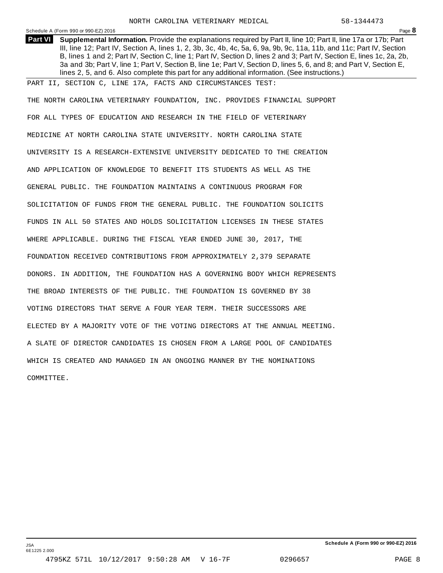### Schedule <sup>A</sup> (Form <sup>990</sup> or 990-EZ) <sup>2016</sup> Page **8**

**Supplemental Information.** Provide the explanations required by Part II, line 10; Part II, line 17a or 17b; Part **Part VI** III, line 12; Part IV, Section A, lines 1, 2, 3b, 3c, 4b, 4c, 5a, 6, 9a, 9b, 9c, 11a, 11b, and 11c; Part IV, Section B, lines 1 and 2; Part IV, Section C, line 1; Part IV, Section D, lines 2 and 3; Part IV, Section E, lines 1c, 2a, 2b, 3a and 3b; Part V, line 1; Part V, Section B, line 1e; Part V, Section D, lines 5, 6, and 8; and Part V, Section E, lines 2, 5, and 6. Also complete this part for any additional information. (See instructions.)

PART II, SECTION C, LINE 17A, FACTS AND CIRCUMSTANCES TEST:

THE NORTH CAROLINA VETERINARY FOUNDATION, INC. PROVIDES FINANCIAL SUPPORT FOR ALL TYPES OF EDUCATION AND RESEARCH IN THE FIELD OF VETERINARY MEDICINE AT NORTH CAROLINA STATE UNIVERSITY. NORTH CAROLINA STATE UNIVERSITY IS A RESEARCH-EXTENSIVE UNIVERSITY DEDICATED TO THE CREATION AND APPLICATION OF KNOWLEDGE TO BENEFIT ITS STUDENTS AS WELL AS THE GENERAL PUBLIC. THE FOUNDATION MAINTAINS A CONTINUOUS PROGRAM FOR SOLICITATION OF FUNDS FROM THE GENERAL PUBLIC. THE FOUNDATION SOLICITS FUNDS IN ALL 50 STATES AND HOLDS SOLICITATION LICENSES IN THESE STATES WHERE APPLICABLE. DURING THE FISCAL YEAR ENDED JUNE 30, 2017, THE FOUNDATION RECEIVED CONTRIBUTIONS FROM APPROXIMATELY 2,379 SEPARATE DONORS. IN ADDITION, THE FOUNDATION HAS A GOVERNING BODY WHICH REPRESENTS THE BROAD INTERESTS OF THE PUBLIC. THE FOUNDATION IS GOVERNED BY 38 VOTING DIRECTORS THAT SERVE A FOUR YEAR TERM. THEIR SUCCESSORS ARE ELECTED BY A MAJORITY VOTE OF THE VOTING DIRECTORS AT THE ANNUAL MEETING. A SLATE OF DIRECTOR CANDIDATES IS CHOSEN FROM A LARGE POOL OF CANDIDATES WHICH IS CREATED AND MANAGED IN AN ONGOING MANNER BY THE NOMINATIONS COMMITTEE.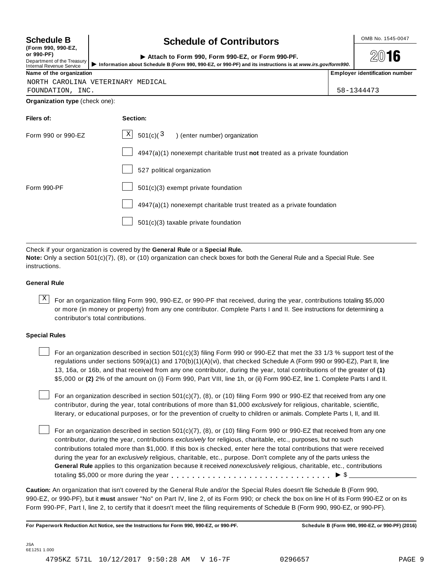| <b>Schedule B</b>                                                    | <b>Schedule of Contributors</b>                                                                                                                                                      | OMB No. 1545-0047                     |  |
|----------------------------------------------------------------------|--------------------------------------------------------------------------------------------------------------------------------------------------------------------------------------|---------------------------------------|--|
| or 990-PF)<br>Department of the Treasury<br>Internal Revenue Service | (Form 990, 990-EZ,<br>Attach to Form 990, Form 990-EZ, or Form 990-PF.<br>Information about Schedule B (Form 990, 990-EZ, or 990-PF) and its instructions is at www.irs.gov/form990. |                                       |  |
| Name of the organization                                             |                                                                                                                                                                                      | <b>Employer identification number</b> |  |
| FOUNDATION, INC.                                                     | NORTH CAROLINA VETERINARY MEDICAL                                                                                                                                                    | 58-1344473                            |  |
| Organization type (check one):                                       |                                                                                                                                                                                      |                                       |  |
| Filers of:                                                           | Section:                                                                                                                                                                             |                                       |  |
| Form 990 or 990-EZ                                                   | $\mathbf x$<br>501(c)(3)<br>) (enter number) organization                                                                                                                            |                                       |  |
|                                                                      | $4947(a)(1)$ nonexempt charitable trust not treated as a private foundation                                                                                                          |                                       |  |
|                                                                      | 527 political organization                                                                                                                                                           |                                       |  |
| Form 990-PF                                                          | $501(c)(3)$ exempt private foundation                                                                                                                                                |                                       |  |
|                                                                      | $4947(a)(1)$ nonexempt charitable trust treated as a private foundation                                                                                                              |                                       |  |
|                                                                      | $501(c)(3)$ taxable private foundation                                                                                                                                               |                                       |  |

Check if your organization is covered by the **General Rule** or a **Special Rule. Note:** Only a section 501(c)(7), (8), or (10) organization can check boxes for both the General Rule and a Special Rule. See instructions.

### **General Rule**

 $\overline{X}$  For an organization filing Form 990, 990-EZ, or 990-PF that received, during the year, contributions totaling \$5,000 or more (in money or property) from any one contributor. Complete Parts I and II. See instructions for determining a contributor's total contributions.

### **Special Rules**

For an organization described in section 501(c)(3) filing Form 990 or 990-EZ that met the 33 1/3 % support test of the regulations under sections 509(a)(1) and 170(b)(1)(A)(vi), that checked Schedule A (Form 990 or 990-EZ), Part II, line 13, 16a, or 16b, and that received from any one contributor, during the year, total contributions of the greater of **(1)** \$5,000 or **(2)** 2% of the amount on (i) Form 990, Part VIII, line 1h, or (ii) Form 990-EZ, line 1. Complete Parts I and II.

For an organization described in section 501(c)(7), (8), or (10) filing Form 990 or 990-EZ that received from any one contributor, during the year, total contributions of more than \$1,000 *exclusively* for religious, charitable, scientific, literary, or educational purposes, or for the prevention of cruelty to children or animals. Complete Parts I, II, and III.

For an organization described in section 501(c)(7), (8), or (10) filing Form 990 or 990-EZ that received from any one contributor, during the year, contributions *exclusively* for religious, charitable, etc., purposes, but no such contributions totaled more than \$1,000. If this box is checked, enter here the total contributions that were received during the year for an *exclusively* religious, charitable, etc., purpose. Don't complete any of the parts unless the **General Rule** applies to this organization because it received *nonexclusively* religious, charitable, etc., contributions totaling \$5,000 or more during the year m m m m m m m m m m m m m m m m m m m m m m m m m m m m m m m I \$

**Caution:** An organization that isn't covered by the General Rule and/or the Special Rules doesn't file Schedule B (Form 990, 990-EZ, or 990-PF), but it **must** answer "No" on Part IV, line 2, of its Form 990; or check the box on line H of its Form 990-EZ or on its Form 990-PF, Part I, line 2, to certify that it doesn't meet the filing requirements of Schedule B (Form 990, 990-EZ, or 990-PF).

For Paperwork Reduction Act Notice, see the Instructions for Form 990, 990-EZ, or 990-PF. Schedule B (Form 990, 990-EZ, or 990-PF) (2016)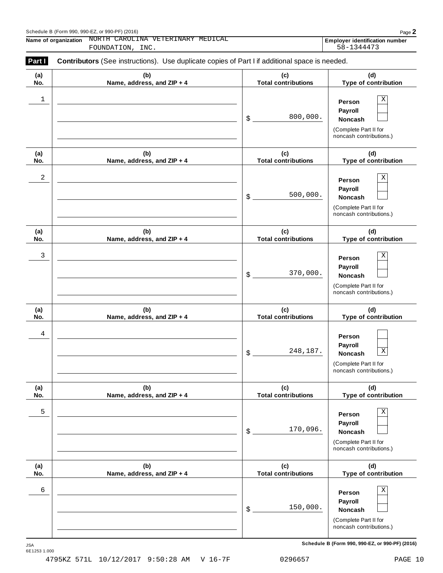| Part I     | Contributors (See instructions). Use duplicate copies of Part I if additional space is needed. |                                   |                                                                                                 |  |  |
|------------|------------------------------------------------------------------------------------------------|-----------------------------------|-------------------------------------------------------------------------------------------------|--|--|
| (a)<br>No. | (b)<br>Name, address, and ZIP + 4                                                              | (c)<br><b>Total contributions</b> | (d)<br>Type of contribution                                                                     |  |  |
| 1          |                                                                                                | 800,000.<br>\$                    | Χ<br>Person<br>Payroll<br>Noncash<br>(Complete Part II for<br>noncash contributions.)           |  |  |
| (a)<br>No. | (b)<br>Name, address, and ZIP + 4                                                              | (c)<br><b>Total contributions</b> | (d)<br>Type of contribution                                                                     |  |  |
| 2          |                                                                                                | 500,000.<br>\$                    | Χ<br>Person<br>Payroll<br>Noncash<br>(Complete Part II for<br>noncash contributions.)           |  |  |
| (a)<br>No. | (b)<br>Name, address, and ZIP + 4                                                              | (c)<br><b>Total contributions</b> | (d)<br>Type of contribution                                                                     |  |  |
| 3          |                                                                                                | 370,000.<br>\$                    | X<br>Person<br>Payroll<br>Noncash<br>(Complete Part II for<br>noncash contributions.)           |  |  |
| (a)<br>No. | (b)<br>Name, address, and ZIP + 4                                                              | (c)<br><b>Total contributions</b> | (d)<br>Type of contribution                                                                     |  |  |
| 4          |                                                                                                | 248,187.<br>\$                    | Person<br>Payroll<br>$\mathbf X$<br>Noncash<br>(Complete Part II for<br>noncash contributions.) |  |  |
| (a)<br>No. | (b)<br>Name, address, and ZIP + 4                                                              | (c)<br><b>Total contributions</b> | (d)<br>Type of contribution                                                                     |  |  |
| 5          |                                                                                                | 170,096.<br>\$                    | Χ<br>Person<br>Payroll<br>Noncash<br>(Complete Part II for<br>noncash contributions.)           |  |  |
| (a)<br>No. | (b)<br>Name, address, and ZIP + 4                                                              | (c)<br><b>Total contributions</b> | (d)<br>Type of contribution                                                                     |  |  |
| 6          |                                                                                                | 150,000.<br>\$                    | Χ<br>Person<br>Payroll<br>Noncash<br>(Complete Part II for<br>noncash contributions.)           |  |  |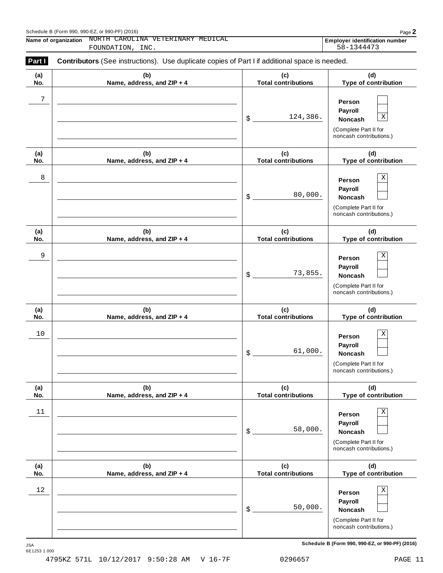| Part I     | <b>Contributors</b> (See instructions). Use duplicate copies of Part I if additional space is needed. |                                   |                                                                                                 |
|------------|-------------------------------------------------------------------------------------------------------|-----------------------------------|-------------------------------------------------------------------------------------------------|
| (a)<br>No. | (b)<br>Name, address, and ZIP + 4                                                                     | (c)<br><b>Total contributions</b> | (d)<br>Type of contribution                                                                     |
| 7          |                                                                                                       | 124,386.<br>\$                    | Person<br>Payroll<br>$\mathbf X$<br>Noncash<br>(Complete Part II for<br>noncash contributions.) |
| (a)<br>No. | (b)<br>Name, address, and ZIP + 4                                                                     | (c)<br><b>Total contributions</b> | (d)<br>Type of contribution                                                                     |
| 8          |                                                                                                       | 80,000.<br>\$                     | $\mathbf X$<br>Person<br>Payroll<br>Noncash<br>(Complete Part II for<br>noncash contributions.) |
| (a)<br>No. | (b)<br>Name, address, and ZIP + 4                                                                     | (c)<br><b>Total contributions</b> | (d)<br>Type of contribution                                                                     |
| 9          |                                                                                                       | 73,855.<br>\$                     | $\mathbf X$<br>Person<br>Payroll<br>Noncash<br>(Complete Part II for<br>noncash contributions.) |
| (a)<br>No. | (b)<br>Name, address, and ZIP + 4                                                                     | (c)<br><b>Total contributions</b> | (d)<br>Type of contribution                                                                     |
| 10         |                                                                                                       | 61,000.<br>\$                     | $\mathbf X$<br>Person<br>Payroll<br>Noncash<br>(Complete Part II for<br>noncash contributions.) |
| (a)<br>No. | (b)<br>Name, address, and ZIP + 4                                                                     | (c)<br><b>Total contributions</b> | (d)<br>Type of contribution                                                                     |
| 11         |                                                                                                       | 58,000.<br>\$                     | Χ<br>Person<br>Payroll<br>Noncash<br>(Complete Part II for<br>noncash contributions.)           |
| (a)<br>No. | (b)<br>Name, address, and ZIP + 4                                                                     | (c)<br><b>Total contributions</b> | (d)<br>Type of contribution                                                                     |
| $1\,2$     |                                                                                                       | 50,000.<br>\$                     | $\mathbf X$<br>Person<br>Payroll<br>Noncash<br>(Complete Part II for<br>noncash contributions.) |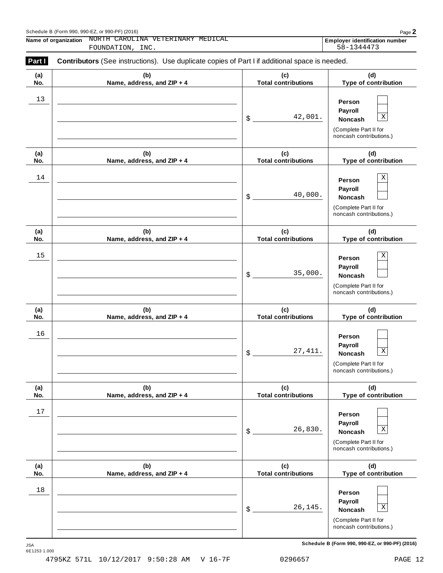| Part I     | Contributors (See instructions). Use duplicate copies of Part I if additional space is needed. |                                   |                                                                                                        |
|------------|------------------------------------------------------------------------------------------------|-----------------------------------|--------------------------------------------------------------------------------------------------------|
| (a)<br>No. | (b)<br>Name, address, and ZIP + 4                                                              | (c)<br><b>Total contributions</b> | (d)<br>Type of contribution                                                                            |
| 13         |                                                                                                | 42,001.<br>\$                     | Person<br>Payroll<br>$\mathbf X$<br>Noncash<br>(Complete Part II for<br>noncash contributions.)        |
| (a)<br>No. | (b)<br>Name, address, and ZIP + 4                                                              | (c)<br><b>Total contributions</b> | (d)<br>Type of contribution                                                                            |
| 14         |                                                                                                | 40,000.<br>\$                     | Χ<br>Person<br>Payroll<br>Noncash<br>(Complete Part II for<br>noncash contributions.)                  |
| (a)<br>No. | (b)<br>Name, address, and ZIP + 4                                                              | (c)<br><b>Total contributions</b> | (d)<br>Type of contribution                                                                            |
| 15         |                                                                                                | 35,000.<br>\$                     | X<br>Person<br>Payroll<br>Noncash<br>(Complete Part II for<br>noncash contributions.)                  |
| (a)<br>No. | (b)<br>Name, address, and ZIP + 4                                                              | (c)<br><b>Total contributions</b> | (d)<br>Type of contribution                                                                            |
| 16         |                                                                                                | 27, 411.<br>\$                    | Person<br>Payroll<br>$\mathbf X$<br><b>Noncash</b><br>(Complete Part II for<br>noncash contributions.) |
| (a)<br>No. | (b)<br>Name, address, and ZIP + 4                                                              | (c)<br><b>Total contributions</b> | (d)<br>Type of contribution                                                                            |
| 17         |                                                                                                | 26,830.<br>\$                     | Person<br>Payroll<br>$\mathbf X$<br>Noncash<br>(Complete Part II for<br>noncash contributions.)        |
| (a)<br>No. | (b)<br>Name, address, and ZIP + 4                                                              | (c)<br><b>Total contributions</b> | (d)<br>Type of contribution                                                                            |
| 18         |                                                                                                | 26,145.<br>\$                     | Person<br>Payroll<br>$\mathbf X$<br>Noncash<br>(Complete Part II for<br>noncash contributions.)        |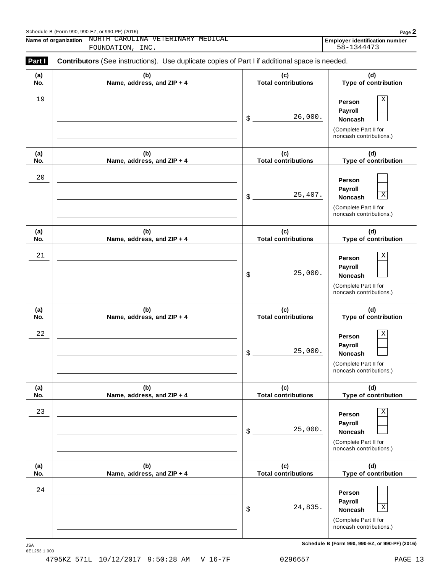| Part I     | Contributors (See instructions). Use duplicate copies of Part I if additional space is needed. |                                   |                                                                                                 |  |  |
|------------|------------------------------------------------------------------------------------------------|-----------------------------------|-------------------------------------------------------------------------------------------------|--|--|
| (a)<br>No. | (b)<br>Name, address, and ZIP + 4                                                              | (c)<br><b>Total contributions</b> | (d)<br>Type of contribution                                                                     |  |  |
| 19         |                                                                                                | 26,000.<br>\$                     | $\mathbf X$<br>Person<br>Payroll<br>Noncash<br>(Complete Part II for<br>noncash contributions.) |  |  |
| (a)<br>No. | (b)<br>Name, address, and ZIP + 4                                                              | (c)<br><b>Total contributions</b> | (d)<br>Type of contribution                                                                     |  |  |
| 20         |                                                                                                | 25,407.<br>\$                     | Person<br>Payroll<br>$\mathbf X$<br>Noncash<br>(Complete Part II for<br>noncash contributions.) |  |  |
| (a)<br>No. | (b)<br>Name, address, and ZIP + 4                                                              | (c)<br><b>Total contributions</b> | (d)<br>Type of contribution                                                                     |  |  |
| 21         |                                                                                                | 25,000.<br>\$                     | $\mathbf X$<br>Person<br>Payroll<br>Noncash<br>(Complete Part II for<br>noncash contributions.) |  |  |
| (a)<br>No. | (b)<br>Name, address, and ZIP + 4                                                              | (c)<br><b>Total contributions</b> | (d)<br>Type of contribution                                                                     |  |  |
| 22         |                                                                                                | 25,000.<br>\$                     | $\mathbf X$<br>Person<br>Payroll<br>Noncash<br>(Complete Part II for<br>noncash contributions.) |  |  |
| (a)<br>No. | (b)<br>Name, address, and ZIP + 4                                                              | (c)<br><b>Total contributions</b> | (d)<br>Type of contribution                                                                     |  |  |
| 23         |                                                                                                | 25,000.<br>\$                     | Χ<br>Person<br>Payroll<br>Noncash<br>(Complete Part II for<br>noncash contributions.)           |  |  |
| (a)<br>No. | (b)<br>Name, address, and ZIP + 4                                                              | (c)<br><b>Total contributions</b> | (d)<br>Type of contribution                                                                     |  |  |
| 24         |                                                                                                | 24,835.<br>\$                     | Person<br>Payroll<br>$\mathbf X$<br>Noncash<br>(Complete Part II for<br>noncash contributions.) |  |  |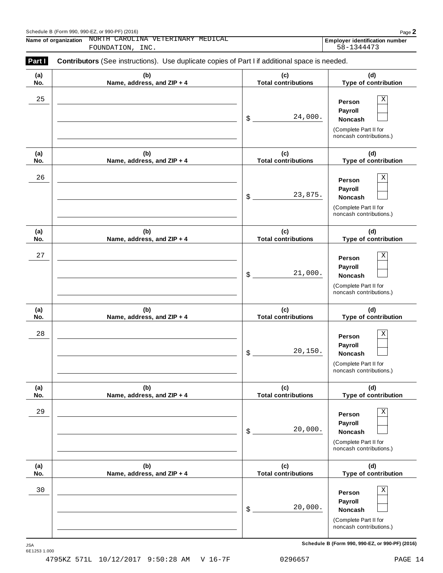| (a) | (b)                        | (c)                        | (d)                                                                                             |
|-----|----------------------------|----------------------------|-------------------------------------------------------------------------------------------------|
| No. | Name, address, and ZIP + 4 | <b>Total contributions</b> | Type of contribution                                                                            |
| 25  |                            | 24,000.<br>\$              | Χ<br>Person<br>Payroll<br>Noncash<br>(Complete Part II for<br>noncash contributions.)           |
| (a) | (b)                        | (c)                        | (d)                                                                                             |
| No. | Name, address, and ZIP + 4 | <b>Total contributions</b> | Type of contribution                                                                            |
| 26  |                            | 23,875.<br>\$              | Χ<br>Person<br>Payroll<br>Noncash<br>(Complete Part II for<br>noncash contributions.)           |
| (a) | (b)                        | (c)                        | (d)                                                                                             |
| No. | Name, address, and ZIP + 4 | <b>Total contributions</b> | Type of contribution                                                                            |
| 27  |                            | 21,000.<br>\$              | Χ<br>Person<br>Payroll<br>Noncash<br>(Complete Part II for<br>noncash contributions.)           |
| (a) | (b)                        | (c)                        | (d)                                                                                             |
| No. | Name, address, and ZIP + 4 | <b>Total contributions</b> | Type of contribution                                                                            |
| 28  |                            | 20,150.<br>\$              | Χ<br>Person<br>Payroll<br>Noncash<br>(Complete Part II for<br>noncash contributions.)           |
| (a) | (b)                        | (c)                        | (d)                                                                                             |
| No. | Name, address, and ZIP + 4 | <b>Total contributions</b> | Type of contribution                                                                            |
| 29  |                            | 20,000.<br>\$              | Χ<br>Person<br>Payroll<br>Noncash<br>(Complete Part II for<br>noncash contributions.)           |
| (a) | (b)                        | (c)                        | (d)                                                                                             |
| No. | Name, address, and ZIP + 4 | <b>Total contributions</b> | Type of contribution                                                                            |
| 30  |                            | 20,000.<br>\$              | $\mathbf X$<br>Person<br>Payroll<br>Noncash<br>(Complete Part II for<br>noncash contributions.) |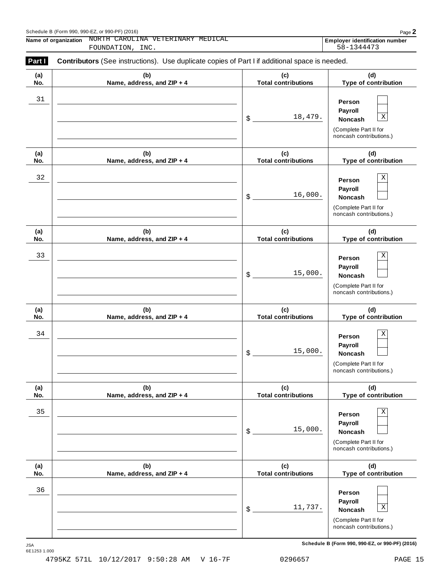| Part I     | Contributors (See instructions). Use duplicate copies of Part I if additional space is needed. |                                   |                                                                                                 |
|------------|------------------------------------------------------------------------------------------------|-----------------------------------|-------------------------------------------------------------------------------------------------|
| (a)<br>No. | (b)<br>Name, address, and ZIP + 4                                                              | (c)<br><b>Total contributions</b> | (d)<br>Type of contribution                                                                     |
| 31         |                                                                                                | 18,479.<br>\$                     | Person<br>Payroll<br>$\mathbf X$<br>Noncash<br>(Complete Part II for<br>noncash contributions.) |
| (a)<br>No. | (b)<br>Name, address, and ZIP + 4                                                              | (c)<br><b>Total contributions</b> | (d)<br>Type of contribution                                                                     |
| 32         |                                                                                                | 16,000.<br>\$                     | Χ<br>Person<br>Payroll<br>Noncash<br>(Complete Part II for<br>noncash contributions.)           |
| (a)<br>No. | (b)<br>Name, address, and ZIP + 4                                                              | (c)<br><b>Total contributions</b> | (d)<br>Type of contribution                                                                     |
| 33         |                                                                                                | 15,000.<br>\$                     | Χ<br>Person<br>Payroll<br>Noncash<br>(Complete Part II for<br>noncash contributions.)           |
| (a)<br>No. | (b)<br>Name, address, and ZIP + 4                                                              | (c)<br><b>Total contributions</b> | (d)<br>Type of contribution                                                                     |
| 34         |                                                                                                | 15,000.<br>\$                     | Χ<br>Person<br>Payroll<br>Noncash<br>(Complete Part II for<br>noncash contributions.)           |
| (a)<br>No. | (b)<br>Name, address, and ZIP + 4                                                              | (c)<br><b>Total contributions</b> | (d)<br>Type of contribution                                                                     |
| 35         |                                                                                                | 15,000.<br>\$                     | $\mathbf X$<br>Person<br>Payroll<br>Noncash<br>(Complete Part II for<br>noncash contributions.) |
| (a)<br>No. | (b)<br>Name, address, and ZIP + 4                                                              | (c)<br><b>Total contributions</b> | (d)<br>Type of contribution                                                                     |
| 36         |                                                                                                | 11,737.<br>\$                     | Person<br>Payroll<br>$\mathbf X$<br>Noncash<br>(Complete Part II for<br>noncash contributions.) |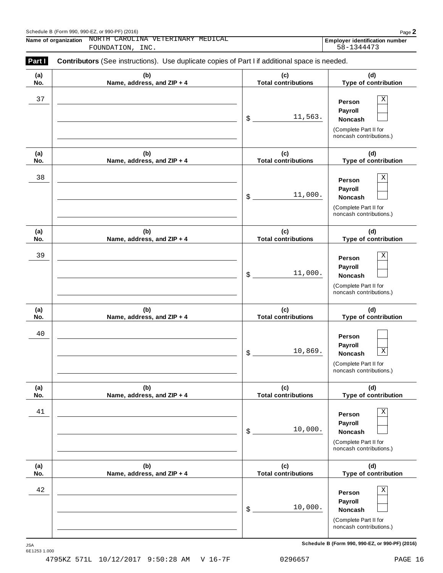| Part I     | Contributors (See instructions). Use duplicate copies of Part I if additional space is needed. |                                   |                                                                                                    |
|------------|------------------------------------------------------------------------------------------------|-----------------------------------|----------------------------------------------------------------------------------------------------|
| (a)<br>No. | (b)<br>Name, address, and ZIP + 4                                                              | (c)<br><b>Total contributions</b> | (d)<br>Type of contribution                                                                        |
| 37         |                                                                                                | 11,563.<br>$\mathsf{\$}$ .        | $\mathbf X$<br>Person<br>Payroll<br>Noncash<br>(Complete Part II for<br>noncash contributions.)    |
| (a)<br>No. | (b)<br>Name, address, and ZIP + 4                                                              | (c)<br><b>Total contributions</b> | (d)<br>Type of contribution                                                                        |
| 38         |                                                                                                | 11,000.<br>\$                     | $\rm X$<br>Person<br>Payroll<br>Noncash<br>(Complete Part II for<br>noncash contributions.)        |
| (a)<br>No. | (b)<br>Name, address, and ZIP + 4                                                              | (c)<br><b>Total contributions</b> | (d)<br>Type of contribution                                                                        |
| 39         |                                                                                                | 11,000.<br>\$                     | Χ<br>Person<br>Payroll<br>Noncash<br>(Complete Part II for<br>noncash contributions.)              |
| (a)<br>No. | (b)<br>Name, address, and ZIP + 4                                                              | (c)<br><b>Total contributions</b> | (d)<br>Type of contribution                                                                        |
| $40$       |                                                                                                | 10,869.<br>\$                     | Person<br>Payroll<br>$\mathbf X$<br>Noncash<br>(Complete Part II for<br>noncash contributions.)    |
| (a)<br>No. | (b)<br>Name, address, and ZIP + 4                                                              | (c)<br><b>Total contributions</b> | (d)<br>Type of contribution                                                                        |
| 41         |                                                                                                | 10,000.<br>\$                     | $\rm X$<br>Person<br>Payroll<br><b>Noncash</b><br>(Complete Part II for<br>noncash contributions.) |
| (a)<br>No. | (b)<br>Name, address, and ZIP + 4                                                              | (c)<br><b>Total contributions</b> | (d)<br>Type of contribution                                                                        |
| 42         |                                                                                                | 10,000.<br>\$                     | $\rm X$<br>Person<br>Payroll<br>Noncash<br>(Complete Part II for<br>noncash contributions.)        |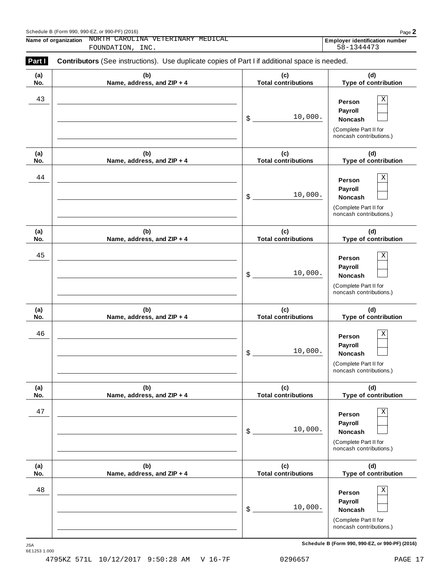| Part I     | Contributors (See instructions). Use duplicate copies of Part I if additional space is needed. |                                   |                                                                                                        |  |  |
|------------|------------------------------------------------------------------------------------------------|-----------------------------------|--------------------------------------------------------------------------------------------------------|--|--|
| (a)<br>No. | (b)<br>Name, address, and ZIP + 4                                                              | (c)<br><b>Total contributions</b> | (d)<br>Type of contribution                                                                            |  |  |
| 43         |                                                                                                | 10,000.<br>\$                     | $\mathbf X$<br>Person<br>Payroll<br><b>Noncash</b><br>(Complete Part II for<br>noncash contributions.) |  |  |
| (a)<br>No. | (b)<br>Name, address, and ZIP + 4                                                              | (c)<br><b>Total contributions</b> | (d)<br>Type of contribution                                                                            |  |  |
| 44         |                                                                                                | 10,000.<br>\$                     | $\mathbf X$<br>Person<br>Payroll<br><b>Noncash</b><br>(Complete Part II for<br>noncash contributions.) |  |  |
| (a)<br>No. | (b)<br>Name, address, and ZIP + 4                                                              | (c)<br><b>Total contributions</b> | (d)<br>Type of contribution                                                                            |  |  |
| 45         |                                                                                                | 10,000.<br>\$                     | Χ<br>Person<br>Payroll<br><b>Noncash</b><br>(Complete Part II for<br>noncash contributions.)           |  |  |
| (a)<br>No. | (b)<br>Name, address, and ZIP + 4                                                              | (c)<br><b>Total contributions</b> | (d)<br>Type of contribution                                                                            |  |  |
| 46         |                                                                                                | 10,000.<br>\$                     | $\mathbf X$<br>Person<br>Payroll<br><b>Noncash</b><br>(Complete Part II for<br>noncash contributions.) |  |  |
| (a)<br>No. | (b)<br>Name, address, and ZIP + 4                                                              | (c)<br><b>Total contributions</b> | (d)<br>Type of contribution                                                                            |  |  |
| 47         |                                                                                                | 10,000.<br>\$                     | $\mathbf X$<br>Person<br>Payroll<br>Noncash<br>(Complete Part II for<br>noncash contributions.)        |  |  |
| (a)<br>No. | (b)<br>Name, address, and ZIP + 4                                                              | (c)<br><b>Total contributions</b> | (d)<br>Type of contribution                                                                            |  |  |
| 48         |                                                                                                | 10,000.<br>\$                     | $\mathbf X$<br>Person<br>Payroll<br>Noncash<br>(Complete Part II for<br>noncash contributions.)        |  |  |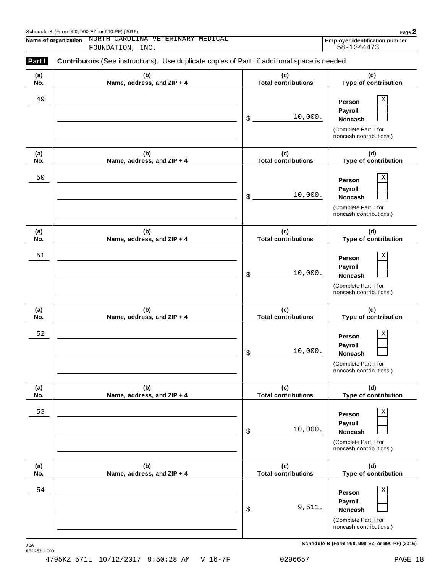| (a) | (b)                        | (c)                        | (d)                                                                                   |
|-----|----------------------------|----------------------------|---------------------------------------------------------------------------------------|
| No. | Name, address, and ZIP + 4 | <b>Total contributions</b> | Type of contribution                                                                  |
| 49  |                            | 10,000.<br>\$              | Χ<br>Person<br>Payroll<br>Noncash<br>(Complete Part II for<br>noncash contributions.) |
| (a) | (b)                        | (c)                        | (d)                                                                                   |
| No. | Name, address, and ZIP + 4 | <b>Total contributions</b> | Type of contribution                                                                  |
| 50  |                            | 10,000.<br>\$              | Χ<br>Person<br>Payroll<br>Noncash<br>(Complete Part II for<br>noncash contributions.) |
| (a) | (b)                        | (c)                        | (d)                                                                                   |
| No. | Name, address, and ZIP + 4 | <b>Total contributions</b> | Type of contribution                                                                  |
| 51  |                            | 10,000.<br>\$              | Χ<br>Person<br>Payroll<br>Noncash<br>(Complete Part II for<br>noncash contributions.) |
| (a) | (b)                        | (c)                        | (d)                                                                                   |
| No. | Name, address, and ZIP + 4 | <b>Total contributions</b> | Type of contribution                                                                  |
| 52  |                            | 10,000.<br>\$              | Χ<br>Person<br>Payroll<br>Noncash<br>(Complete Part II for<br>noncash contributions.) |
| (a) | (b)                        | (c)                        | (d)                                                                                   |
| No. | Name, address, and ZIP + 4 | <b>Total contributions</b> | Type of contribution                                                                  |
| 53  |                            | 10,000.<br>\$              | Χ<br>Person<br>Payroll<br>Noncash<br>(Complete Part II for<br>noncash contributions.) |
| (a) | (b)                        | (c)                        | (d)                                                                                   |
| No. | Name, address, and ZIP + 4 | <b>Total contributions</b> | Type of contribution                                                                  |
| 54  |                            |                            | Χ<br>Person<br>Payroll                                                                |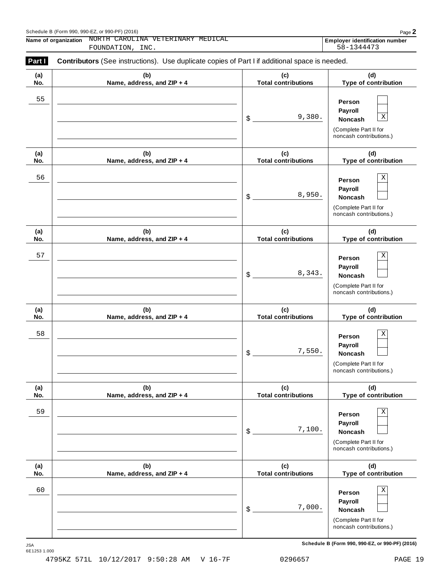| (a) | (b)                        | (c)                        | (d)                                                                                                |
|-----|----------------------------|----------------------------|----------------------------------------------------------------------------------------------------|
| No. | Name, address, and ZIP + 4 | <b>Total contributions</b> | Type of contribution                                                                               |
| 55  |                            | 9,380.<br>\$               | Person<br>Payroll<br>$\mathbf X$<br>Noncash<br>(Complete Part II for<br>noncash contributions.)    |
| (a) | (b)                        | (c)                        | (d)                                                                                                |
| No. | Name, address, and ZIP + 4 | <b>Total contributions</b> | Type of contribution                                                                               |
| 56  |                            | 8,950.<br>\$               | Χ<br>Person<br>Payroll<br>Noncash<br>(Complete Part II for<br>noncash contributions.)              |
| (a) | (b)                        | (c)                        | (d)                                                                                                |
| No. | Name, address, and ZIP + 4 | <b>Total contributions</b> | Type of contribution                                                                               |
| 57  |                            | 8,343.<br>\$               | X<br>Person<br>Payroll<br>Noncash<br>(Complete Part II for<br>noncash contributions.)              |
| (a) | (b)                        | (c)                        | (d)                                                                                                |
| No. | Name, address, and ZIP + 4 | <b>Total contributions</b> | Type of contribution                                                                               |
| 58  |                            | 7,550.<br>\$               | X<br>Person<br>Payroll<br>Noncash<br>(Complete Part II for<br>noncash contributions.)              |
| (a) | (b)                        | (c)                        | (d)                                                                                                |
| No. | Name, address, and ZIP + 4 | <b>Total contributions</b> | Type of contribution                                                                               |
| 59  |                            | 7,100.<br>\$               | $\rm X$<br>Person<br>Payroll<br><b>Noncash</b><br>(Complete Part II for<br>noncash contributions.) |
| (a) | (b)                        | (c)                        | (d)                                                                                                |
| No. | Name, address, and ZIP + 4 | <b>Total contributions</b> | Type of contribution                                                                               |
| 60  |                            | 7,000.<br>\$               | $\rm X$<br>Person<br>Payroll<br>Noncash<br>(Complete Part II for<br>noncash contributions.)        |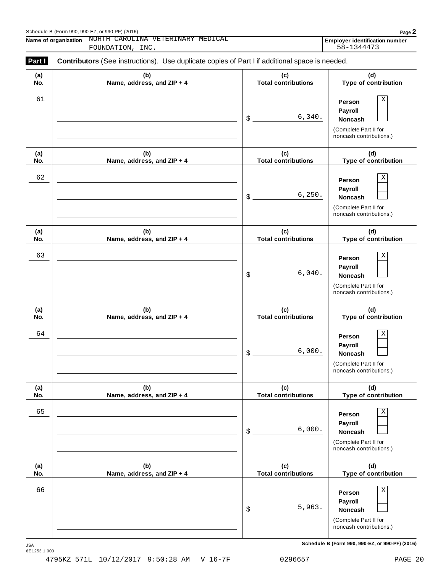| Part I     | Contributors (See instructions). Use duplicate copies of Part I if additional space is needed. |                                   |                                                                                                        |  |  |  |  |
|------------|------------------------------------------------------------------------------------------------|-----------------------------------|--------------------------------------------------------------------------------------------------------|--|--|--|--|
| (a)<br>No. | (b)<br>Name, address, and ZIP + 4                                                              | (c)<br><b>Total contributions</b> | (d)<br>Type of contribution                                                                            |  |  |  |  |
| 61         |                                                                                                | 6,340.<br>\$                      | $\mathbf X$<br>Person<br>Payroll<br>Noncash<br>(Complete Part II for<br>noncash contributions.)        |  |  |  |  |
| (a)<br>No. | (b)<br>Name, address, and ZIP + 4                                                              | (c)<br><b>Total contributions</b> | (d)<br>Type of contribution                                                                            |  |  |  |  |
| 62         |                                                                                                | 6, 250.<br>\$                     | $\mathbf X$<br>Person<br>Payroll<br>Noncash<br>(Complete Part II for<br>noncash contributions.)        |  |  |  |  |
| (a)<br>No. | (b)<br>Name, address, and ZIP + 4                                                              | (c)<br><b>Total contributions</b> | (d)<br>Type of contribution                                                                            |  |  |  |  |
| 63         |                                                                                                | 6,040.<br>\$                      | $\mathbf X$<br>Person<br>Payroll<br>Noncash<br>(Complete Part II for<br>noncash contributions.)        |  |  |  |  |
| (a)<br>No. | (b)<br>Name, address, and ZIP + 4                                                              | (c)<br><b>Total contributions</b> | (d)<br>Type of contribution                                                                            |  |  |  |  |
| 64         |                                                                                                | 6,000.<br>\$                      | $\mathbf X$<br>Person<br>Payroll<br><b>Noncash</b><br>(Complete Part II for<br>noncash contributions.) |  |  |  |  |
| (a)<br>No. | (b)<br>Name, address, and ZIP + 4                                                              | (c)<br><b>Total contributions</b> | (d)<br>Type of contribution                                                                            |  |  |  |  |
| 65         |                                                                                                | 6,000.<br>\$                      | Χ<br>Person<br>Payroll<br>Noncash<br>(Complete Part II for<br>noncash contributions.)                  |  |  |  |  |
| (a)<br>No. | (b)<br>Name, address, and ZIP + 4                                                              | (c)<br><b>Total contributions</b> | (d)<br>Type of contribution                                                                            |  |  |  |  |
| 66         |                                                                                                | 5,963.<br>\$                      | Χ<br>Person<br>Payroll<br>Noncash<br>(Complete Part II for<br>noncash contributions.)                  |  |  |  |  |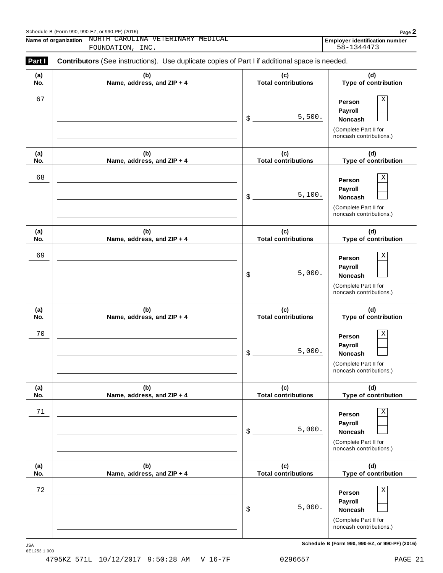| Part I<br>Contributors (See instructions). Use duplicate copies of Part I if additional space is needed. |                                   |                                                                  |                                                                                                        |  |  |  |
|----------------------------------------------------------------------------------------------------------|-----------------------------------|------------------------------------------------------------------|--------------------------------------------------------------------------------------------------------|--|--|--|
| (a)<br>No.                                                                                               | (b)<br>Name, address, and ZIP + 4 | (c)<br>(d)<br><b>Total contributions</b><br>Type of contribution |                                                                                                        |  |  |  |
| 67                                                                                                       |                                   | 5,500.<br>\$                                                     | $\rm X$<br>Person<br>Payroll<br>Noncash<br>(Complete Part II for<br>noncash contributions.)            |  |  |  |
| (a)<br>No.                                                                                               | (b)<br>Name, address, and ZIP + 4 | (c)<br><b>Total contributions</b>                                | (d)<br>Type of contribution                                                                            |  |  |  |
| 68                                                                                                       |                                   | 5,100.<br>\$                                                     | $\mathbf X$<br>Person<br>Payroll<br>Noncash<br>(Complete Part II for<br>noncash contributions.)        |  |  |  |
| (a)<br>No.                                                                                               | (b)<br>Name, address, and ZIP + 4 | (c)<br><b>Total contributions</b>                                | (d)<br>Type of contribution                                                                            |  |  |  |
| 69                                                                                                       |                                   | 5,000.<br>\$                                                     | $\mathbf X$<br>Person<br>Payroll<br>Noncash<br>(Complete Part II for<br>noncash contributions.)        |  |  |  |
| (a)<br>No.                                                                                               | (b)<br>Name, address, and ZIP + 4 | (c)<br><b>Total contributions</b>                                | (d)<br>Type of contribution                                                                            |  |  |  |
| 70                                                                                                       |                                   | 5,000.<br>\$                                                     | $\mathbf X$<br>Person<br>Payroll<br><b>Noncash</b><br>(Complete Part II for<br>noncash contributions.) |  |  |  |
| (a)<br>No.                                                                                               | (b)<br>Name, address, and ZIP + 4 | (c)<br><b>Total contributions</b>                                | (d)<br>Type of contribution                                                                            |  |  |  |
| 71                                                                                                       |                                   | 5,000.<br>\$                                                     | Χ<br>Person<br>Payroll<br><b>Noncash</b><br>(Complete Part II for<br>noncash contributions.)           |  |  |  |
| (a)<br>No.                                                                                               | (b)<br>Name, address, and ZIP + 4 | (c)<br><b>Total contributions</b>                                | (d)<br>Type of contribution                                                                            |  |  |  |
| 72                                                                                                       |                                   | 5,000.<br>\$                                                     | Χ<br>Person<br>Payroll<br>Noncash<br>(Complete Part II for<br>noncash contributions.)                  |  |  |  |

 $S$ chedule B (Form 990, 990-EZ, or 990-PF) (2016)

JSA<br>6E1253 1.000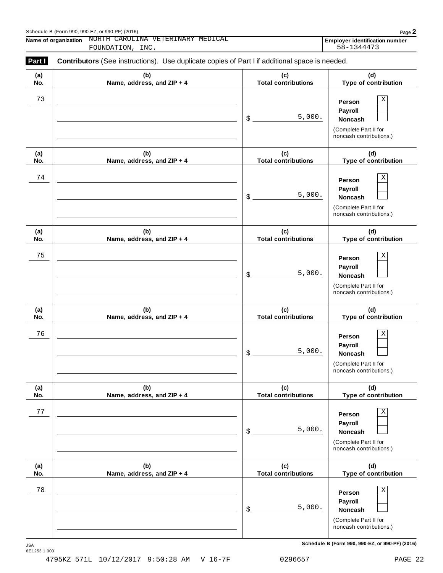| Part I<br>Contributors (See instructions). Use duplicate copies of Part I if additional space is needed. |                                   |                                   |                                                                                                        |  |  |  |
|----------------------------------------------------------------------------------------------------------|-----------------------------------|-----------------------------------|--------------------------------------------------------------------------------------------------------|--|--|--|
| (a)<br>No.                                                                                               | (b)<br>Name, address, and ZIP + 4 | (c)<br><b>Total contributions</b> | (d)<br>Type of contribution                                                                            |  |  |  |
| 73                                                                                                       |                                   | 5,000.<br>\$                      | $\mathbf X$<br>Person<br>Payroll<br><b>Noncash</b><br>(Complete Part II for<br>noncash contributions.) |  |  |  |
| (a)<br>No.                                                                                               | (b)<br>Name, address, and ZIP + 4 | (c)<br><b>Total contributions</b> | (d)<br>Type of contribution                                                                            |  |  |  |
| 74                                                                                                       |                                   | 5,000.<br>\$                      | $\mathbf X$<br>Person<br>Payroll<br><b>Noncash</b><br>(Complete Part II for<br>noncash contributions.) |  |  |  |
| (a)<br>No.                                                                                               | (b)<br>Name, address, and ZIP + 4 | (c)<br><b>Total contributions</b> | (d)<br>Type of contribution                                                                            |  |  |  |
| 75                                                                                                       |                                   | 5,000.<br>\$                      | $\mathbf X$<br>Person<br>Payroll<br><b>Noncash</b><br>(Complete Part II for<br>noncash contributions.) |  |  |  |
| (a)<br>No.                                                                                               | (b)<br>Name, address, and ZIP + 4 | (c)<br><b>Total contributions</b> | (d)<br>Type of contribution                                                                            |  |  |  |
| 76                                                                                                       |                                   | 5,000.<br>\$                      | $\mathbf X$<br>Person<br>Payroll<br><b>Noncash</b><br>(Complete Part II for<br>noncash contributions.) |  |  |  |
| (a)<br>No.                                                                                               | (b)<br>Name, address, and ZIP + 4 | (c)<br><b>Total contributions</b> | (d)<br>Type of contribution                                                                            |  |  |  |
| 77                                                                                                       |                                   | 5,000.<br>\$                      | $\mathbf X$<br>Person<br>Payroll<br>Noncash<br>(Complete Part II for<br>noncash contributions.)        |  |  |  |
| (a)<br>No.                                                                                               | (b)<br>Name, address, and ZIP + 4 | (c)<br><b>Total contributions</b> | (d)<br>Type of contribution                                                                            |  |  |  |
| 78                                                                                                       |                                   | 5,000.<br>\$                      | $\mathbf X$<br>Person<br>Payroll<br>Noncash<br>(Complete Part II for<br>noncash contributions.)        |  |  |  |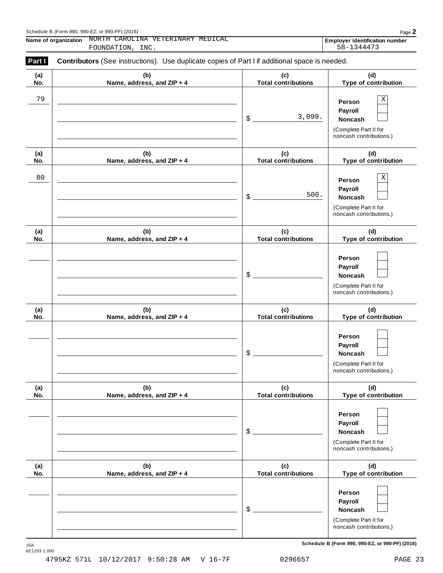| (a) | (b)                        | (c)                        | (d)                                                                                   |
|-----|----------------------------|----------------------------|---------------------------------------------------------------------------------------|
| No. | Name, address, and ZIP + 4 | <b>Total contributions</b> | Type of contribution                                                                  |
| 79  |                            | 3,099.<br>\$               | Χ<br>Person<br>Payroll<br>Noncash<br>(Complete Part II for<br>noncash contributions.) |
| (a) | (b)                        | (c)                        | (d)                                                                                   |
| No. | Name, address, and ZIP + 4 | <b>Total contributions</b> | Type of contribution                                                                  |
| 80  |                            | 500.<br>\$                 | Χ<br>Person<br>Payroll<br>Noncash<br>(Complete Part II for<br>noncash contributions.) |
| (a) | (b)                        | (c)                        | (d)                                                                                   |
| No. | Name, address, and ZIP + 4 | <b>Total contributions</b> | Type of contribution                                                                  |
|     |                            | \$                         | Person<br>Payroll<br>Noncash<br>(Complete Part II for<br>noncash contributions.)      |
| (a) | (b)                        | (c)                        | (d)                                                                                   |
| No. | Name, address, and ZIP + 4 | <b>Total contributions</b> | Type of contribution                                                                  |
|     |                            | \$                         | Person<br>Payroll<br>Noncash<br>(Complete Part II for<br>noncash contributions.)      |
| (a) | (b)                        | (c)                        | (d)                                                                                   |
| No. | Name, address, and ZIP + 4 | <b>Total contributions</b> | Type of contribution                                                                  |
|     |                            | \$                         | Person<br>Payroll<br>Noncash<br>(Complete Part II for<br>noncash contributions.)      |
| (a) | (b)                        | (c)                        | (d)                                                                                   |
| No. | Name, address, and ZIP + 4 | <b>Total contributions</b> | Type of contribution                                                                  |
|     |                            | \$                         | Person<br>Payroll<br>Noncash<br>(Complete Part II for<br>noncash contributions.)      |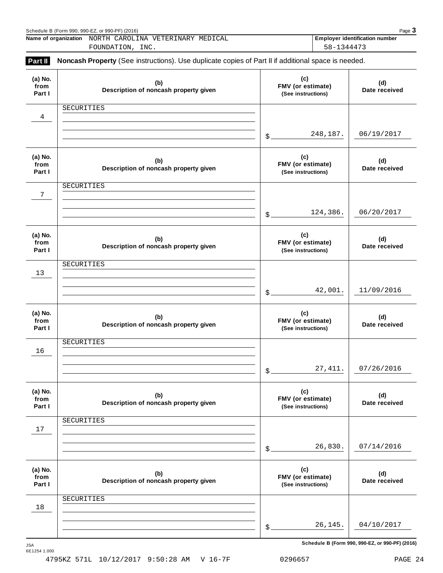|                           | Schedule B (Form 990, 990-EZ, or 990-PF) (2016)                                                                         |       |                                                | Page $3$                              |
|---------------------------|-------------------------------------------------------------------------------------------------------------------------|-------|------------------------------------------------|---------------------------------------|
|                           | Name of organization NORTH CAROLINA VETERINARY MEDICAL                                                                  |       | 58-1344473                                     | <b>Employer identification number</b> |
| Part II                   | FOUNDATION, INC.<br>Noncash Property (See instructions). Use duplicate copies of Part II if additional space is needed. |       |                                                |                                       |
| (a) No.<br>from<br>Part I | (b)<br>Description of noncash property given                                                                            |       | (c)<br>FMV (or estimate)<br>(See instructions) | (d)<br>Date received                  |
| $\overline{4}$            | SECURITIES                                                                                                              | $$$ . | 248,187.                                       | 06/19/2017                            |
| (a) No.<br>from<br>Part I | (b)<br>Description of noncash property given                                                                            |       | (c)<br>FMV (or estimate)<br>(See instructions) | (d)<br>Date received                  |
| 7                         | SECURITIES                                                                                                              |       | 124,386.                                       | 06/20/2017                            |
|                           |                                                                                                                         | \$.   |                                                |                                       |
| (a) No.<br>from<br>Part I | (b)<br>Description of noncash property given                                                                            |       | (c)<br>FMV (or estimate)<br>(See instructions) | (d)<br>Date received                  |
| 13                        | SECURITIES                                                                                                              |       |                                                |                                       |
|                           |                                                                                                                         | \$    | 42,001.                                        | 11/09/2016                            |
| (a) No.<br>from<br>Part I | (b)<br>Description of noncash property given                                                                            |       | (c)<br>FMV (or estimate)<br>(See instructions) | (d)<br>Date received                  |
|                           | SECURITIES                                                                                                              |       |                                                |                                       |
| 16                        |                                                                                                                         | \$    | 27, 411.                                       | 07/26/2016                            |
| (a) No.<br>from<br>Part I | (b)<br>Description of noncash property given                                                                            |       | (c)<br>FMV (or estimate)<br>(See instructions) | (d)<br>Date received                  |
|                           | SECURITIES                                                                                                              |       |                                                |                                       |
| 17                        |                                                                                                                         | \$    | 26,830.                                        | 07/14/2016                            |
| (a) No.<br>from<br>Part I | (b)<br>Description of noncash property given                                                                            |       | (c)<br>FMV (or estimate)<br>(See instructions) | (d)<br>Date received                  |
| 18                        | SECURITIES                                                                                                              |       |                                                |                                       |
|                           |                                                                                                                         |       | 26,145.                                        | 04/10/2017                            |
|                           |                                                                                                                         | \$    |                                                |                                       |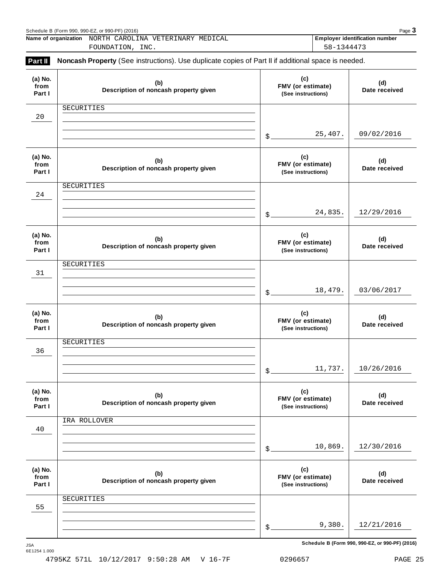|                           | Schedule B (Form 990, 990-EZ, or 990-PF) (2016)                                                     |                   |                                                | Page 3                                |
|---------------------------|-----------------------------------------------------------------------------------------------------|-------------------|------------------------------------------------|---------------------------------------|
|                           | Name of organization NORTH CAROLINA VETERINARY MEDICAL<br>FOUNDATION, INC.                          |                   | 58-1344473                                     | <b>Employer identification number</b> |
| Part II                   | Noncash Property (See instructions). Use duplicate copies of Part II if additional space is needed. |                   |                                                |                                       |
| (a) No.<br>from<br>Part I | (b)<br>Description of noncash property given                                                        |                   | (c)<br>FMV (or estimate)<br>(See instructions) | (d)<br>Date received                  |
| 20                        | SECURITIES                                                                                          |                   |                                                |                                       |
|                           |                                                                                                     | $\mathcal{L}_{-}$ | 25,407.                                        | 09/02/2016                            |
| (a) No.<br>from<br>Part I | (b)<br>Description of noncash property given                                                        |                   | (c)<br>FMV (or estimate)<br>(See instructions) | (d)<br>Date received                  |
| 24                        | SECURITIES                                                                                          |                   |                                                |                                       |
|                           |                                                                                                     | $\mathcal{L}$     | 24,835.                                        | 12/29/2016                            |
| (a) No.<br>from<br>Part I | (b)<br>Description of noncash property given                                                        |                   | (c)<br>FMV (or estimate)<br>(See instructions) | (d)<br>Date received                  |
| 31                        | SECURITIES                                                                                          |                   |                                                |                                       |
|                           |                                                                                                     | $$$ .             | 18,479.                                        | 03/06/2017                            |
| (a) No.<br>from<br>Part I | (b)<br>Description of noncash property given                                                        |                   | (c)<br>FMV (or estimate)<br>(See instructions) | (d)<br>Date received                  |
| 36                        | SECURITIES                                                                                          |                   |                                                |                                       |
|                           |                                                                                                     | \$                | 11,737.                                        | 10/26/2016                            |
| (a) No.<br>from<br>Part I | (b)<br>Description of noncash property given                                                        |                   | (c)<br>FMV (or estimate)<br>(See instructions) | (d)<br>Date received                  |
| 40                        | IRA ROLLOVER                                                                                        |                   |                                                |                                       |
|                           |                                                                                                     | \$                | 10,869.                                        | 12/30/2016                            |
| (a) No.<br>from<br>Part I | (b)<br>Description of noncash property given                                                        |                   | (c)<br>FMV (or estimate)<br>(See instructions) | (d)<br>Date received                  |
| 55                        | SECURITIES                                                                                          |                   |                                                |                                       |
|                           |                                                                                                     | \$                | 9,380.                                         | 12/21/2016                            |
|                           |                                                                                                     |                   |                                                |                                       |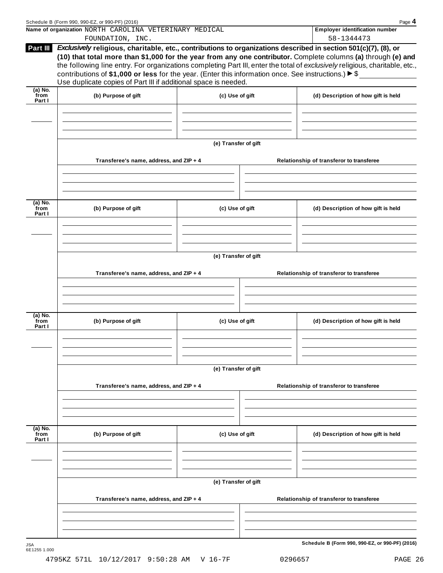|                             | Name of organization NORTH CAROLINA VETERINARY MEDICAL<br>FOUNDATION, INC.                                                                                                                  |                      | <b>Employer identification number</b><br>58-1344473                                                                                                                                                                                                                                                                                                              |  |  |  |
|-----------------------------|---------------------------------------------------------------------------------------------------------------------------------------------------------------------------------------------|----------------------|------------------------------------------------------------------------------------------------------------------------------------------------------------------------------------------------------------------------------------------------------------------------------------------------------------------------------------------------------------------|--|--|--|
| Part III                    | contributions of \$1,000 or less for the year. (Enter this information once. See instructions.) $\blacktriangleright$ \$<br>Use duplicate copies of Part III if additional space is needed. |                      | Exclusively religious, charitable, etc., contributions to organizations described in section 501(c)(7), (8), or<br>(10) that total more than \$1,000 for the year from any one contributor. Complete columns (a) through (e) and<br>the following line entry. For organizations completing Part III, enter the total of exclusively religious, charitable, etc., |  |  |  |
| $(a)$ No.<br>from<br>Part I | (b) Purpose of gift                                                                                                                                                                         | (c) Use of gift      | (d) Description of how gift is held                                                                                                                                                                                                                                                                                                                              |  |  |  |
|                             |                                                                                                                                                                                             |                      |                                                                                                                                                                                                                                                                                                                                                                  |  |  |  |
|                             |                                                                                                                                                                                             | (e) Transfer of gift |                                                                                                                                                                                                                                                                                                                                                                  |  |  |  |
|                             | Transferee's name, address, and ZIP + 4                                                                                                                                                     |                      | Relationship of transferor to transferee                                                                                                                                                                                                                                                                                                                         |  |  |  |
| (a) No.<br>from<br>Part I   | (b) Purpose of gift                                                                                                                                                                         | (c) Use of gift      | (d) Description of how gift is held                                                                                                                                                                                                                                                                                                                              |  |  |  |
|                             |                                                                                                                                                                                             |                      |                                                                                                                                                                                                                                                                                                                                                                  |  |  |  |
|                             | (e) Transfer of gift                                                                                                                                                                        |                      |                                                                                                                                                                                                                                                                                                                                                                  |  |  |  |
|                             | Transferee's name, address, and ZIP + 4                                                                                                                                                     |                      | Relationship of transferor to transferee                                                                                                                                                                                                                                                                                                                         |  |  |  |
| (a) No.<br>from<br>Part I   | (b) Purpose of gift                                                                                                                                                                         | (c) Use of gift      | (d) Description of how gift is held                                                                                                                                                                                                                                                                                                                              |  |  |  |
|                             |                                                                                                                                                                                             |                      |                                                                                                                                                                                                                                                                                                                                                                  |  |  |  |
|                             | Transferee's name, address, and ZIP + 4                                                                                                                                                     | (e) Transfer of gift | Relationship of transferor to transferee                                                                                                                                                                                                                                                                                                                         |  |  |  |
|                             |                                                                                                                                                                                             |                      |                                                                                                                                                                                                                                                                                                                                                                  |  |  |  |
| (a) No.<br>from<br>Part I   | (b) Purpose of gift                                                                                                                                                                         | (c) Use of gift      | (d) Description of how gift is held                                                                                                                                                                                                                                                                                                                              |  |  |  |
|                             |                                                                                                                                                                                             |                      |                                                                                                                                                                                                                                                                                                                                                                  |  |  |  |
|                             |                                                                                                                                                                                             | (e) Transfer of gift |                                                                                                                                                                                                                                                                                                                                                                  |  |  |  |
|                             |                                                                                                                                                                                             |                      |                                                                                                                                                                                                                                                                                                                                                                  |  |  |  |
|                             | Transferee's name, address, and ZIP + 4                                                                                                                                                     |                      | Relationship of transferor to transferee                                                                                                                                                                                                                                                                                                                         |  |  |  |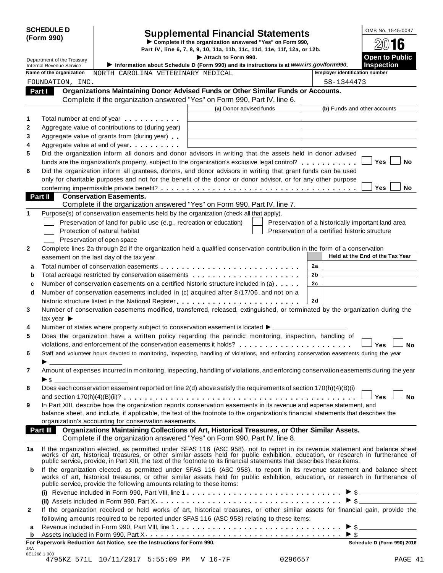# SCHEDULE D<br>
Supplemental Financial Statements<br>
Form 990)<br>
Part IV, line 6, 7, 8, 9, 10, 11a, 11b, 11c, 11d, 11e, 11f, 12a, or 12b.

Department of the Treasury<br>Department of the Treasury Information about School is a section of the Information about School in Commence of the School and the instructions is at unusuing courier model in the Instruction of **INSERVICE III.** Internal Revenue Service III. Information about Schedule D (Form 990) and its instructions is at *www.irs.gov/form990*. Inspection<br>Note of the aggregation at a property of positions and its instructions i **Name of the organization** MORTH CAROLINA VETERINARY MEDICAL **Employer** identification number **Organizations Maintaining Donor Advised Funds or Other Similar Funds or Accounts. Part I Complete if the organizations Maintaining Donor Advised Funds or Other Similar Funds<br>Complete if the organization answered "Yes" on Form 990, Part IV, line 6. (a)** Donor advised funds **(b)** Funds and other accounts **1 2 3 4 5 6** Total number at end of year  $\dots\dots\dots\dots$ Aggregate value of contributions to (during year) Aggregate value of contributions to (during year)<br>Aggregate value of grants from (during year) Aggregate value of grants from (during year)<br>Aggregate value at end of year Did the organization inform all donors and donor advisors in writing that the assets held in donor advised funds are the organization's property, subject to the organization's exclusive legal control? **mature m** m m m m m **Yes**  $\Box$  **No** Did the organization inform all grantees, donors, and donor advisors in writing that grant funds can be used only for charitable purposes and not for the benefit of the donor or donor advisor, or for any other purpose conferring impermissible private benefit? m m m m m m m m m m m m m m m m m m m m m m m m m m m m m m m m m m m m m m **Yes No Conservation Easements. Part II** Conservation Easements.<br>Complete if the organization answered "Yes" on Form 990, Part IV, line 7. **1** Purpose(s) of conservation easements held by the organization (check all that apply). Preservation of land for public use (e.g., recreation or education) Protection of natural habitat Preservation of open space Preservation of a historically important land area Preservation of a certified historic structure **2** Complete lines 2a through 2d if the organization held a qualified conservation contribution in the form of a conservation easement on the last day of the tax year. **Held at the End** of the Tax Year **2a 2b 2c 2d a** Total number of conservation easements m m m m m m m m m m m m m m m m m m m m m m m m m m m **a** Total number of conservation easements ............................<br>**b** Total acreage restricted by conservation easements ..................... **b** Total acreage restricted by conservation easements<br>**c** Number of conservation easements on a certified historic structure included in (a) . . . . . . **d** Number of conservation easements included in (c) acquired after 8/17/06, and not on a  $\mid$ historic structure listed in the National Register m m m m m m m m m m m m m m m m m m m m m m m m **3 4 5 6 7 8 9** Number of conservation easements modified, transferred, released, extinguished, or terminated by the organization during the tax vear  $\blacktriangleright$ Number of states where property subject to conservation easement is located  $\blacktriangleright$ . Does the organization have a written policy regarding the periodic monitoring, inspection, handling of violations, and enforcement of the conservation easements it holds? musical manager mann m m m m **y** es  $\Box$  No Staff and volunteer hours devoted to monitoring, inspecting, handling of violations, and enforcing conservation easements during the year <br>
> Amount of expenses incurred in monitoring, inspecting, handling of violations, and enforcing conservation easements during the year  $\blacktriangleright$  s Does each conservation easement reported on line 2(d) above satisfy the requirements of section 170(h)(4)(B)(i) and section 170(h)(4)(B)(ii)? m m m m m m m m m m m m m m m m m m m m m m m m m m m m m m m m m m m m m m m m m m m m m **Yes No** In Part XIII, describe how the organization reports conservation easements in its revenue and expense statement, and balance sheet, and include, if applicable, the text of the footnote to the organization's financial statements that describes the organization's accounting for conservation easements. **Organizations Maintaining Collections of Art, Historical Treasures, or Other Similar Assets. Part III Organizations Maintaining Collections of Art, Historical Treasures, or Organization answered "Yes" on Form 990, Part IV, line 8.** 1a If the organization elected, as permitted under SFAS 116 (ASC 958), not to report in its revenue statement and balance sheet<br>works of art, historical treasures, or other similar assets held for public exhibition, educat public service, provide, in Part XIII, the text of the footnote to its financial statements that describes these items. **b** If the organization elected, as permitted under SFAS 116 (ASC 958), to report in its revenue statement and balance sheet works of art, historical treasures, or other similar assets held for public exhibition, education, or research in furtherance of public service, provide the following amounts relating to these items: **(i)** I Revenue included in Form 990, Part VIII, line 1 m m m m m m m m m m m m m m m m m m m m m m m m m m m m m m \$ **(ii)** Assets included in Form 990, Part X m m m m m m m m m m m m m m m m m m m m m m m m m m m m m m m m m m m m I \$ **2** If the organization received or held works of art, historical treasures, or other similar assets for financial gain, provide the following amounts required to be reported under SFAS 116 (ASC 958) relating to these items: following amounts required to be reported under SFAS 116 (ASC 958) relating to these items:<br>**a** Revenue included in Form 990, Part VIII, line 1 **a** a more contained in Form 200, Dart Y. **a** Revenue included in Form 990, Part VIII, line 1  $\ldots$   $\ldots$   $\ldots$   $\ldots$   $\ldots$   $\ldots$   $\ldots$   $\ldots$   $\ldots$   $\ldots$   $\ldots$   $\ldots$   $\ldots$   $\ldots$   $\ldots$   $\ldots$   $\ldots$   $\ldots$   $\ldots$   $\ldots$   $\ldots$   $\ldots$   $\ldots$   $\ldots$   $\ldots$   $\ldots$   $\ldots$   $\ldots$  **For Paperwork Reduction Act Notice, see the Instructions for Form 990. Schedule D (Form 990) 2016** FOUNDATION, INC. 58-1344473

6E1268 1.000 4795KZ 571L 10/11/2017 5:55:09 PM V 16-7F 0296657 PAGE 41

JSA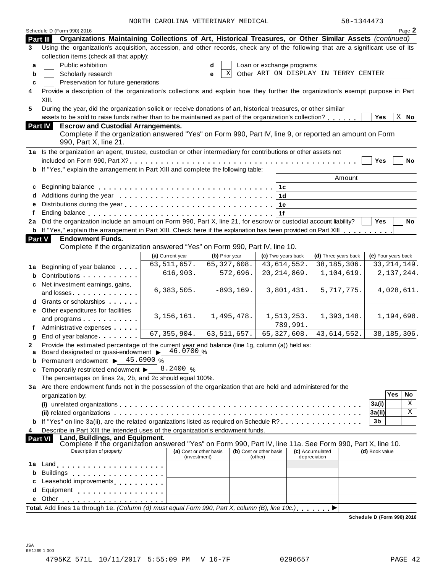|               | Schedule D (Form 990) 2016                                                                                                       | NURIA CARUBINA VEIERINARI MEDICAB |   |                         |                                  |          |                                      | コローエコキューコ                  |               | Page 2      |
|---------------|----------------------------------------------------------------------------------------------------------------------------------|-----------------------------------|---|-------------------------|----------------------------------|----------|--------------------------------------|----------------------------|---------------|-------------|
| Part III      | Organizations Maintaining Collections of Art, Historical Treasures, or Other Similar Assets (continued)                          |                                   |   |                         |                                  |          |                                      |                            |               |             |
| 3             | Using the organization's acquisition, accession, and other records, check any of the following that are a significant use of its |                                   |   |                         |                                  |          |                                      |                            |               |             |
|               | collection items (check all that apply):                                                                                         |                                   |   |                         |                                  |          |                                      |                            |               |             |
| a             | Public exhibition                                                                                                                |                                   | d |                         | Loan or exchange programs        |          |                                      |                            |               |             |
| b             | Scholarly research                                                                                                               |                                   | е | X                       |                                  |          | Other ART ON DISPLAY IN TERRY CENTER |                            |               |             |
| C             | Preservation for future generations                                                                                              |                                   |   |                         |                                  |          |                                      |                            |               |             |
| 4             | Provide a description of the organization's collections and explain how they further the organization's exempt purpose in Part   |                                   |   |                         |                                  |          |                                      |                            |               |             |
|               | XIII.                                                                                                                            |                                   |   |                         |                                  |          |                                      |                            |               |             |
| 5             | During the year, did the organization solicit or receive donations of art, historical treasures, or other similar                |                                   |   |                         |                                  |          |                                      |                            |               |             |
|               | assets to be sold to raise funds rather than to be maintained as part of the organization's collection?                          |                                   |   |                         |                                  |          |                                      | Yes                        |               | $X \mid$ No |
|               | <b>Escrow and Custodial Arrangements.</b><br><b>Part IV</b>                                                                      |                                   |   |                         |                                  |          |                                      |                            |               |             |
|               | Complete if the organization answered "Yes" on Form 990, Part IV, line 9, or reported an amount on Form                          |                                   |   |                         |                                  |          |                                      |                            |               |             |
|               | 990, Part X, line 21.                                                                                                            |                                   |   |                         |                                  |          |                                      |                            |               |             |
|               | 1a Is the organization an agent, trustee, custodian or other intermediary for contributions or other assets not                  |                                   |   |                         |                                  |          |                                      |                            |               |             |
|               |                                                                                                                                  |                                   |   |                         |                                  |          |                                      | <b>Yes</b>                 |               | No          |
| b             | If "Yes," explain the arrangement in Part XIII and complete the following table:                                                 |                                   |   |                         |                                  |          |                                      |                            |               |             |
|               |                                                                                                                                  |                                   |   |                         |                                  |          | Amount                               |                            |               |             |
| c             |                                                                                                                                  |                                   |   |                         |                                  |          |                                      |                            |               |             |
| d             |                                                                                                                                  |                                   |   |                         | 1 <sub>c</sub><br>1 <sub>d</sub> |          |                                      |                            |               |             |
| e             |                                                                                                                                  |                                   |   |                         |                                  |          |                                      |                            |               |             |
|               |                                                                                                                                  |                                   |   |                         | 1e<br>1f                         |          |                                      |                            |               |             |
| 2a            | Did the organization include an amount on Form 990, Part X, line 21, for escrow or custodial account liability?                  |                                   |   |                         |                                  |          |                                      | Yes                        |               | No          |
| b             | If "Yes," explain the arrangement in Part XIII. Check here if the explanation has been provided on Part XIII                     |                                   |   |                         |                                  |          |                                      |                            |               |             |
| <b>Part V</b> | <b>Endowment Funds.</b>                                                                                                          |                                   |   |                         |                                  |          |                                      |                            |               |             |
|               | Complete if the organization answered "Yes" on Form 990, Part IV, line 10.                                                       |                                   |   |                         |                                  |          |                                      |                            |               |             |
|               |                                                                                                                                  | (a) Current year                  |   | (b) Prior year          | (c) Two years back               |          | (d) Three years back                 | (e) Four years back        |               |             |
|               |                                                                                                                                  | 63, 511, 657.                     |   | 65, 327, 608.           | 43,614,552.                      |          | 38, 185, 306.                        |                            | 33, 214, 149. |             |
|               | 1a Beginning of year balance                                                                                                     | 616,903.                          |   | $\overline{572}$ , 696. | 20, 214, 869.                    |          | 1,104,619.                           |                            | 2, 137, 244.  |             |
| b             | Contributions                                                                                                                    |                                   |   |                         |                                  |          |                                      |                            |               |             |
| c             | Net investment earnings, gains,                                                                                                  | 6,383,505.                        |   | $-893, 169.$            | 3,801,431.                       |          | 5,717,775.                           |                            | 4,028,611.    |             |
|               |                                                                                                                                  |                                   |   |                         |                                  |          |                                      |                            |               |             |
| d             | Grants or scholarships                                                                                                           |                                   |   |                         |                                  |          |                                      |                            |               |             |
| е             | Other expenditures for facilities                                                                                                |                                   |   | 1,495,478.              |                                  |          | 1,393,148.                           |                            | 1,194,698.    |             |
|               | and programs                                                                                                                     | 3, 156, 161.                      |   |                         | 1,513,253.                       | 789,991. |                                      |                            |               |             |
|               | Administrative expenses                                                                                                          | 67, 355, 904.                     |   | 63, 511, 657.           | 65, 327, 608.                    |          | 43,614,552.                          |                            |               |             |
| g             | End of year balance                                                                                                              |                                   |   |                         |                                  |          |                                      |                            | 38, 185, 306. |             |
|               | Provide the estimated percentage of the current year end balance (line 1g, column (a)) held as:                                  |                                   |   |                         |                                  |          |                                      |                            |               |             |
| a             | Board designated or quasi-endowment > 46.0700 %                                                                                  |                                   |   |                         |                                  |          |                                      |                            |               |             |
| b             | Permanent endowment ▶ 45.6900 %                                                                                                  |                                   |   |                         |                                  |          |                                      |                            |               |             |
| c             | Temporarily restricted endowment $\triangleright$ 8.2400 %                                                                       |                                   |   |                         |                                  |          |                                      |                            |               |             |
|               | The percentages on lines 2a, 2b, and 2c should equal 100%.                                                                       |                                   |   |                         |                                  |          |                                      |                            |               |             |
|               | 3a Are there endowment funds not in the possession of the organization that are held and administered for the                    |                                   |   |                         |                                  |          |                                      |                            | <b>Yes</b>    | No          |
|               | organization by:                                                                                                                 |                                   |   |                         |                                  |          |                                      |                            |               | Χ           |
|               |                                                                                                                                  |                                   |   |                         |                                  |          |                                      | 3a(i)                      |               | Χ           |
|               |                                                                                                                                  |                                   |   |                         |                                  |          |                                      | 3a(ii)                     |               |             |
|               | If "Yes" on line 3a(ii), are the related organizations listed as required on Schedule R?                                         |                                   |   |                         |                                  |          |                                      | 3b                         |               |             |
| 4             | Describe in Part XIII the intended uses of the organization's endowment funds.<br>Land, Buildings, and Equipment.                |                                   |   |                         |                                  |          |                                      |                            |               |             |
|               | Part VI<br>Complete if the organization answered "Yes" on Form 990, Part IV, line 11a. See Form 990, Part X, line 10.            |                                   |   |                         |                                  |          |                                      |                            |               |             |
|               | Description of property                                                                                                          | (a) Cost or other basis           |   |                         | (b) Cost or other basis          |          | (c) Accumulated                      | (d) Book value             |               |             |
| 1a            |                                                                                                                                  | (investment)                      |   |                         | (other)                          |          | depreciation                         |                            |               |             |
|               |                                                                                                                                  |                                   |   |                         |                                  |          |                                      |                            |               |             |
| b             | Buildings                                                                                                                        |                                   |   |                         |                                  |          |                                      |                            |               |             |
|               | Leasehold improvements entitled and the set of                                                                                   |                                   |   |                         |                                  |          |                                      |                            |               |             |
| d             | Equipment                                                                                                                        |                                   |   |                         |                                  |          |                                      |                            |               |             |
|               | e Other                                                                                                                          |                                   |   |                         |                                  |          |                                      |                            |               |             |
|               | Total. Add lines 1a through 1e. (Column (d) must equal Form 990, Part X, column (B), line 10c.).                                 |                                   |   |                         |                                  |          |                                      |                            |               |             |
|               |                                                                                                                                  |                                   |   |                         |                                  |          |                                      | Schedule D (Form 990) 2016 |               |             |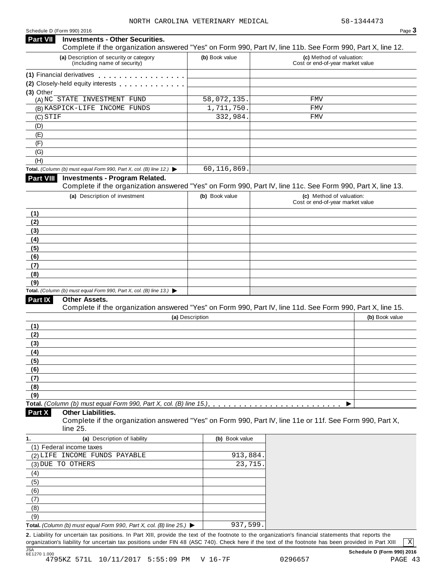### Schedule <sup>D</sup> (Form 990) <sup>2016</sup> Page **3 Investments - Other Securities. Part VII** Investments - Other Securities.<br>Complete if the organization answered "Yes" on Form 990, Part IV, line 11b. See Form 990, Part X, line 12. **(a)** Description of security or category (including name of security) **(b)** Book value **(c)** Method of valuation: Cost or end-of-year market value **(1)** Financial derivatives **(2)** Closely-held equity interests **m (3)** Other (A) NC STATE INVESTMENT FUND 58,072,135. FMV (B) KASPICK-LIFE INCOME FUNDS 1,711,750. FMV (C) STIF (D) (E) (F) (G) (H) **Total.** *(Column (b) must equal Form 990, Part X, col. (B) line 12.)* I **Investments - Program Related.** Complete if the organization answered "Yes" on Form 990, Part IV, line 11c. See Form 990, Part X, line 13. **(a)** Description of investment **(b)** Book value **(c)** Method of valuation: Cost or end-of-year market value **(1) (2) (3) (4) (5) (6) (7) (8) (9) Total.** *(Column (b) must equal Form 990, Part X, col. (B) line 13.)* I **Other Assets.** Complete if the organization answered "Yes" on Form 990, Part IV, line 11d. See Form 990, Part X, line 15. **(a)** Description **(b)** Book value **(1) (2) (3) (4) (5) (6) (7) (8) (9)**  $\blacksquare$   $\blacksquare$   $\blacksquare$   $\blacksquare$   $\lozenge$   $\lozenge$   $\blacksquare$   $\blacksquare$   $\blacksquare$   $\blacksquare$   $\blacksquare$   $\blacksquare$   $\blacksquare$   $\blacksquare$   $\blacksquare$   $\blacksquare$   $\blacksquare$   $\blacksquare$   $\blacksquare$   $\blacksquare$   $\blacksquare$   $\blacksquare$   $\blacksquare$   $\blacksquare$   $\blacksquare$   $\blacksquare$   $\blacksquare$   $\blacksquare$   $\blacksquare$   $\blacksquare$   $\blacksquare$   $\blacks$ **Other Liabilities.** Complete if the organization answered "Yes" on Form 990, Part IV, line 11e or 11f. See Form 990, Part X, line 25. **Part X 1. (a)** Description of liability **(b)** Book value (1) Federal income taxes (2) LIFE INCOME FUNDS PAYABLE 913,884. (3) DUE TO OTHERS 23,715. (4) (5) (6) (7) (8)  $STIF$  FMV 60,116,869.

(9) **Total.** *(Column (b) must equal Form 990, Part X, col. (B) line 25.)* I 937,599.

**2.** Liability for uncertain tax positions. In Part XIII, provide the text of the footnote to the organization's financial statements that reports the organization's liability for uncertain tax positions under FIN 48 (ASC 740). Check here if the text of the footnote has been provided in Part XIII JSA<br>6E1270 1.000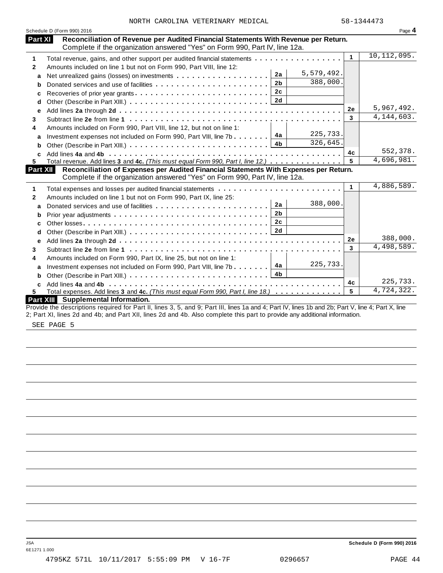| NORTH CAROLINA VETERINARY MEDICAL |  |  |
|-----------------------------------|--|--|
|-----------------------------------|--|--|

|              | Schedule D (Form 990) 2016                                                                                                                         |                      | Page 4        |
|--------------|----------------------------------------------------------------------------------------------------------------------------------------------------|----------------------|---------------|
| Part XI      | Reconciliation of Revenue per Audited Financial Statements With Revenue per Return.                                                                |                      |               |
|              | Complete if the organization answered "Yes" on Form 990, Part IV, line 12a.                                                                        | $\blacktriangleleft$ | 10, 112, 095. |
| 1            | Total revenue, gains, and other support per audited financial statements                                                                           |                      |               |
| $\mathbf{2}$ | Amounts included on line 1 but not on Form 990, Part VIII, line 12:                                                                                |                      |               |
| a            | 5,579,492.<br>2a<br>Net unrealized gains (losses) on investments                                                                                   |                      |               |
| b            | 388,000.<br>2 <sub>b</sub><br>Donated services and use of facilities                                                                               |                      |               |
| c            | 2c                                                                                                                                                 |                      |               |
| d            |                                                                                                                                                    |                      |               |
| е            |                                                                                                                                                    | 2e                   | 5,967,492.    |
| 3            |                                                                                                                                                    | 3                    | 4, 144, 603.  |
| 4            | Amounts included on Form 990, Part VIII, line 12, but not on line 1:                                                                               |                      |               |
| a            | 225,733.<br>Investment expenses not included on Form 990, Part VIII, line 7b $\boxed{4a}$                                                          |                      |               |
| b            | 326,645.                                                                                                                                           |                      |               |
| c            |                                                                                                                                                    | 4с                   | 552,378.      |
| 5            | Total revenue. Add lines 3 and 4c. (This must equal Form 990, Part I, line 12.)                                                                    | 5                    | 4,696,981.    |
| Part XII     | Reconciliation of Expenses per Audited Financial Statements With Expenses per Return.                                                              |                      |               |
|              | Complete if the organization answered "Yes" on Form 990, Part IV, line 12a.                                                                        |                      |               |
| 1            | Total expenses and losses per audited financial statements                                                                                         | $\mathbf{1}$         | 4,886,589.    |
| $\mathbf{2}$ | Amounts included on line 1 but not on Form 990, Part IX, line 25:                                                                                  |                      |               |
| a            | 388,000.<br>2a                                                                                                                                     |                      |               |
| b            | 2 <sub>b</sub>                                                                                                                                     |                      |               |
| c            | 2c                                                                                                                                                 |                      |               |
| d            |                                                                                                                                                    |                      |               |
| е            |                                                                                                                                                    | 2e                   | 388,000.      |
| 3            |                                                                                                                                                    | $\overline{3}$       | 4,498,589.    |
| 4            | Amounts included on Form 990, Part IX, line 25, but not on line 1:                                                                                 |                      |               |
| a            | 225,733.<br>4a<br>Investment expenses not included on Form 990, Part VIII, line 7b                                                                 |                      |               |
| b            | 4 <b>b</b>                                                                                                                                         |                      |               |
| C            |                                                                                                                                                    | 4 <sub>c</sub>       | 225,733.      |
| 5.           | Total expenses. Add lines 3 and 4c. (This must equal Form 990, Part I, line 18.)                                                                   | 5                    | 4,724,322.    |
|              | <b>Part XIII</b> Supplemental Information.                                                                                                         |                      |               |
|              | Provide the descriptions required for Part II, lines 3, 5, and 9; Part III, lines 1a and 4; Part IV, lines 1b and 2b; Part V, line 4; Part X, line |                      |               |
|              | 2; Part XI, lines 2d and 4b; and Part XII, lines 2d and 4b. Also complete this part to provide any additional information.                         |                      |               |

SEE PAGE 5

JSA **Schedule D (Form 990) 2016**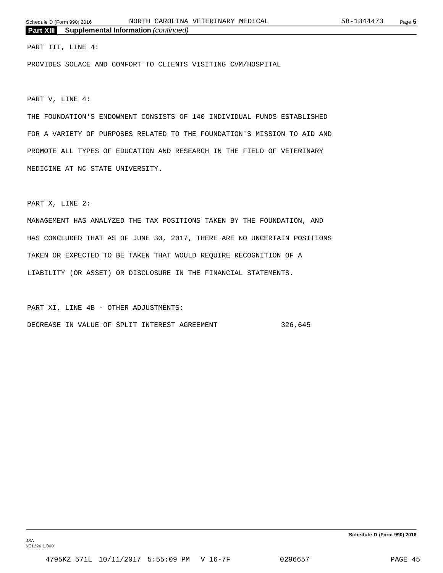### PART III, LINE 4:

PROVIDES SOLACE AND COMFORT TO CLIENTS VISITING CVM/HOSPITAL

PART V, LINE 4:

THE FOUNDATION'S ENDOWMENT CONSISTS OF 140 INDIVIDUAL FUNDS ESTABLISHED FOR A VARIETY OF PURPOSES RELATED TO THE FOUNDATION'S MISSION TO AID AND PROMOTE ALL TYPES OF EDUCATION AND RESEARCH IN THE FIELD OF VETERINARY MEDICINE AT NC STATE UNIVERSITY.

PART X, LINE 2:

MANAGEMENT HAS ANALYZED THE TAX POSITIONS TAKEN BY THE FOUNDATION, AND HAS CONCLUDED THAT AS OF JUNE 30, 2017, THERE ARE NO UNCERTAIN POSITIONS TAKEN OR EXPECTED TO BE TAKEN THAT WOULD REQUIRE RECOGNITION OF A LIABILITY (OR ASSET) OR DISCLOSURE IN THE FINANCIAL STATEMENTS.

PART XI, LINE 4B - OTHER ADJUSTMENTS: DECREASE IN VALUE OF SPLIT INTEREST AGREEMENT 326,645

JSA 6E1226 1.000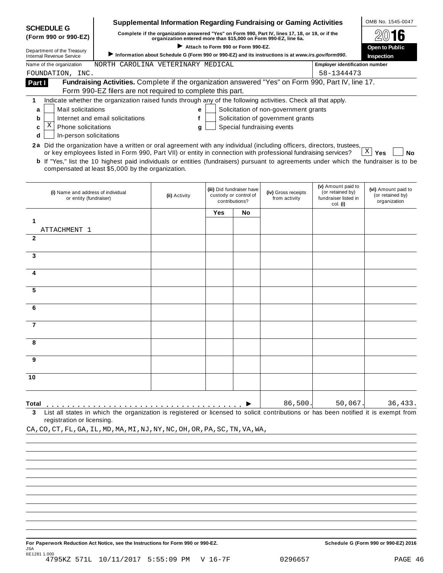|                                                                                                                        |                                                                                                                                                                                                   | <b>Supplemental Information Regarding Fundraising or Gaming Activities</b>                        |                                    |                                                    |                                       |                                       | OMB No. 1545-0047                       |
|------------------------------------------------------------------------------------------------------------------------|---------------------------------------------------------------------------------------------------------------------------------------------------------------------------------------------------|---------------------------------------------------------------------------------------------------|------------------------------------|----------------------------------------------------|---------------------------------------|---------------------------------------|-----------------------------------------|
| <b>SCHEDULE G</b><br>(Form 990 or 990-EZ)                                                                              | Complete if the organization answered "Yes" on Form 990, Part IV, lines 17, 18, or 19, or if the                                                                                                  |                                                                                                   |                                    |                                                    |                                       |                                       |                                         |
|                                                                                                                        |                                                                                                                                                                                                   | organization entered more than \$15,000 on Form 990-EZ, line 6a.                                  | Attach to Form 990 or Form 990-EZ. |                                                    |                                       |                                       | <b>Open to Public</b>                   |
| Department of the Treasury<br><b>Internal Revenue Service</b>                                                          |                                                                                                                                                                                                   | Information about Schedule G (Form 990 or 990-EZ) and its instructions is at www.irs.gov/form990. |                                    |                                                    |                                       |                                       | Inspection                              |
| Name of the organization                                                                                               | NORTH CAROLINA VETERINARY MEDICAL                                                                                                                                                                 |                                                                                                   |                                    |                                                    |                                       | <b>Employer identification number</b> |                                         |
| FOUNDATION, INC.                                                                                                       |                                                                                                                                                                                                   |                                                                                                   |                                    |                                                    |                                       | 58-1344473                            |                                         |
| Part I                                                                                                                 | Fundraising Activities. Complete if the organization answered "Yes" on Form 990, Part IV, line 17.                                                                                                |                                                                                                   |                                    |                                                    |                                       |                                       |                                         |
|                                                                                                                        | Form 990-EZ filers are not required to complete this part.                                                                                                                                        |                                                                                                   |                                    |                                                    |                                       |                                       |                                         |
| 1                                                                                                                      | Indicate whether the organization raised funds through any of the following activities. Check all that apply.                                                                                     |                                                                                                   |                                    |                                                    |                                       |                                       |                                         |
| Mail solicitations<br>a                                                                                                |                                                                                                                                                                                                   | е                                                                                                 |                                    |                                                    | Solicitation of non-government grants |                                       |                                         |
| b                                                                                                                      | Internet and email solicitations                                                                                                                                                                  | f                                                                                                 |                                    |                                                    | Solicitation of government grants     |                                       |                                         |
| Χ<br><b>Phone solicitations</b><br>c                                                                                   |                                                                                                                                                                                                   | g                                                                                                 |                                    |                                                    | Special fundraising events            |                                       |                                         |
| In-person solicitations<br>d                                                                                           |                                                                                                                                                                                                   |                                                                                                   |                                    |                                                    |                                       |                                       |                                         |
| 2a Did the organization have a written or oral agreement with any individual (including officers, directors, trustees, |                                                                                                                                                                                                   |                                                                                                   |                                    |                                                    |                                       |                                       |                                         |
|                                                                                                                        | or key employees listed in Form 990, Part VII) or entity in connection with professional fundraising services?                                                                                    |                                                                                                   |                                    |                                                    |                                       |                                       | $\mathbf{X}$<br>Yes<br><b>No</b>        |
|                                                                                                                        | <b>b</b> If "Yes," list the 10 highest paid individuals or entities (fundraisers) pursuant to agreements under which the fundraiser is to be<br>compensated at least \$5,000 by the organization. |                                                                                                   |                                    |                                                    |                                       |                                       |                                         |
|                                                                                                                        |                                                                                                                                                                                                   |                                                                                                   |                                    |                                                    |                                       |                                       |                                         |
|                                                                                                                        |                                                                                                                                                                                                   |                                                                                                   |                                    |                                                    |                                       | (v) Amount paid to                    |                                         |
| (i) Name and address of individual                                                                                     |                                                                                                                                                                                                   | (ii) Activity                                                                                     |                                    | (iii) Did fundraiser have<br>custody or control of | (iv) Gross receipts                   | (or retained by)                      | (vi) Amount paid to<br>(or retained by) |
| or entity (fundraiser)                                                                                                 |                                                                                                                                                                                                   |                                                                                                   |                                    | contributions?                                     | from activity                         | fundraiser listed in<br>col. (i)      | organization                            |
|                                                                                                                        |                                                                                                                                                                                                   |                                                                                                   | Yes                                | No                                                 |                                       |                                       |                                         |
| 1                                                                                                                      |                                                                                                                                                                                                   |                                                                                                   |                                    |                                                    |                                       |                                       |                                         |
| ATTACHMENT 1                                                                                                           |                                                                                                                                                                                                   |                                                                                                   |                                    |                                                    |                                       |                                       |                                         |
| $\mathbf{2}$                                                                                                           |                                                                                                                                                                                                   |                                                                                                   |                                    |                                                    |                                       |                                       |                                         |
|                                                                                                                        |                                                                                                                                                                                                   |                                                                                                   |                                    |                                                    |                                       |                                       |                                         |
| 3                                                                                                                      |                                                                                                                                                                                                   |                                                                                                   |                                    |                                                    |                                       |                                       |                                         |
|                                                                                                                        |                                                                                                                                                                                                   |                                                                                                   |                                    |                                                    |                                       |                                       |                                         |
|                                                                                                                        |                                                                                                                                                                                                   |                                                                                                   |                                    |                                                    |                                       |                                       |                                         |
| 5                                                                                                                      |                                                                                                                                                                                                   |                                                                                                   |                                    |                                                    |                                       |                                       |                                         |
|                                                                                                                        |                                                                                                                                                                                                   |                                                                                                   |                                    |                                                    |                                       |                                       |                                         |
| 6                                                                                                                      |                                                                                                                                                                                                   |                                                                                                   |                                    |                                                    |                                       |                                       |                                         |
|                                                                                                                        |                                                                                                                                                                                                   |                                                                                                   |                                    |                                                    |                                       |                                       |                                         |
| 7                                                                                                                      |                                                                                                                                                                                                   |                                                                                                   |                                    |                                                    |                                       |                                       |                                         |
|                                                                                                                        |                                                                                                                                                                                                   |                                                                                                   |                                    |                                                    |                                       |                                       |                                         |
| 8                                                                                                                      |                                                                                                                                                                                                   |                                                                                                   |                                    |                                                    |                                       |                                       |                                         |
|                                                                                                                        |                                                                                                                                                                                                   |                                                                                                   |                                    |                                                    |                                       |                                       |                                         |
| 9                                                                                                                      |                                                                                                                                                                                                   |                                                                                                   |                                    |                                                    |                                       |                                       |                                         |
|                                                                                                                        |                                                                                                                                                                                                   |                                                                                                   |                                    |                                                    |                                       |                                       |                                         |
| 10                                                                                                                     |                                                                                                                                                                                                   |                                                                                                   |                                    |                                                    |                                       |                                       |                                         |
|                                                                                                                        |                                                                                                                                                                                                   |                                                                                                   |                                    |                                                    |                                       |                                       |                                         |
|                                                                                                                        |                                                                                                                                                                                                   |                                                                                                   |                                    |                                                    |                                       |                                       |                                         |
| Total                                                                                                                  |                                                                                                                                                                                                   |                                                                                                   |                                    |                                                    | 86,500                                | 50,067                                | 36,433.                                 |
| 3                                                                                                                      | List all states in which the organization is registered or licensed to solicit contributions or has been notified it is exempt from                                                               |                                                                                                   |                                    |                                                    |                                       |                                       |                                         |
| registration or licensing.                                                                                             |                                                                                                                                                                                                   |                                                                                                   |                                    |                                                    |                                       |                                       |                                         |
| CA, CO, CT, FL, GA, IL, MD, MA, MI, NJ, NY, NC, OH, OR, PA, SC, TN, VA, WA,                                            |                                                                                                                                                                                                   |                                                                                                   |                                    |                                                    |                                       |                                       |                                         |

**For Paperwork Reduction Act Notice, see the Instructions for Form 990 or 990-EZ. Schedule G (Form 990 or 990-EZ) 2016** JSA 6E1281 1.000 4795KZ 571L 10/11/2017 5:55:09 PM V 16-7F 0296657 PAGE 46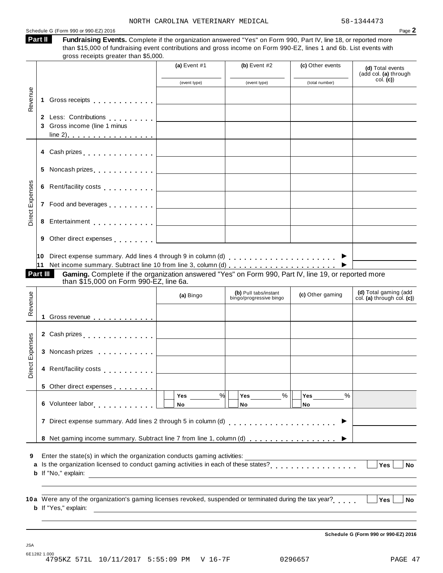| Fundraising Events. Complete if the organization answered "Yes" on Form 990, Part IV, line 18, or reported more                                                                                                                    |                |                                                  |                                                                                                                                                                                                                                                                        | Page 2                                                                                                                                                       |
|------------------------------------------------------------------------------------------------------------------------------------------------------------------------------------------------------------------------------------|----------------|--------------------------------------------------|------------------------------------------------------------------------------------------------------------------------------------------------------------------------------------------------------------------------------------------------------------------------|--------------------------------------------------------------------------------------------------------------------------------------------------------------|
| than \$15,000 of fundraising event contributions and gross income on Form 990-EZ, lines 1 and 6b. List events with<br>gross receipts greater than \$5,000.                                                                         |                |                                                  |                                                                                                                                                                                                                                                                        |                                                                                                                                                              |
|                                                                                                                                                                                                                                    | (a) Event $#1$ | (b) Event $#2$                                   | (c) Other events                                                                                                                                                                                                                                                       | (d) Total events<br>(add col. (a) through                                                                                                                    |
|                                                                                                                                                                                                                                    | (event type)   | (event type)                                     | (total number)                                                                                                                                                                                                                                                         | col. (c)                                                                                                                                                     |
| Gross receipts <b>contained</b> and a series of the series of the series of the series of the series of the series of the series of the series of the series of the series of the series of the series of the series of the series |                |                                                  |                                                                                                                                                                                                                                                                        |                                                                                                                                                              |
| 2 Less: Contributions                                                                                                                                                                                                              |                |                                                  |                                                                                                                                                                                                                                                                        |                                                                                                                                                              |
| 3 Gross income (line 1 minus                                                                                                                                                                                                       |                |                                                  |                                                                                                                                                                                                                                                                        |                                                                                                                                                              |
| 4 Cash prizes et al., et al., et al., et al., et al., et al., et al., et al., et al., et al., et al., et al., e                                                                                                                    |                |                                                  |                                                                                                                                                                                                                                                                        |                                                                                                                                                              |
|                                                                                                                                                                                                                                    |                |                                                  |                                                                                                                                                                                                                                                                        |                                                                                                                                                              |
|                                                                                                                                                                                                                                    |                |                                                  |                                                                                                                                                                                                                                                                        |                                                                                                                                                              |
| 7 Food and beverages <u>  _ _ _ _ _ _ _ _ _ _ _</u> _ _ _                                                                                                                                                                          |                |                                                  |                                                                                                                                                                                                                                                                        |                                                                                                                                                              |
| Entertainment entertainment and the set of the set of the set of the set of the set of the set of the set of the set of the set of the set of the set of the set of the set of the set of the set of the set of the set of the     |                |                                                  |                                                                                                                                                                                                                                                                        |                                                                                                                                                              |
| Other direct expenses extending the contract of the contract of the contract of the contract of the contract of                                                                                                                    |                |                                                  |                                                                                                                                                                                                                                                                        |                                                                                                                                                              |
| Gaming. Complete if the organization answered "Yes" on Form 990, Part IV, line 19, or reported more<br>than \$15,000 on Form 990-EZ, line 6a.                                                                                      |                |                                                  |                                                                                                                                                                                                                                                                        |                                                                                                                                                              |
|                                                                                                                                                                                                                                    | (a) Bingo      | (b) Pull tabs/instant<br>bingo/progressive bingo | (c) Other gaming                                                                                                                                                                                                                                                       | (d) Total gaming (add<br>col. (a) through col. (c))                                                                                                          |
|                                                                                                                                                                                                                                    |                |                                                  |                                                                                                                                                                                                                                                                        |                                                                                                                                                              |
| 1 Gross revenue                                                                                                                                                                                                                    |                |                                                  |                                                                                                                                                                                                                                                                        |                                                                                                                                                              |
| 2 Cash prizes <b>contained 2</b> Cash prizes                                                                                                                                                                                       |                |                                                  |                                                                                                                                                                                                                                                                        |                                                                                                                                                              |
| 3 Noncash prizes                                                                                                                                                                                                                   |                |                                                  |                                                                                                                                                                                                                                                                        |                                                                                                                                                              |
| 4 Rent/facility costs                                                                                                                                                                                                              |                |                                                  |                                                                                                                                                                                                                                                                        |                                                                                                                                                              |
|                                                                                                                                                                                                                                    |                |                                                  |                                                                                                                                                                                                                                                                        |                                                                                                                                                              |
|                                                                                                                                                                                                                                    | Yes<br>No      | $\%$<br><b>Yes</b><br>No                         | $\%$<br>Yes<br>No                                                                                                                                                                                                                                                      |                                                                                                                                                              |
|                                                                                                                                                                                                                                    |                |                                                  |                                                                                                                                                                                                                                                                        |                                                                                                                                                              |
|                                                                                                                                                                                                                                    |                |                                                  |                                                                                                                                                                                                                                                                        |                                                                                                                                                              |
|                                                                                                                                                                                                                                    |                |                                                  |                                                                                                                                                                                                                                                                        | Yes<br><b>No</b>                                                                                                                                             |
| <b>b</b> If "No," explain:                                                                                                                                                                                                         |                |                                                  |                                                                                                                                                                                                                                                                        |                                                                                                                                                              |
|                                                                                                                                                                                                                                    |                |                                                  | %<br>7 Direct expense summary. Add lines 2 through 5 in column (d)<br>Enter the state(s) in which the organization conducts gaming activities:<br><u> 1989 - Johann Barbara, marka a shekara tsa 1989 - An tsa 1989 - An tsa 1989 - An tsa 1989 - An tsa 1989 - An</u> | 8 Net gaming income summary. Subtract line 7 from line 1, column (d)<br>a Is the organization licensed to conduct gaming activities in each of these states? |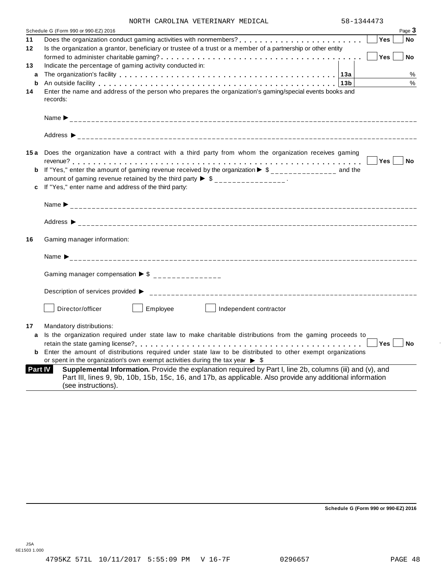|  |  |  | NORTH CAROLINA VETERINARY MEDICAL |  |
|--|--|--|-----------------------------------|--|
|--|--|--|-----------------------------------|--|

|         | NURIA CARUBINA VEIERINARI MEDICAB                                                                                                                                                                                                                        |                    |
|---------|----------------------------------------------------------------------------------------------------------------------------------------------------------------------------------------------------------------------------------------------------------|--------------------|
|         | Schedule G (Form 990 or 990-EZ) 2016                                                                                                                                                                                                                     | Page 3             |
| 11      |                                                                                                                                                                                                                                                          | Yes<br><b>No</b>   |
| $12 \,$ | Is the organization a grantor, beneficiary or trustee of a trust or a member of a partnership or other entity                                                                                                                                            |                    |
|         |                                                                                                                                                                                                                                                          | Yes  <br><b>No</b> |
| 13      | Indicate the percentage of gaming activity conducted in:                                                                                                                                                                                                 |                    |
| a       |                                                                                                                                                                                                                                                          | %                  |
| b       |                                                                                                                                                                                                                                                          | $\%$               |
| 14      | Enter the name and address of the person who prepares the organization's gaming/special events books and                                                                                                                                                 |                    |
|         | records:                                                                                                                                                                                                                                                 |                    |
|         |                                                                                                                                                                                                                                                          |                    |
|         |                                                                                                                                                                                                                                                          |                    |
|         | 15a Does the organization have a contract with a third party from whom the organization receives gaming                                                                                                                                                  |                    |
|         |                                                                                                                                                                                                                                                          | Yes  <br><b>No</b> |
|         | <b>b</b> If "Yes," enter the amount of gaming revenue received by the organization $\triangleright$ \$______________ and the                                                                                                                             |                    |
|         | amount of gaming revenue retained by the third party $\triangleright$ \$ _______________.                                                                                                                                                                |                    |
|         | c If "Yes," enter name and address of the third party:                                                                                                                                                                                                   |                    |
|         |                                                                                                                                                                                                                                                          |                    |
|         |                                                                                                                                                                                                                                                          |                    |
|         |                                                                                                                                                                                                                                                          |                    |
| 16      | Gaming manager information:                                                                                                                                                                                                                              |                    |
|         | Name $\sum_{-2}$                                                                                                                                                                                                                                         |                    |
|         | Gaming manager compensation $\triangleright$ \$ _______________                                                                                                                                                                                          |                    |
|         | Description of services provided ▶                                                                                                                                                                                                                       |                    |
|         | Director/officer<br>Employee<br>Independent contractor                                                                                                                                                                                                   |                    |
| 17      | Mandatory distributions:                                                                                                                                                                                                                                 |                    |
|         | a Is the organization required under state law to make charitable distributions from the gaming proceeds to                                                                                                                                              |                    |
|         |                                                                                                                                                                                                                                                          | Yes<br>∣ No        |
|         | <b>b</b> Enter the amount of distributions required under state law to be distributed to other exempt organizations                                                                                                                                      |                    |
|         | or spent in the organization's own exempt activities during the tax year $\triangleright$ \$                                                                                                                                                             |                    |
|         | Supplemental Information. Provide the explanation required by Part I, line 2b, columns (iii) and (v), and<br>Part IV<br>Part III, lines 9, 9b, 10b, 15b, 15c, 16, and 17b, as applicable. Also provide any additional information<br>(see instructions). |                    |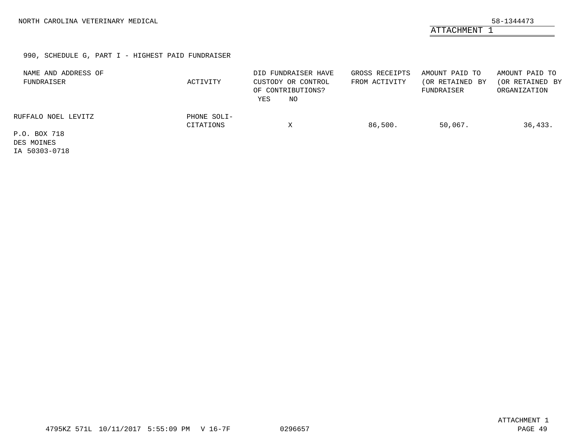ATTACHMENT 1

### 990, SCHEDULE G, PART I - HIGHEST PAID FUNDRAISER

| NAME AND ADDRESS OF<br>FUNDRAISER | ACTIVITY                 | DID FUNDRAISER HAVE<br>CUSTODY OR CONTROL<br>OF CONTRIBUTIONS?<br>NO<br>YES | GROSS RECEIPTS<br>FROM ACTIVITY | AMOUNT PAID TO<br>(OR RETAINED BY<br>FUNDRAISER | AMOUNT PAID TO<br>(OR RETAINED BY<br>ORGANIZATION |
|-----------------------------------|--------------------------|-----------------------------------------------------------------------------|---------------------------------|-------------------------------------------------|---------------------------------------------------|
| RUFFALO NOEL LEVITZ               | PHONE SOLI-<br>CITATIONS | X                                                                           | 86,500.                         | 50,067.                                         | 36,433.                                           |
| P.O. BOX 718                      |                          |                                                                             |                                 |                                                 |                                                   |
| DES MOINES                        |                          |                                                                             |                                 |                                                 |                                                   |
| TA FOQOQ OT10                     |                          |                                                                             |                                 |                                                 |                                                   |

IA 50303-0718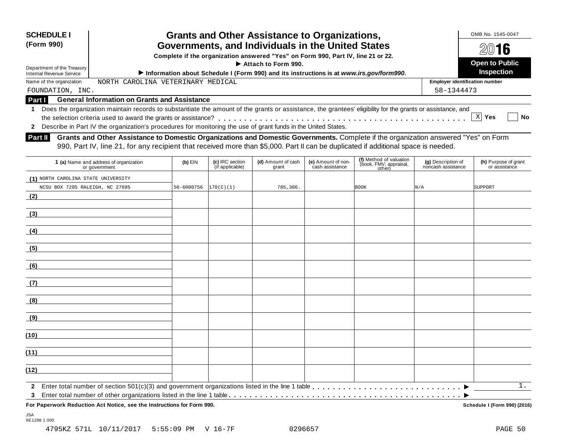| <b>SCHEDULE I</b><br>(Form 990)<br>Department of the Treasury<br><b>Internal Revenue Service</b>          |                                                                                                                                                                                                                                                                             |            |                                    | <b>Grants and Other Assistance to Organizations,</b><br>Governments, and Individuals in the United States<br>Complete if the organization answered "Yes" on Form 990, Part IV, line 21 or 22.<br>$\blacktriangleright$ Attach to Form 990. |                                       | Information about Schedule I (Form 990) and its instructions is at www.irs.gov/form990. |                                          | OMB No. 1545-0047<br>$20$ 16<br><b>Open to Public</b><br><b>Inspection</b> |
|-----------------------------------------------------------------------------------------------------------|-----------------------------------------------------------------------------------------------------------------------------------------------------------------------------------------------------------------------------------------------------------------------------|------------|------------------------------------|--------------------------------------------------------------------------------------------------------------------------------------------------------------------------------------------------------------------------------------------|---------------------------------------|-----------------------------------------------------------------------------------------|------------------------------------------|----------------------------------------------------------------------------|
| CAROLINA VETERINARY MEDICAL<br><b>Employer identification number</b><br>Name of the organization<br>NORTH |                                                                                                                                                                                                                                                                             |            |                                    |                                                                                                                                                                                                                                            |                                       |                                                                                         |                                          |                                                                            |
| 58-1344473<br>FOUNDATION, INC.                                                                            |                                                                                                                                                                                                                                                                             |            |                                    |                                                                                                                                                                                                                                            |                                       |                                                                                         |                                          |                                                                            |
| <b>General Information on Grants and Assistance</b><br>Part I                                             |                                                                                                                                                                                                                                                                             |            |                                    |                                                                                                                                                                                                                                            |                                       |                                                                                         |                                          |                                                                            |
| 2                                                                                                         | Does the organization maintain records to substantiate the amount of the grants or assistance, the grantees' eligibility for the grants or assistance, and<br>Describe in Part IV the organization's procedures for monitoring the use of grant funds in the United States. |            |                                    |                                                                                                                                                                                                                                            |                                       |                                                                                         |                                          | X  <br><b>No</b><br>Yes                                                    |
| <b>Part II</b>                                                                                            | Grants and Other Assistance to Domestic Organizations and Domestic Governments. Complete if the organization answered "Yes" on Form<br>990, Part IV, line 21, for any recipient that received more than \$5,000. Part II can be duplicated if additional space is needed.   |            |                                    |                                                                                                                                                                                                                                            |                                       |                                                                                         |                                          |                                                                            |
|                                                                                                           | 1 (a) Name and address of organization<br>or government                                                                                                                                                                                                                     | $(b)$ EIN  | (c) IRC section<br>(if applicable) | (d) Amount of cash<br>grant                                                                                                                                                                                                                | (e) Amount of non-<br>cash assistance | (f) Method of valuation<br>(book, FMV, appraisal,<br>other)                             | (g) Description of<br>noncash assistance | (h) Purpose of grant<br>or assistance                                      |
| $(1)$ NORTH                                                                                               | CAROLINA STATE UNIVERSITY                                                                                                                                                                                                                                                   |            |                                    |                                                                                                                                                                                                                                            |                                       |                                                                                         |                                          |                                                                            |
| NCSU BOX 7205 RALEIGH, NC 27695                                                                           |                                                                                                                                                                                                                                                                             | 56-6000756 | 170(C)(1)                          | 785,306.                                                                                                                                                                                                                                   |                                       | <b>BOOK</b>                                                                             | N/A                                      | SUPPORT                                                                    |

JSA 6E1288 1.000

**(2)**

**(3)**

**(4)**

**(5)**

**(6)**

**(7)**

**(8)**

**(9)**

**(10)**

**(11)**

**(12)**

**2** Enter total number of section 501(c)(3) and government organizations listed in the line 1 table **manufacture** is a section for the line of section  $\frac{1}{n}$ I **3** Enter total number of other organizations listed in the line 1 table m m m m m m m m m m m m m m m m m m m m m m m m m m m m m m m m m m m m m m m m m m m m m

**For Paperwork Reduction Act Notice, see the Instructions for Form 990. Schedule I (Form 990) (2016)**

1.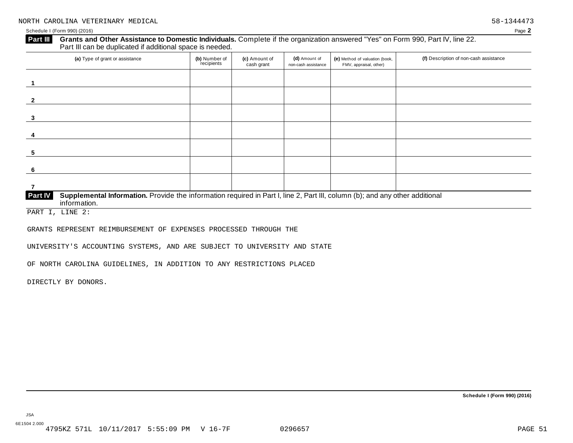### **Grants and Other Assistance to Domestic Individuals.** Complete ifthe organization answered "Yes" on Form 990, Part IV, line 22. **Part III** Grants and Other Assistance to Domestic Individuals<br>Part III can be duplicated if additional space is needed.

| (a) Type of grant or assistance                                                                                                                         | (b) Number of<br>recipients | (c) Amount of<br>cash grant | (d) Amount of<br>non-cash assistance | (e) Method of valuation (book,<br>FMV, appraisal, other) | (f) Description of non-cash assistance |
|---------------------------------------------------------------------------------------------------------------------------------------------------------|-----------------------------|-----------------------------|--------------------------------------|----------------------------------------------------------|----------------------------------------|
|                                                                                                                                                         |                             |                             |                                      |                                                          |                                        |
| $\overline{2}$                                                                                                                                          |                             |                             |                                      |                                                          |                                        |
| 3                                                                                                                                                       |                             |                             |                                      |                                                          |                                        |
| 4                                                                                                                                                       |                             |                             |                                      |                                                          |                                        |
| 5                                                                                                                                                       |                             |                             |                                      |                                                          |                                        |
| -6                                                                                                                                                      |                             |                             |                                      |                                                          |                                        |
|                                                                                                                                                         |                             |                             |                                      |                                                          |                                        |
| Part IV<br>Supplemental Information. Provide the information required in Part I, line 2, Part III, column (b); and any other additional<br>information. |                             |                             |                                      |                                                          |                                        |

PART I, LINE 2:

GRANTS REPRESENT REIMBURSEMENT OF EXPENSES PROCESSED THROUGH THE

UNIVERSITY'S ACCOUNTING SYSTEMS, AND ARE SUBJECT TO UNIVERSITY AND STATE

OF NORTH CAROLINA GUIDELINES, IN ADDITION TO ANY RESTRICTIONS PLACED

DIRECTLY BY DONORS.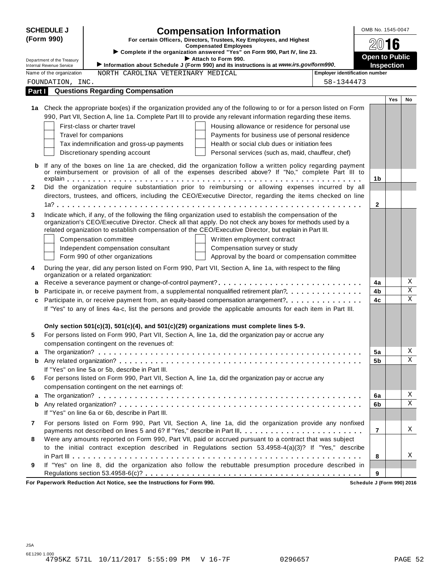|              | <b>SCHEDULE J</b>          |                                                  | <b>Compensation Information</b>                                                                                                                                                                                   |                                       | OMB No. 1545-0047     |            |              |
|--------------|----------------------------|--------------------------------------------------|-------------------------------------------------------------------------------------------------------------------------------------------------------------------------------------------------------------------|---------------------------------------|-----------------------|------------|--------------|
|              | (Form 990)                 |                                                  | For certain Officers, Directors, Trustees, Key Employees, and Highest                                                                                                                                             |                                       |                       |            |              |
|              |                            |                                                  | <b>Compensated Employees</b><br>Complete if the organization answered "Yes" on Form 990, Part IV, line 23.                                                                                                        |                                       | 2016                  |            |              |
|              | Department of the Treasury |                                                  | Attach to Form 990.                                                                                                                                                                                               |                                       | <b>Open to Public</b> |            |              |
|              | Internal Revenue Service   |                                                  | Information about Schedule J (Form 990) and its instructions is at www.irs.gov/form990.                                                                                                                           |                                       | <b>Inspection</b>     |            |              |
|              | Name of the organization   | NORTH CAROLINA VETERINARY MEDICAL                |                                                                                                                                                                                                                   | <b>Employer identification number</b> |                       |            |              |
|              | FOUNDATION, INC.           |                                                  |                                                                                                                                                                                                                   | 58-1344473                            |                       |            |              |
| Part I       |                            | <b>Questions Regarding Compensation</b>          |                                                                                                                                                                                                                   |                                       |                       | <b>Yes</b> | No           |
|              |                            |                                                  | 1a Check the appropriate box(es) if the organization provided any of the following to or for a person listed on Form                                                                                              |                                       |                       |            |              |
|              |                            |                                                  | 990, Part VII, Section A, line 1a. Complete Part III to provide any relevant information regarding these items.                                                                                                   |                                       |                       |            |              |
|              |                            | First-class or charter travel                    | Housing allowance or residence for personal use                                                                                                                                                                   |                                       |                       |            |              |
|              |                            | Travel for companions                            | Payments for business use of personal residence                                                                                                                                                                   |                                       |                       |            |              |
|              |                            | Tax indemnification and gross-up payments        | Health or social club dues or initiation fees                                                                                                                                                                     |                                       |                       |            |              |
|              |                            | Discretionary spending account                   | Personal services (such as, maid, chauffeur, chef)                                                                                                                                                                |                                       |                       |            |              |
|              |                            |                                                  |                                                                                                                                                                                                                   |                                       |                       |            |              |
| b            |                            |                                                  | If any of the boxes on line 1a are checked, did the organization follow a written policy regarding payment<br>or reimbursement or provision of all of the expenses described above? If "No," complete Part III to |                                       |                       |            |              |
|              |                            |                                                  |                                                                                                                                                                                                                   |                                       | 1b                    |            |              |
| $\mathbf{2}$ |                            |                                                  | Did the organization require substantiation prior to reimbursing or allowing expenses incurred by all                                                                                                             |                                       |                       |            |              |
|              |                            |                                                  | directors, trustees, and officers, including the CEO/Executive Director, regarding the items checked on line                                                                                                      |                                       |                       |            |              |
|              |                            |                                                  |                                                                                                                                                                                                                   |                                       | $\mathbf{2}$          |            |              |
| 3            |                            |                                                  | Indicate which, if any, of the following the filing organization used to establish the compensation of the                                                                                                        |                                       |                       |            |              |
|              |                            |                                                  | organization's CEO/Executive Director. Check all that apply. Do not check any boxes for methods used by a                                                                                                         |                                       |                       |            |              |
|              |                            |                                                  | related organization to establish compensation of the CEO/Executive Director, but explain in Part III.                                                                                                            |                                       |                       |            |              |
|              |                            | Compensation committee                           | Written employment contract                                                                                                                                                                                       |                                       |                       |            |              |
|              |                            | Independent compensation consultant              | Compensation survey or study                                                                                                                                                                                      |                                       |                       |            |              |
|              |                            | Form 990 of other organizations                  | Approval by the board or compensation committee                                                                                                                                                                   |                                       |                       |            |              |
| 4            |                            | organization or a related organization:          | During the year, did any person listed on Form 990, Part VII, Section A, line 1a, with respect to the filing                                                                                                      |                                       |                       |            |              |
| a            |                            |                                                  |                                                                                                                                                                                                                   |                                       | 4a                    |            | Χ            |
| b            |                            |                                                  | Participate in, or receive payment from, a supplemental nonqualified retirement plan?                                                                                                                             |                                       | 4b                    |            | $\mathbf X$  |
| c            |                            |                                                  | Participate in, or receive payment from, an equity-based compensation arrangement?                                                                                                                                |                                       | 4c                    |            | $\mathbf{x}$ |
|              |                            |                                                  | If "Yes" to any of lines 4a-c, list the persons and provide the applicable amounts for each item in Part III.                                                                                                     |                                       |                       |            |              |
|              |                            |                                                  |                                                                                                                                                                                                                   |                                       |                       |            |              |
|              |                            |                                                  | Only section $501(c)(3)$ , $501(c)(4)$ , and $501(c)(29)$ organizations must complete lines 5-9.                                                                                                                  |                                       |                       |            |              |
| 5            |                            |                                                  | For persons listed on Form 990, Part VII, Section A, line 1a, did the organization pay or accrue any                                                                                                              |                                       |                       |            |              |
|              |                            | compensation contingent on the revenues of:      |                                                                                                                                                                                                                   |                                       |                       |            | Χ            |
| a            |                            |                                                  |                                                                                                                                                                                                                   |                                       | 5a                    |            | Χ            |
| b            |                            | If "Yes" on line 5a or 5b, describe in Part III. |                                                                                                                                                                                                                   |                                       | 5b                    |            |              |
| 6            |                            |                                                  | For persons listed on Form 990, Part VII, Section A, line 1a, did the organization pay or accrue any                                                                                                              |                                       |                       |            |              |
|              |                            | compensation contingent on the net earnings of:  |                                                                                                                                                                                                                   |                                       |                       |            |              |
| a            |                            |                                                  |                                                                                                                                                                                                                   |                                       | 6a                    |            | X            |
| b            |                            |                                                  |                                                                                                                                                                                                                   |                                       | 6b                    |            | Χ            |
|              |                            | If "Yes" on line 6a or 6b, describe in Part III. |                                                                                                                                                                                                                   |                                       |                       |            |              |
| 7            |                            |                                                  | For persons listed on Form 990, Part VII, Section A, line 1a, did the organization provide any nonfixed                                                                                                           |                                       |                       |            |              |
|              |                            |                                                  | payments not described on lines 5 and 6? If "Yes," describe in Part III.                                                                                                                                          |                                       | $\overline{7}$        |            | X            |
| 8            |                            |                                                  | Were any amounts reported on Form 990, Part VII, paid or accrued pursuant to a contract that was subject                                                                                                          |                                       |                       |            |              |
|              |                            |                                                  | to the initial contract exception described in Regulations section 53.4958-4(a)(3)? If "Yes," describe                                                                                                            |                                       |                       |            |              |
|              |                            |                                                  |                                                                                                                                                                                                                   |                                       | 8                     |            | Χ            |
| 9            |                            |                                                  | If "Yes" on line 8, did the organization also follow the rebuttable presumption procedure described in                                                                                                            |                                       |                       |            |              |
|              |                            |                                                  |                                                                                                                                                                                                                   |                                       | 9                     |            |              |

**For Paperwork Reduction Act Notice, see the Instructions for Form 990. Schedule J (Form 990) 2016**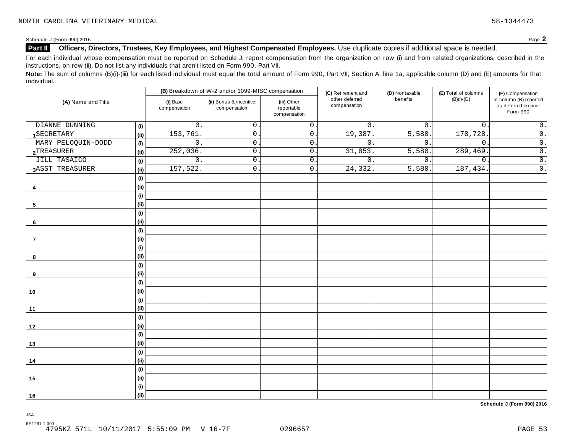### **Part II Officers, Directors, Trustees, Key Employees, and Highest Compensated Employees.** Use duplicate copies ifadditional space is needed.

For each individual whose compensation must be reported on Schedule J, report compensation from the organization on row (i) and from related organizations, described in the instructions, on row (ii). Do not list any individuals that aren't listed on Form 990, Part VII.

Note: The sum of columns (B)(i)-(iii) for each listed individual must equal the total amount of Form 990, Part VII, Section A, line 1a, applicable column (D) and (E) amounts for that individual.

| (B) Breakdown of W-2 and/or 1099-MISC compensation |                              |                          |                                        | (C) Retirement and                        | (D) Nontaxable                 | (E) Total of columns | (F) Compensation |                                                            |  |
|----------------------------------------------------|------------------------------|--------------------------|----------------------------------------|-------------------------------------------|--------------------------------|----------------------|------------------|------------------------------------------------------------|--|
| (A) Name and Title                                 |                              | (i) Base<br>compensation | (ii) Bonus & incentive<br>compensation | (iii) Other<br>reportable<br>compensation | other deferred<br>compensation | benefits             | $(B)(i)-(D)$     | in column (B) reported<br>as deferred on prior<br>Form 990 |  |
| DIANNE DUNNING                                     | (i)                          | $\mathsf{O}$             | $\mathsf{O}\xspace$                    | $\mathsf{O}$ .                            | $\mathbf{0}$ .                 | $\overline{0}$ .     | $\mathsf{O}$ .   | $\overline{0}$ .                                           |  |
| 1SECRETARY                                         | (i)                          | 153,761                  | 0.                                     | $\overline{0}$ .                          | 19,387.                        | 5,580.               | 178,728          | $\overline{0}$ .                                           |  |
| MARY PELOQUIN-DODD                                 | (i)                          | $\mathsf{O}$             | $\mathbf 0$                            | $\mathsf{0}$ .                            | $0$ .                          | $\mathbf{0}$ .       | $\mathbf 0$ .    | $\overline{0}$ .                                           |  |
| 2TREASURER                                         | (i)                          | 252,036                  | $\mathsf{O}$ .                         | $0\,$ .                                   | 31,853.                        | 5,580.               | 289,469.         | $\overline{0}$ .                                           |  |
| <b>JILL TASAICO</b>                                | (i)                          | $\mathsf{O}$ .           | $\mathsf{O}$ .                         | $\mathsf{0}$ .                            | $\overline{0}$ .               | $\overline{0}$ .     | $0\,$ .          | $\overline{0}$ .                                           |  |
| 3ASST TREASURER                                    | (i)                          | 157,522                  | $\mathsf{O}$ .                         | $\mathsf{0}$ .                            | 24,332.                        | 5,580.               | 187,434.         | $\overline{0}$ .                                           |  |
|                                                    | (i)                          |                          |                                        |                                           |                                |                      |                  |                                                            |  |
| 4                                                  | (i)                          |                          |                                        |                                           |                                |                      |                  |                                                            |  |
|                                                    | (i)                          |                          |                                        |                                           |                                |                      |                  |                                                            |  |
| 5                                                  | (ii)                         |                          |                                        |                                           |                                |                      |                  |                                                            |  |
|                                                    | $\qquad \qquad \textbf{(i)}$ |                          |                                        |                                           |                                |                      |                  |                                                            |  |
| 6                                                  | (i)                          |                          |                                        |                                           |                                |                      |                  |                                                            |  |
|                                                    | (i)                          |                          |                                        |                                           |                                |                      |                  |                                                            |  |
| 7                                                  | (i)                          |                          |                                        |                                           |                                |                      |                  |                                                            |  |
|                                                    | (i)                          |                          |                                        |                                           |                                |                      |                  |                                                            |  |
| 8                                                  | (i)                          |                          |                                        |                                           |                                |                      |                  |                                                            |  |
|                                                    | (i)                          |                          |                                        |                                           |                                |                      |                  |                                                            |  |
| 9                                                  | (i)                          |                          |                                        |                                           |                                |                      |                  |                                                            |  |
|                                                    | (i)                          |                          |                                        |                                           |                                |                      |                  |                                                            |  |
| 10                                                 | (i)                          |                          |                                        |                                           |                                |                      |                  |                                                            |  |
|                                                    | (i)                          |                          |                                        |                                           |                                |                      |                  |                                                            |  |
| 11                                                 | (i)                          |                          |                                        |                                           |                                |                      |                  |                                                            |  |
|                                                    | (i)                          |                          |                                        |                                           |                                |                      |                  |                                                            |  |
| 12                                                 | (i)                          |                          |                                        |                                           |                                |                      |                  |                                                            |  |
|                                                    | (i)                          |                          |                                        |                                           |                                |                      |                  |                                                            |  |
| 13                                                 | (i)                          |                          |                                        |                                           |                                |                      |                  |                                                            |  |
|                                                    | (i)                          |                          |                                        |                                           |                                |                      |                  |                                                            |  |
| 14                                                 | (i)                          |                          |                                        |                                           |                                |                      |                  |                                                            |  |
|                                                    | (i)                          |                          |                                        |                                           |                                |                      |                  |                                                            |  |
| 15                                                 | (i)                          |                          |                                        |                                           |                                |                      |                  |                                                            |  |
|                                                    | (i)                          |                          |                                        |                                           |                                |                      |                  |                                                            |  |
| 16                                                 | (ii)                         |                          |                                        |                                           |                                |                      |                  |                                                            |  |

**Schedule J (Form 990) 2016**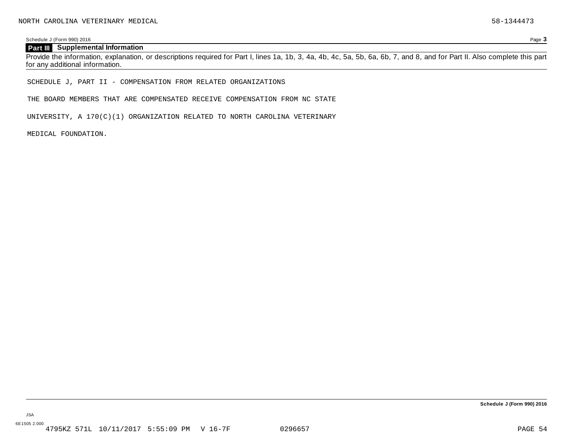Schedule J (Form 990) 2016 Page **3**

### **Part III Supplemental Information**

Provide the information, explanation, or descriptions required for Part I, lines 1a, 1b, 3, 4a, 4b, 4c, 5a, 5b, 6a, 6b, 7, and 8, and for Part II. Also complete this part for any additional information.

SCHEDULE J, PART II - COMPENSATION FROM RELATED ORGANIZATIONS

THE BOARD MEMBERS THAT ARE COMPENSATED RECEIVE COMPENSATION FROM NC STATE

UNIVERSITY, A 170(C)(1) ORGANIZATION RELATED TO NORTH CAROLINA VETERINARY

MEDICAL FOUNDATION.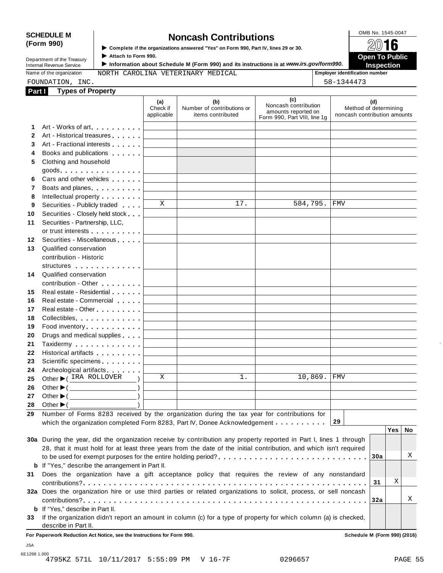# SCHEDULE M
<br> **SCHEDULE** M **S** Complete if the organizations answered "Yes" on Form 990, Part IV, lines 29 or 30.

**(Form 990)** I **Complete if the organizations answered "Yes" on Form 990, Part IV, lines <sup>29</sup> or 30.** À¾µº

I ► Complete if the organizations answered "Yes" on Form 990, Part IV, lines 29 or 30.<br>Department of the Treasury Attach to Form 990.<br>Department of the Treasury Attach to Form 990. **Internal Revenue Service** III information about Schedule M (Form 990) and its instructions is at *www.irs.gov/form990.* Inspection<br>
Name of the organization MORTH CAROLINA VETERINARY MEDICAL Femployer identification numb

Name of the organization **MORTH CAROLINA VETERINARY MEDICAL Employer identification number** 

FOUNDATION, INC. 58-1344473

| Part I       | <b>Types of Property</b>                                                                                                                                                                                                      |                               |                                                        |                                                                                    |                                                              |
|--------------|-------------------------------------------------------------------------------------------------------------------------------------------------------------------------------------------------------------------------------|-------------------------------|--------------------------------------------------------|------------------------------------------------------------------------------------|--------------------------------------------------------------|
|              |                                                                                                                                                                                                                               | (a)<br>Check if<br>applicable | (b)<br>Number of contributions or<br>items contributed | (c)<br>Noncash contribution<br>amounts reported on<br>Form 990, Part VIII, line 1g | (d)<br>Method of determining<br>noncash contribution amounts |
| 1.           | Art - Works of art                                                                                                                                                                                                            |                               |                                                        |                                                                                    |                                                              |
| $\mathbf{2}$ | Art - Historical treasures                                                                                                                                                                                                    |                               |                                                        |                                                                                    |                                                              |
| 3            | Art - Fractional interests                                                                                                                                                                                                    |                               |                                                        |                                                                                    |                                                              |
| 4            | Books and publications <b>Solutions</b>                                                                                                                                                                                       |                               |                                                        |                                                                                    |                                                              |
| 5            | Clothing and household                                                                                                                                                                                                        |                               |                                                        |                                                                                    |                                                              |
|              | $goods.$                                                                                                                                                                                                                      |                               |                                                        |                                                                                    |                                                              |
| 6            | Cars and other vehicles                                                                                                                                                                                                       |                               |                                                        |                                                                                    |                                                              |
| 7            | Boats and planes experience and planes                                                                                                                                                                                        |                               |                                                        |                                                                                    |                                                              |
| 8            | Intellectual property                                                                                                                                                                                                         |                               |                                                        |                                                                                    |                                                              |
| 9            | Securities - Publicly traded                                                                                                                                                                                                  | X                             | 17.                                                    | 584,795.                                                                           | FMV                                                          |
| 10           | Securities - Closely held stock                                                                                                                                                                                               |                               |                                                        |                                                                                    |                                                              |
| 11           | Securities - Partnership, LLC,                                                                                                                                                                                                |                               |                                                        |                                                                                    |                                                              |
|              | or trust interests experience that the set of the set of the set of the set of the set of the set of the set of the set of the set of the set of the set of the set of the set of the set of the set of the set of the set of |                               |                                                        |                                                                                    |                                                              |
| 12           | Securities - Miscellaneous                                                                                                                                                                                                    |                               |                                                        |                                                                                    |                                                              |
| 13           | Qualified conservation                                                                                                                                                                                                        |                               |                                                        |                                                                                    |                                                              |
|              | contribution - Historic                                                                                                                                                                                                       |                               |                                                        |                                                                                    |                                                              |
|              | structures                                                                                                                                                                                                                    |                               |                                                        |                                                                                    |                                                              |
| 14           | Qualified conservation                                                                                                                                                                                                        |                               |                                                        |                                                                                    |                                                              |
|              | contribution - Other <b>Called Act 2019</b>                                                                                                                                                                                   |                               |                                                        |                                                                                    |                                                              |
| 15           | Real estate - Residential                                                                                                                                                                                                     |                               |                                                        |                                                                                    |                                                              |
| 16           | Real estate - Commercial                                                                                                                                                                                                      |                               |                                                        |                                                                                    |                                                              |
| 17           | Real estate - Other <b>New York 1988</b>                                                                                                                                                                                      |                               |                                                        |                                                                                    |                                                              |
| 18           | Collectibles.                                                                                                                                                                                                                 |                               |                                                        |                                                                                    |                                                              |
| 19           | Food inventory                                                                                                                                                                                                                |                               |                                                        |                                                                                    |                                                              |
| 20           | Drugs and medical supplies                                                                                                                                                                                                    |                               |                                                        |                                                                                    |                                                              |
| 21           | Taxidermy                                                                                                                                                                                                                     |                               |                                                        |                                                                                    |                                                              |
| 22           | Historical artifacts <b>All Accords</b>                                                                                                                                                                                       |                               |                                                        |                                                                                    |                                                              |
| 23           | Scientific specimens <b>Scientific specimens</b>                                                                                                                                                                              |                               |                                                        |                                                                                    |                                                              |
| 24           | Archeological artifacts                                                                                                                                                                                                       |                               |                                                        |                                                                                    |                                                              |
| 25           | Other ▶ (IRA ROLLOVER                                                                                                                                                                                                         | X                             | $1$ .                                                  | 10,869.                                                                            | <b>FMV</b>                                                   |
| 26           | Other $\blacktriangleright$ ( $\_\_\_\_\_\_\_\_$ )                                                                                                                                                                            |                               |                                                        |                                                                                    |                                                              |
| 27           | Other $\blacktriangleright$ (<br>$\overline{\phantom{a}}$ )                                                                                                                                                                   |                               |                                                        |                                                                                    |                                                              |
| 28           | Other $\blacktriangleright$ (                                                                                                                                                                                                 |                               |                                                        |                                                                                    |                                                              |
| 29           | Number of Forms 8283 received by the organization during the tax year for contributions for                                                                                                                                   |                               |                                                        |                                                                                    |                                                              |
|              | which the organization completed Form 8283, Part IV, Donee Acknowledgement                                                                                                                                                    |                               |                                                        |                                                                                    | 29                                                           |
|              |                                                                                                                                                                                                                               |                               |                                                        |                                                                                    | Yes   No                                                     |
|              | 30a During the year, did the organization receive by contribution any property reported in Part I, lines 1 through                                                                                                            |                               |                                                        |                                                                                    |                                                              |
|              | 28, that it must hold for at least three years from the date of the initial contribution, and which isn't required                                                                                                            |                               |                                                        |                                                                                    | Χ                                                            |
|              |                                                                                                                                                                                                                               |                               |                                                        |                                                                                    | 30a                                                          |
|              | <b>b</b> If "Yes," describe the arrangement in Part II.                                                                                                                                                                       |                               |                                                        |                                                                                    |                                                              |
| 31           | Does the organization have a gift acceptance policy that requires the review of any nonstandard                                                                                                                               |                               |                                                        |                                                                                    | Χ                                                            |
|              |                                                                                                                                                                                                                               |                               |                                                        |                                                                                    | 31                                                           |
|              | 32a Does the organization hire or use third parties or related organizations to solicit, process, or sell noncash                                                                                                             |                               |                                                        |                                                                                    |                                                              |
|              |                                                                                                                                                                                                                               |                               |                                                        |                                                                                    | Χ<br>32a                                                     |
|              | <b>b</b> If "Yes," describe in Part II.                                                                                                                                                                                       |                               |                                                        |                                                                                    |                                                              |
| 33           | If the organization didn't report an amount in column (c) for a type of property for which column (a) is checked,                                                                                                             |                               |                                                        |                                                                                    |                                                              |
|              | describe in Part II.                                                                                                                                                                                                          |                               |                                                        |                                                                                    |                                                              |

**For Paperwork Reduction Act Notice, see the Instructions for Form 990. Schedule M (Form 990) (2016)**

6E1298 1.000 4795KZ 571L 10/11/2017 5:55:09 PM V 16-7F 0296657 PAGE 55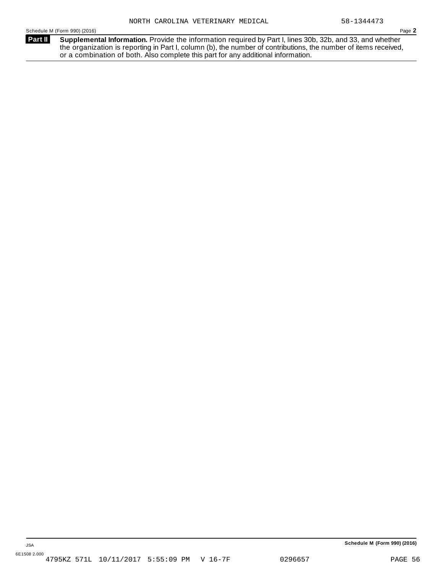**Supplemental Information.** Provide the information required by Part I, lines 30b, 32b, and 33, and whether the organization is reporting in Part I, column (b), the number of contributions, the number of items received, or a combination of both. Also complete this part for any additional information. **Part II**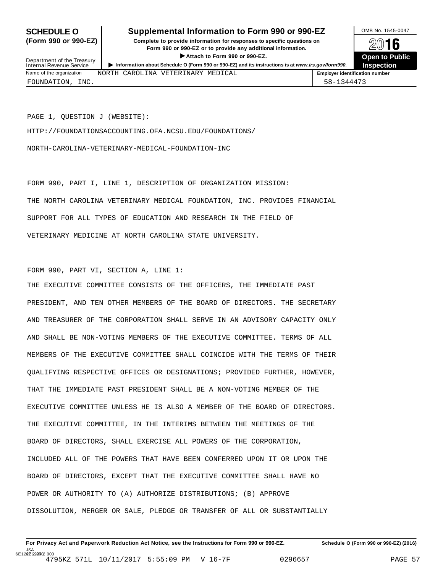### **SCHEDULE O** Supplemental Information to Form 990 or 990-EZ DMB No. 1545-0047

**(Form 990 or 990-EZ) Complete to provide information for responses to specific questions on** Form 990 or 990-EZ or to provide any additional information. ▶ Attach to Form 990 or 990-EZ.<br> **e** O (Form 990 or 990-EZ) and its instructions is at www.irs.gov/form990. Inspection



Department of the Treasury<br>Internal Revenue Service NORTH C

| <b>PUD ATTIONS</b> OF THE HUGULY<br>Internal Revenue Service | Information about Schedule O (Form 990 or 990-EZ) and its instructions is at www.irs.gov/form990. |                                       | Inspection |
|--------------------------------------------------------------|---------------------------------------------------------------------------------------------------|---------------------------------------|------------|
| Name of the organization                                     | NORTH CAROLINA VETERINARY MEDICAL                                                                 | <b>Emplover identification number</b> |            |

PAGE 1, QUESTION J (WEBSITE):

HTTP://FOUNDATIONSACCOUNTING.OFA.NCSU.EDU/FOUNDATIONS/

NORTH-CAROLINA-VETERINARY-MEDICAL-FOUNDATION-INC

FORM 990, PART I, LINE 1, DESCRIPTION OF ORGANIZATION MISSION: THE NORTH CAROLINA VETERINARY MEDICAL FOUNDATION, INC. PROVIDES FINANCIAL SUPPORT FOR ALL TYPES OF EDUCATION AND RESEARCH IN THE FIELD OF VETERINARY MEDICINE AT NORTH CAROLINA STATE UNIVERSITY.

FORM 990, PART VI, SECTION A, LINE 1:

THE EXECUTIVE COMMITTEE CONSISTS OF THE OFFICERS, THE IMMEDIATE PAST PRESIDENT, AND TEN OTHER MEMBERS OF THE BOARD OF DIRECTORS. THE SECRETARY AND TREASURER OF THE CORPORATION SHALL SERVE IN AN ADVISORY CAPACITY ONLY AND SHALL BE NON-VOTING MEMBERS OF THE EXECUTIVE COMMITTEE. TERMS OF ALL MEMBERS OF THE EXECUTIVE COMMITTEE SHALL COINCIDE WITH THE TERMS OF THEIR QUALIFYING RESPECTIVE OFFICES OR DESIGNATIONS; PROVIDED FURTHER, HOWEVER, THAT THE IMMEDIATE PAST PRESIDENT SHALL BE A NON-VOTING MEMBER OF THE EXECUTIVE COMMITTEE UNLESS HE IS ALSO A MEMBER OF THE BOARD OF DIRECTORS. THE EXECUTIVE COMMITTEE, IN THE INTERIMS BETWEEN THE MEETINGS OF THE BOARD OF DIRECTORS, SHALL EXERCISE ALL POWERS OF THE CORPORATION, INCLUDED ALL OF THE POWERS THAT HAVE BEEN CONFERRED UPON IT OR UPON THE BOARD OF DIRECTORS, EXCEPT THAT THE EXECUTIVE COMMITTEE SHALL HAVE NO POWER OR AUTHORITY TO (A) AUTHORIZE DISTRIBUTIONS; (B) APPROVE DISSOLUTION, MERGER OR SALE, PLEDGE OR TRANSFER OF ALL OR SUBSTANTIALLY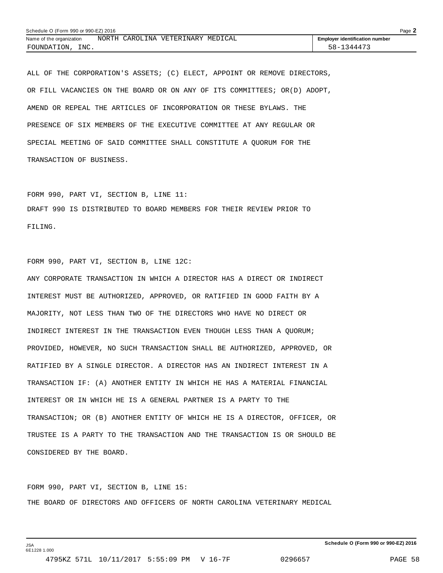|                          | Schedule O (Form 990 or 990-EZ) 2016 |  |                                   |  | Page $\blacktriangle$                 |  |
|--------------------------|--------------------------------------|--|-----------------------------------|--|---------------------------------------|--|
| Name of the organization |                                      |  | NORTH CAROLINA VETERINARY MEDICAL |  | <b>Employer identification number</b> |  |
| INC.<br>FOUNDATION,      |                                      |  |                                   |  | 58-1344473                            |  |

ALL OF THE CORPORATION'S ASSETS; (C) ELECT, APPOINT OR REMOVE DIRECTORS, OR FILL VACANCIES ON THE BOARD OR ON ANY OF ITS COMMITTEES; OR(D) ADOPT, AMEND OR REPEAL THE ARTICLES OF INCORPORATION OR THESE BYLAWS. THE PRESENCE OF SIX MEMBERS OF THE EXECUTIVE COMMITTEE AT ANY REGULAR OR SPECIAL MEETING OF SAID COMMITTEE SHALL CONSTITUTE A QUORUM FOR THE TRANSACTION OF BUSINESS.

FORM 990, PART VI, SECTION B, LINE 11: DRAFT 990 IS DISTRIBUTED TO BOARD MEMBERS FOR THEIR REVIEW PRIOR TO FILING.

FORM 990, PART VI, SECTION B, LINE 12C:

ANY CORPORATE TRANSACTION IN WHICH A DIRECTOR HAS A DIRECT OR INDIRECT INTEREST MUST BE AUTHORIZED, APPROVED, OR RATIFIED IN GOOD FAITH BY A MAJORITY, NOT LESS THAN TWO OF THE DIRECTORS WHO HAVE NO DIRECT OR INDIRECT INTEREST IN THE TRANSACTION EVEN THOUGH LESS THAN A QUORUM; PROVIDED, HOWEVER, NO SUCH TRANSACTION SHALL BE AUTHORIZED, APPROVED, OR RATIFIED BY A SINGLE DIRECTOR. A DIRECTOR HAS AN INDIRECT INTEREST IN A TRANSACTION IF: (A) ANOTHER ENTITY IN WHICH HE HAS A MATERIAL FINANCIAL INTEREST OR IN WHICH HE IS A GENERAL PARTNER IS A PARTY TO THE TRANSACTION; OR (B) ANOTHER ENTITY OF WHICH HE IS A DIRECTOR, OFFICER, OR TRUSTEE IS A PARTY TO THE TRANSACTION AND THE TRANSACTION IS OR SHOULD BE CONSIDERED BY THE BOARD.

FORM 990, PART VI, SECTION B, LINE 15: THE BOARD OF DIRECTORS AND OFFICERS OF NORTH CAROLINA VETERINARY MEDICAL

JSA 6E1228 1.000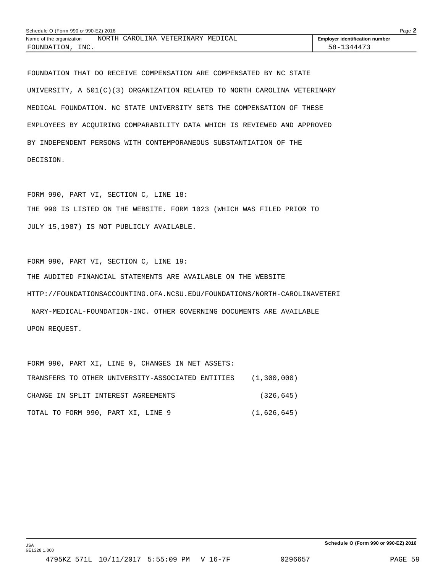| Schedule O (Form 990 or 990-EZ) 2016<br>Page $\blacktriangle$<br>NORTH CAROLINA VETERINARY MEDICAL<br><b>Employer identification number</b> |  |  |  |            |  |
|---------------------------------------------------------------------------------------------------------------------------------------------|--|--|--|------------|--|
| Name of the organization                                                                                                                    |  |  |  |            |  |
| INC.<br>FOUNDATION,                                                                                                                         |  |  |  | 58-1344473 |  |

FOUNDATION THAT DO RECEIVE COMPENSATION ARE COMPENSATED BY NC STATE UNIVERSITY, A 501(C)(3) ORGANIZATION RELATED TO NORTH CAROLINA VETERINARY MEDICAL FOUNDATION. NC STATE UNIVERSITY SETS THE COMPENSATION OF THESE EMPLOYEES BY ACQUIRING COMPARABILITY DATA WHICH IS REVIEWED AND APPROVED BY INDEPENDENT PERSONS WITH CONTEMPORANEOUS SUBSTANTIATION OF THE DECISION.

FORM 990, PART VI, SECTION C, LINE 18: THE 990 IS LISTED ON THE WEBSITE. FORM 1023 (WHICH WAS FILED PRIOR TO JULY 15,1987) IS NOT PUBLICLY AVAILABLE.

FORM 990, PART VI, SECTION C, LINE 19: THE AUDITED FINANCIAL STATEMENTS ARE AVAILABLE ON THE WEBSITE HTTP://FOUNDATIONSACCOUNTING.OFA.NCSU.EDU/FOUNDATIONS/NORTH-CAROLINAVETERI NARY-MEDICAL-FOUNDATION-INC. OTHER GOVERNING DOCUMENTS ARE AVAILABLE UPON REQUEST.

FORM 990, PART XI, LINE 9, CHANGES IN NET ASSETS: TRANSFERS TO OTHER UNIVERSITY-ASSOCIATED ENTITIES (1,300,000) CHANGE IN SPLIT INTEREST AGREEMENTS (326,645) TOTAL TO FORM 990, PART XI, LINE 9 (1,626,645)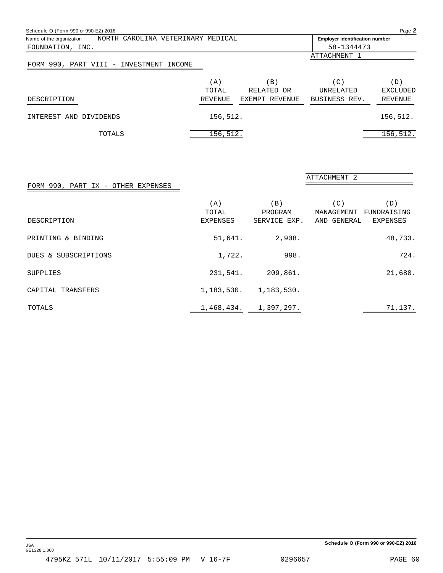| Schedule O (Form 990 or 990-EZ) 2016                          |          |                 |                                       | Page 2          |
|---------------------------------------------------------------|----------|-----------------|---------------------------------------|-----------------|
| NORTH CAROLINA VETERINARY MEDICAL<br>Name of the organization |          |                 | <b>Employer identification number</b> |                 |
| FOUNDATION, INC.                                              |          |                 | 58-1344473                            |                 |
|                                                               |          |                 | ATTACHMENT 1                          |                 |
| FORM 990, PART VIII - INVESTMENT INCOME                       |          |                 |                                       |                 |
|                                                               | (A)      | $\vert B \vert$ | $\left( \mathrm{C}\right)$            | (D)             |
|                                                               | TOTAL    | RELATED OR      | <b>UNRELATED</b>                      | <b>EXCLUDED</b> |
| DESCRIPTION                                                   | REVENUE  | EXEMPT REVENUE  | BUSINESS REV.                         | REVENUE         |
| INTEREST<br>AND DIVIDENDS                                     | 156,512. |                 |                                       | 156,512.        |
| TOTALS                                                        | 156,512. |                 |                                       | 156,512.        |

### FORM 990, PART IX - OTHER EXPENSES

| DESCRIPTION          | (A)<br>TOTAL<br>EXPENSES | (B)<br>PROGRAM<br>SERVICE EXP. | $^{\rm (C)}$<br>MANAGEMENT<br>GENERAL<br>AND | (D)<br>FUNDRAISING<br>EXPENSES |
|----------------------|--------------------------|--------------------------------|----------------------------------------------|--------------------------------|
| PRINTING & BINDING   | 51,641.                  | 2,908.                         |                                              | 48,733.                        |
| DUES & SUBSCRIPTIONS | 1,722.                   | 998.                           |                                              | 724.                           |
| SUPPLIES             | 231,541.                 | 209,861.                       |                                              | 21,680.                        |
| CAPITAL TRANSFERS    | 1,183,530.               | 1,183,530.                     |                                              |                                |
| TOTALS               | 1,468,434.               | 1,397,297.                     |                                              | 71,137.                        |

ATTACHMENT 2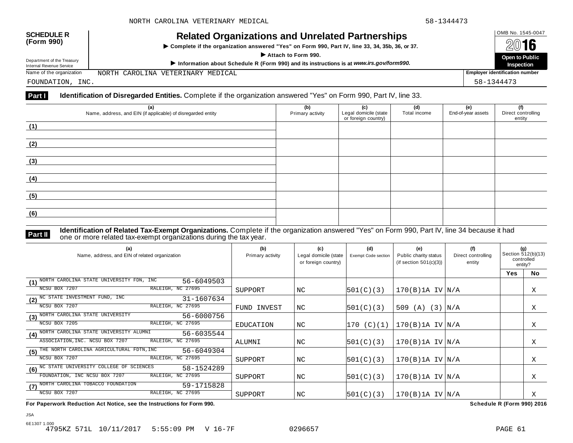| <b>SCHEDULE R</b><br>(Form 990)                        | <b>Related Organizations and Unrelated Partnerships</b><br>Complete if the organization answered "Yes" on Form 990, Part IV, line 33, 34, 35b, 36, or 37.<br>Attach to Form 990. |            | OMB No. 1545-0047<br>2016             |
|--------------------------------------------------------|----------------------------------------------------------------------------------------------------------------------------------------------------------------------------------|------------|---------------------------------------|
| Department of the Treasury<br>Internal Revenue Service | Information about Schedule R (Form 990) and its instructions is at www.irs.gov/form990.                                                                                          |            | Open to Public<br>Inspection          |
| Name of the organization                               | NORTH CAROLINA VETERINARY MEDICAL                                                                                                                                                |            | <b>Employer identification number</b> |
| FOUNDATION, INC.                                       |                                                                                                                                                                                  | 58-1344473 |                                       |

### **Part I Identification of Disregarded Entities.** Complete if the organization answered "Yes" on Form 990, Part IV, line 33.

| (a)<br>Name, address, and EIN (if applicable) of disregarded entity | (b)<br>Primary activity | (c)<br>Legal domicile (state<br>or foreign country) | (d)<br>Total income | (e)<br>End-of-year assets | (f)<br>Direct controlling<br>entity |
|---------------------------------------------------------------------|-------------------------|-----------------------------------------------------|---------------------|---------------------------|-------------------------------------|
| (1)                                                                 |                         |                                                     |                     |                           |                                     |
| (2)                                                                 |                         |                                                     |                     |                           |                                     |
| (3)                                                                 |                         |                                                     |                     |                           |                                     |
| (4)                                                                 |                         |                                                     |                     |                           |                                     |
| (5)                                                                 |                         |                                                     |                     |                           |                                     |
| (6)                                                                 |                         |                                                     |                     |                           |                                     |

**Part II Identification of Related Tax-Exempt Organizations.** Complete if the organization answered "Yes" on Form 990, Part IV, line 34 because it had<br>The one or more related tax-exempt organizations during the tax year.

| (a)<br>Name, address, and EIN of related organization                | (b)<br>Primary activity | (c)<br>Legal domicile (state<br>or foreign country) | (d)<br>Exempt Code section | (e)<br>Public charity status<br>(if section $501(c)(3)$ ) | (f)<br>Direct controlling<br>entity | (g)<br>Section 512(b)(13)<br>controlled<br>entity? |           |
|----------------------------------------------------------------------|-------------------------|-----------------------------------------------------|----------------------------|-----------------------------------------------------------|-------------------------------------|----------------------------------------------------|-----------|
|                                                                      |                         |                                                     |                            |                                                           |                                     | <b>Yes</b>                                         | <b>No</b> |
| NORTH CAROLINA STATE UNIVERSITY FDN, INC<br>56-6049503<br>(1)        |                         |                                                     |                            |                                                           |                                     |                                                    |           |
| RALEIGH, NC 27695<br>NCSU BOX 7207                                   | SUPPORT                 | NC                                                  | 501(C)(3)                  | $170(B)$ 1A IV $N/A$                                      |                                     |                                                    | Χ         |
| (2) <sup>NC</sup> STATE INVESTMENT FUND, INC<br>31-1607634           |                         |                                                     |                            |                                                           |                                     |                                                    |           |
| RALEIGH, NC 27695<br>NCSU BOX 7207                                   | FUND INVEST             | NC                                                  | 501(C)(3)                  | (3)<br>509 $(A)$                                          | N/A                                 |                                                    | Χ         |
| (3) NORTH CAROLINA STATE UNIVERSITY<br>56-6000756                    |                         |                                                     |                            |                                                           |                                     |                                                    |           |
| RALEIGH, NC 27695<br>NCSU BOX 7205                                   | EDUCATION               | NC                                                  | 170 (C)(1)                 | $170(B)$ 1A IV $ N/A$                                     |                                     |                                                    | Χ         |
| NORTH CAROLINA STATE UNIVERSITY ALUMNI<br>56-6035544<br>(4)          |                         |                                                     |                            |                                                           |                                     |                                                    |           |
| ASSOCIATION, INC. NCSU BOX 7207<br>RALEIGH, NC 27695                 | ALUMNI                  | NC                                                  | 501(C)(3)                  | $170(B)$ 1A IV $N/A$                                      |                                     |                                                    | Χ         |
| THE NORTH CAROLINA AGRICULTURAL FDTN, INC<br>56-6049304<br>(5)       |                         |                                                     |                            |                                                           |                                     |                                                    |           |
| RALEIGH, NC 27695<br>NCSU BOX 7207                                   | SUPPORT                 | NC                                                  | 501(C)(3)                  | $170(B)$ 1A IV $N/A$                                      |                                     |                                                    | X         |
| (6) <sup>NC</sup> STATE UNIVERSITY COLLEGE OF SCIENCES<br>58-1524289 |                         |                                                     |                            |                                                           |                                     |                                                    |           |
| RALEIGH, NC 27695<br>FOUNDATION, INC NCSU BOX 7207                   | SUPPORT                 | NC                                                  | 501(C)(3)                  | $170(B)$ 1A IV $N/A$                                      |                                     |                                                    | Χ         |
| (7) NORTH CAROLINA TOBACCO FOUNDATION<br>59-1715828                  |                         |                                                     |                            |                                                           |                                     |                                                    |           |
| NCSU BOX 7207<br>RALEIGH, NC 27695                                   | SUPPORT                 | NC.                                                 | 501(C)(3)                  | $170(B)$ 1A IV $ N/A$                                     |                                     |                                                    | Χ         |

**For Paperwork Reduction Act Notice, see the Instructions for Form 990. Schedule R (Form 990) 2016**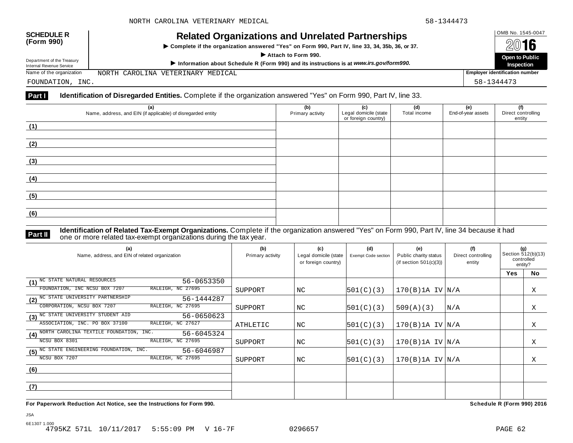| <b>SCHEDULE R</b><br>(Form 990)                        | <b>Related Organizations and Unrelated Partnerships</b><br>Complete if the organization answered "Yes" on Form 990, Part IV, line 33, 34, 35b, 36, or 37.<br>Attach to Form 990. |            | OMB No. 1545-0047<br>2016             |
|--------------------------------------------------------|----------------------------------------------------------------------------------------------------------------------------------------------------------------------------------|------------|---------------------------------------|
| Department of the Treasury<br>Internal Revenue Service | Information about Schedule R (Form 990) and its instructions is at www.irs.gov/form990.                                                                                          |            | Open to Public<br>Inspection          |
| Name of the organization                               | NORTH CAROLINA VETERINARY MEDICAL                                                                                                                                                |            | <b>Employer identification number</b> |
| FOUNDATION, INC.                                       |                                                                                                                                                                                  | 58-1344473 |                                       |

### **Part I Identification of Disregarded Entities.** Complete if the organization answered "Yes" on Form 990, Part IV, line 33.

| (a)<br>Name, address, and EIN (if applicable) of disregarded entity | (b)<br>Primary activity | (c)<br>Legal domicile (state<br>or foreign country) | (d)<br>Total income | (e)<br>End-of-year assets | (f)<br>Direct controlling<br>entity |
|---------------------------------------------------------------------|-------------------------|-----------------------------------------------------|---------------------|---------------------------|-------------------------------------|
| (1)                                                                 |                         |                                                     |                     |                           |                                     |
| (2)                                                                 |                         |                                                     |                     |                           |                                     |
| (3)                                                                 |                         |                                                     |                     |                           |                                     |
| (4)                                                                 |                         |                                                     |                     |                           |                                     |
| (5)                                                                 |                         |                                                     |                     |                           |                                     |
| (6)                                                                 |                         |                                                     |                     |                           |                                     |

JSA

**Part II Identification of Related Tax-Exempt Organizations.** Complete if the organization answered "Yes" on Form 990, Part IV, line 34 because it had<br>The one or more related tax-exempt organizations during the tax year.

| (a)<br>Name, address, and EIN of related organization                          | (b)<br>Primary activity | (c)<br>Legal domicile (state<br>or foreign country) | (d)<br><b>Exempt Code section</b> | (e)<br>Public charity status<br>(if section $501(c)(3)$ ) | (f)<br>Direct controlling<br>entity | (g)<br>Section 512(b)(13)<br>controlled<br>entity? |    |
|--------------------------------------------------------------------------------|-------------------------|-----------------------------------------------------|-----------------------------------|-----------------------------------------------------------|-------------------------------------|----------------------------------------------------|----|
|                                                                                |                         |                                                     |                                   |                                                           |                                     | <b>Yes</b>                                         | No |
| NC STATE NATURAL RESOURCES<br>56-0653350<br>(1)                                |                         |                                                     |                                   |                                                           |                                     |                                                    |    |
| RALEIGH, NC 27695<br>FOUNDATION, INC NCSU BOX 7207                             | SUPPORT                 | NC                                                  | 501(C)(3)                         | $170(B)$ 1A IV $N/A$                                      |                                     |                                                    | Χ  |
| $\boxed{(2)}^{\overline{\text{NC}}$ STATE UNIVERSITY PARTNERSHIP<br>56-1444287 |                         |                                                     |                                   |                                                           |                                     |                                                    |    |
| RALEIGH, NC 27695<br>CORPORATION, NCSU BOX 7207                                | SUPPORT                 | NC.                                                 | 501(C)(3)                         | 509(A)(3)                                                 | N/A                                 |                                                    | X  |
| (3) <sup>NC</sup> STATE UNIVERSITY STUDENT AID<br>56-0650623                   |                         |                                                     |                                   |                                                           |                                     |                                                    |    |
| ASSOCIATION, INC. PO BOX 37100<br>RALEIGH, NC 27627                            | <b>ATHLETIC</b>         | NC                                                  | 501(C)(3)                         | $170(B)$ 1A IV $ N/A$                                     |                                     |                                                    | X  |
| NORTH CAROLINA TEXTILE FOUNDATION, INC.<br>56-6045324<br>(4)                   |                         |                                                     |                                   |                                                           |                                     |                                                    |    |
| NCSU BOX 8301<br>RALEIGH, NC 27695                                             | SUPPORT                 | NC                                                  | 501(C)(3)                         | $170(B)$ 1A IV $N/A$                                      |                                     |                                                    | Χ  |
| $(5)$ NC STATE ENGINEERING FOUNDATION, INC.<br>56-6046987                      |                         |                                                     |                                   |                                                           |                                     |                                                    |    |
| RALEIGH, NC 27695<br>NCSU BOX 7207                                             | SUPPORT                 | NC.                                                 | 501(C)(3)                         | $170(B)$ 1A IV $ N/A$                                     |                                     |                                                    | Χ  |
| (6)                                                                            |                         |                                                     |                                   |                                                           |                                     |                                                    |    |
|                                                                                |                         |                                                     |                                   |                                                           |                                     |                                                    |    |
| (7)                                                                            |                         |                                                     |                                   |                                                           |                                     |                                                    |    |
|                                                                                |                         |                                                     |                                   |                                                           |                                     |                                                    |    |

**For Paperwork Reduction Act Notice, see the Instructions for Form 990. Schedule R (Form 990) 2016**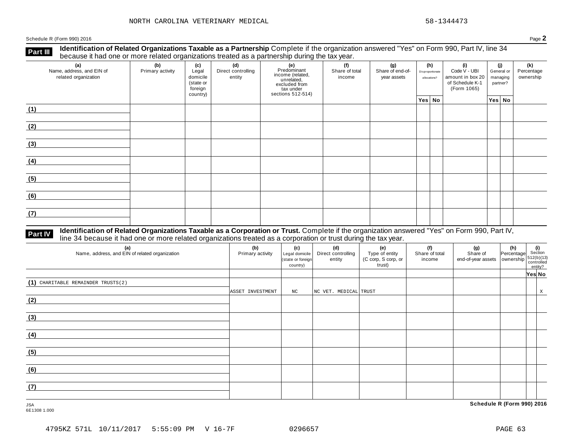Schedule <sup>R</sup> (Form 990) <sup>2016</sup> Page **2**

**Identification of Related Organizations Taxable as a Partnership** Complete if the organization answered "Yes" on Form 990, Part IV, line 34 **because it had one or more related organizations Taxable as a Partnership** Complete if the organization of Related organizations treated as a partnership during the tax year.

| (a)<br>Name, address, and EIN of<br>related organization | ັ<br>(b)<br>Primary activity | (c)<br>Legal<br>domicile<br>(state or<br>foreign<br>country) | .<br>(d)<br>Direct controlling<br>entity | ັ<br>(e)<br>Predominant<br>From (related,<br>income (related,<br>excluded from<br>tax under<br>sections 512-514) | (f)<br>Share of total<br>income | (g)<br>Share of end-of-<br>year assets | (h)<br>Disproportionate<br>allocations? | (i)<br>Code V - UBI<br>amount in box 20<br>of Schedule K-1<br>(Form 1065) | (j)<br>General or<br>managing<br>partner? | (k)<br>Percentage<br>ownership |
|----------------------------------------------------------|------------------------------|--------------------------------------------------------------|------------------------------------------|------------------------------------------------------------------------------------------------------------------|---------------------------------|----------------------------------------|-----------------------------------------|---------------------------------------------------------------------------|-------------------------------------------|--------------------------------|
|                                                          |                              |                                                              |                                          |                                                                                                                  |                                 |                                        | Yes No                                  |                                                                           | Yes No                                    |                                |
| (1)                                                      |                              |                                                              |                                          |                                                                                                                  |                                 |                                        |                                         |                                                                           |                                           |                                |
| (2)                                                      |                              |                                                              |                                          |                                                                                                                  |                                 |                                        |                                         |                                                                           |                                           |                                |
| (3)                                                      |                              |                                                              |                                          |                                                                                                                  |                                 |                                        |                                         |                                                                           |                                           |                                |
| (4)                                                      |                              |                                                              |                                          |                                                                                                                  |                                 |                                        |                                         |                                                                           |                                           |                                |
| (5)                                                      |                              |                                                              |                                          |                                                                                                                  |                                 |                                        |                                         |                                                                           |                                           |                                |
| (6)                                                      |                              |                                                              |                                          |                                                                                                                  |                                 |                                        |                                         |                                                                           |                                           |                                |
| (7)                                                      |                              |                                                              |                                          |                                                                                                                  |                                 |                                        |                                         |                                                                           |                                           |                                |

## **Part IV** Identification of Related Organizations Taxable as a Corporation or Trust. Complete if the organization answered "Yes" on Form 990, Part IV,<br>line 34 because it had one or more related organizations treated as a c

| (a)<br>Name, address, and EIN of related organization | (b)<br>Primary activity | (c)<br>Legal domicile<br>(state or foreign<br>country) | (d)<br>Direct controlling<br>entity | (e)<br>Type of entity<br>(C corp, S corp, or<br>trust) | (f)<br>Share of total<br>income | (g)<br>Share of<br>$\left  \begin{array}{c} 0 & 0 & 0 \\ 0 & 0 & 0 \\ 0 & 0 & 0 \end{array} \right $ and-of-year assets $\left  \begin{array}{c} 0 & 0 & 0 \\ 0 & 0 & 0 \\ 0 & 0 & 0 \end{array} \right $ controlled | $\begin{vmatrix} \n\textbf{(h)} \\ \n\text{Percentage} \n\end{vmatrix}$ Section | entity? |   |
|-------------------------------------------------------|-------------------------|--------------------------------------------------------|-------------------------------------|--------------------------------------------------------|---------------------------------|----------------------------------------------------------------------------------------------------------------------------------------------------------------------------------------------------------------------|---------------------------------------------------------------------------------|---------|---|
|                                                       |                         |                                                        |                                     |                                                        |                                 |                                                                                                                                                                                                                      |                                                                                 | Yes No  |   |
| $(1)$ CHARITABLE REMAINDER TRUSTS(2)                  | ASSET INVESTMENT        | $_{\mathrm{NC}}$                                       | NC VET. MEDICAL TRUST               |                                                        |                                 |                                                                                                                                                                                                                      |                                                                                 |         | X |
| (2)                                                   |                         |                                                        |                                     |                                                        |                                 |                                                                                                                                                                                                                      |                                                                                 |         |   |
| (3)                                                   |                         |                                                        |                                     |                                                        |                                 |                                                                                                                                                                                                                      |                                                                                 |         |   |
| (4)                                                   |                         |                                                        |                                     |                                                        |                                 |                                                                                                                                                                                                                      |                                                                                 |         |   |
| (5)                                                   |                         |                                                        |                                     |                                                        |                                 |                                                                                                                                                                                                                      |                                                                                 |         |   |
| (6)                                                   |                         |                                                        |                                     |                                                        |                                 |                                                                                                                                                                                                                      |                                                                                 |         |   |
| (7)                                                   |                         |                                                        |                                     |                                                        |                                 |                                                                                                                                                                                                                      |                                                                                 |         |   |

6E1308 1.000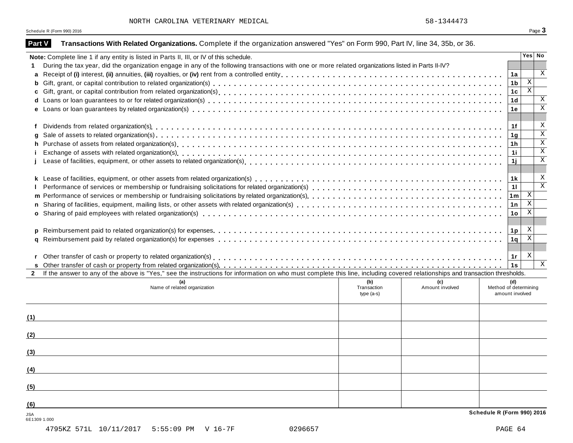$L$  58-1344473

Schedule R (Form 990) 2016  $\overline{\textbf{S}}$  Page  $\overline{\textbf{3}}$ 

| Part V                     | Transactions With Related Organizations. Complete if the organization answered "Yes" on Form 990, Part IV, line 34, 35b, or 36.                                                                                                |                       |                           |                           |
|----------------------------|--------------------------------------------------------------------------------------------------------------------------------------------------------------------------------------------------------------------------------|-----------------------|---------------------------|---------------------------|
|                            | Note: Complete line 1 if any entity is listed in Parts II, III, or IV of this schedule.                                                                                                                                        |                       | Yes No                    |                           |
|                            | During the tax year, did the organization engage in any of the following transactions with one or more related organizations listed in Parts II-IV?                                                                            |                       |                           |                           |
| a                          |                                                                                                                                                                                                                                | 1a                    |                           | $\mathbf x$               |
| b                          |                                                                                                                                                                                                                                | 1 <sub>b</sub>        | $\mathbf{X}$              |                           |
|                            |                                                                                                                                                                                                                                | 1 <sub>c</sub>        | $\overline{\mathbf{x}}$   |                           |
|                            |                                                                                                                                                                                                                                | 1 <sub>d</sub>        |                           | $\mathbf X$               |
|                            |                                                                                                                                                                                                                                | 1е                    |                           | $\mathbf X$               |
|                            |                                                                                                                                                                                                                                |                       |                           |                           |
| f                          | Dividends from related organization(s) enterpresent contact contact contact contact contact contact contact contact contact contact contact contact contact contact contact contact contact contact contact contact contact co | 1f                    |                           | X                         |
| g                          |                                                                                                                                                                                                                                | 1 <sub>q</sub>        |                           | $\overline{\mathbf{x}}$   |
|                            |                                                                                                                                                                                                                                | 1 <sub>h</sub>        |                           | $\overline{X}$            |
|                            | Exchange of assets with related organization(s) enterpreened and according to the content of the content of the content of the content of the content of the content of the content of the content of the content of the conte | 11                    |                           | $\overline{\mathbf{x}}$   |
|                            |                                                                                                                                                                                                                                | 1j                    |                           | $\mathbf X$               |
|                            |                                                                                                                                                                                                                                |                       |                           |                           |
|                            |                                                                                                                                                                                                                                | 1 <sub>k</sub>        |                           | $\boldsymbol{\mathrm{X}}$ |
|                            |                                                                                                                                                                                                                                | 11                    |                           | $\overline{\mathbf{x}}$   |
|                            |                                                                                                                                                                                                                                | 1 <sub>m</sub>        | $\boldsymbol{\mathrm{X}}$ |                           |
|                            |                                                                                                                                                                                                                                | 1n                    | $\overline{\mathbf{x}}$   |                           |
|                            |                                                                                                                                                                                                                                | 1 <sub>o</sub>        | $\overline{X}$            |                           |
|                            |                                                                                                                                                                                                                                |                       |                           |                           |
| p                          |                                                                                                                                                                                                                                | 1 <sub>p</sub>        | X<br>$\overline{X}$       |                           |
|                            |                                                                                                                                                                                                                                | 1q                    |                           |                           |
|                            |                                                                                                                                                                                                                                |                       | X                         |                           |
| r                          |                                                                                                                                                                                                                                | 1r<br>1s              |                           | $\boldsymbol{\mathrm{X}}$ |
|                            | 2 If the answer to any of the above is "Yes," see the instructions for information on who must complete this line, including covered relationships and transaction thresholds.                                                 |                       |                           |                           |
|                            | (b)<br>(a)<br>(c)                                                                                                                                                                                                              | (d)                   |                           |                           |
|                            | Name of related organization<br>Amount involved<br>Transaction                                                                                                                                                                 | Method of determining |                           |                           |
|                            | type $(a-s)$                                                                                                                                                                                                                   | amount involved       |                           |                           |
|                            |                                                                                                                                                                                                                                |                       |                           |                           |
| (1)                        |                                                                                                                                                                                                                                |                       |                           |                           |
|                            |                                                                                                                                                                                                                                |                       |                           |                           |
| (2)                        |                                                                                                                                                                                                                                |                       |                           |                           |
|                            |                                                                                                                                                                                                                                |                       |                           |                           |
| (3)                        |                                                                                                                                                                                                                                |                       |                           |                           |
|                            |                                                                                                                                                                                                                                |                       |                           |                           |
| (4)                        |                                                                                                                                                                                                                                |                       |                           |                           |
|                            |                                                                                                                                                                                                                                |                       |                           |                           |
| (5)                        |                                                                                                                                                                                                                                |                       |                           |                           |
| (6)                        |                                                                                                                                                                                                                                |                       |                           |                           |
|                            | Schedule R (Form 990) 2016                                                                                                                                                                                                     |                       |                           |                           |
| <b>JSA</b><br>6E1309 1.000 |                                                                                                                                                                                                                                |                       |                           |                           |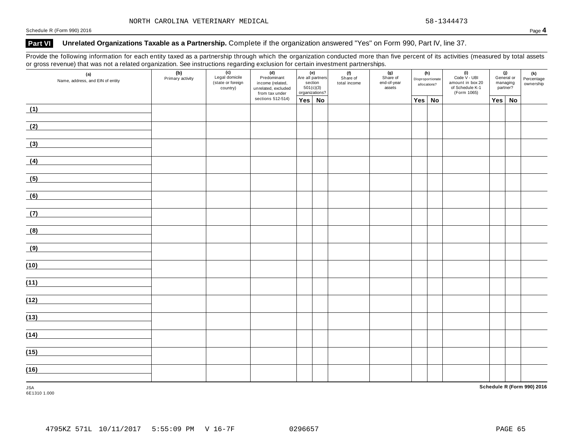Schedule <sup>R</sup> (Form 990) <sup>2016</sup> Page **4**

### **Part VI Unrelated Organizations Taxable as a Partnership.** Complete if the organization answered "Yes" on Form 990, Part IV, line 37.

Provide the following information for each entity taxed as a partnership through which the organization conducted more than five percent of its activities (measured by total assets or gross revenue) that was not a related organization. See instructions regarding exclusion for certain investment partnerships.

| ັ<br>$\overline{\phantom{a}}$<br>(a)<br>Name, address, and EIN of entity | ັ<br>(b)<br>Primary activity | ັ<br>(c)<br>Legal domicile<br>(state or foreign<br>country) | ັ<br>(d)<br>Predominant<br>income (related,<br>unrelated, excluded<br>from tax under<br>sections 512-514) | (e)<br>Are all partners<br>section<br>501(c)(3)<br>organizations? |  | . .<br>(f)<br>Share of<br>total income | (g)<br>Share of<br>end-of-year<br>assets | (h)<br>Disproportionate<br>allocations? |           | $(i)$<br>Code $\vee$ - UBI<br>amount in box 20<br>of Schedule K-1<br>(Form 1065) | (j)<br>General or<br>managing<br>partner? |    | (k)<br>Percentage<br>ownership |
|--------------------------------------------------------------------------|------------------------------|-------------------------------------------------------------|-----------------------------------------------------------------------------------------------------------|-------------------------------------------------------------------|--|----------------------------------------|------------------------------------------|-----------------------------------------|-----------|----------------------------------------------------------------------------------|-------------------------------------------|----|--------------------------------|
|                                                                          |                              | Yes No                                                      |                                                                                                           |                                                                   |  |                                        |                                          | <b>Yes</b>                              | <b>No</b> |                                                                                  | Yes                                       | No |                                |
| (1)                                                                      |                              |                                                             |                                                                                                           |                                                                   |  |                                        |                                          |                                         |           |                                                                                  |                                           |    |                                |
| (2)                                                                      |                              |                                                             |                                                                                                           |                                                                   |  |                                        |                                          |                                         |           |                                                                                  |                                           |    |                                |
| (3)                                                                      |                              |                                                             |                                                                                                           |                                                                   |  |                                        |                                          |                                         |           |                                                                                  |                                           |    |                                |
| (4)                                                                      |                              |                                                             |                                                                                                           |                                                                   |  |                                        |                                          |                                         |           |                                                                                  |                                           |    |                                |
| (5)                                                                      |                              |                                                             |                                                                                                           |                                                                   |  |                                        |                                          |                                         |           |                                                                                  |                                           |    |                                |
| (6)                                                                      |                              |                                                             |                                                                                                           |                                                                   |  |                                        |                                          |                                         |           |                                                                                  |                                           |    |                                |
| (7)                                                                      |                              |                                                             |                                                                                                           |                                                                   |  |                                        |                                          |                                         |           |                                                                                  |                                           |    |                                |
| (8)                                                                      |                              |                                                             |                                                                                                           |                                                                   |  |                                        |                                          |                                         |           |                                                                                  |                                           |    |                                |
| (9)                                                                      |                              |                                                             |                                                                                                           |                                                                   |  |                                        |                                          |                                         |           |                                                                                  |                                           |    |                                |
| (10)                                                                     |                              |                                                             |                                                                                                           |                                                                   |  |                                        |                                          |                                         |           |                                                                                  |                                           |    |                                |
| (11)                                                                     |                              |                                                             |                                                                                                           |                                                                   |  |                                        |                                          |                                         |           |                                                                                  |                                           |    |                                |
| (12)                                                                     |                              |                                                             |                                                                                                           |                                                                   |  |                                        |                                          |                                         |           |                                                                                  |                                           |    |                                |
| (13)                                                                     |                              |                                                             |                                                                                                           |                                                                   |  |                                        |                                          |                                         |           |                                                                                  |                                           |    |                                |
| (14)                                                                     |                              |                                                             |                                                                                                           |                                                                   |  |                                        |                                          |                                         |           |                                                                                  |                                           |    |                                |
| (15)                                                                     |                              |                                                             |                                                                                                           |                                                                   |  |                                        |                                          |                                         |           |                                                                                  |                                           |    |                                |
| (16)                                                                     |                              |                                                             |                                                                                                           |                                                                   |  |                                        |                                          |                                         |           |                                                                                  |                                           |    |                                |
| <b>JSA</b>                                                               |                              |                                                             |                                                                                                           |                                                                   |  |                                        |                                          |                                         |           |                                                                                  |                                           |    | Schedule R (Form 990) 2016     |

6E1310 1.000